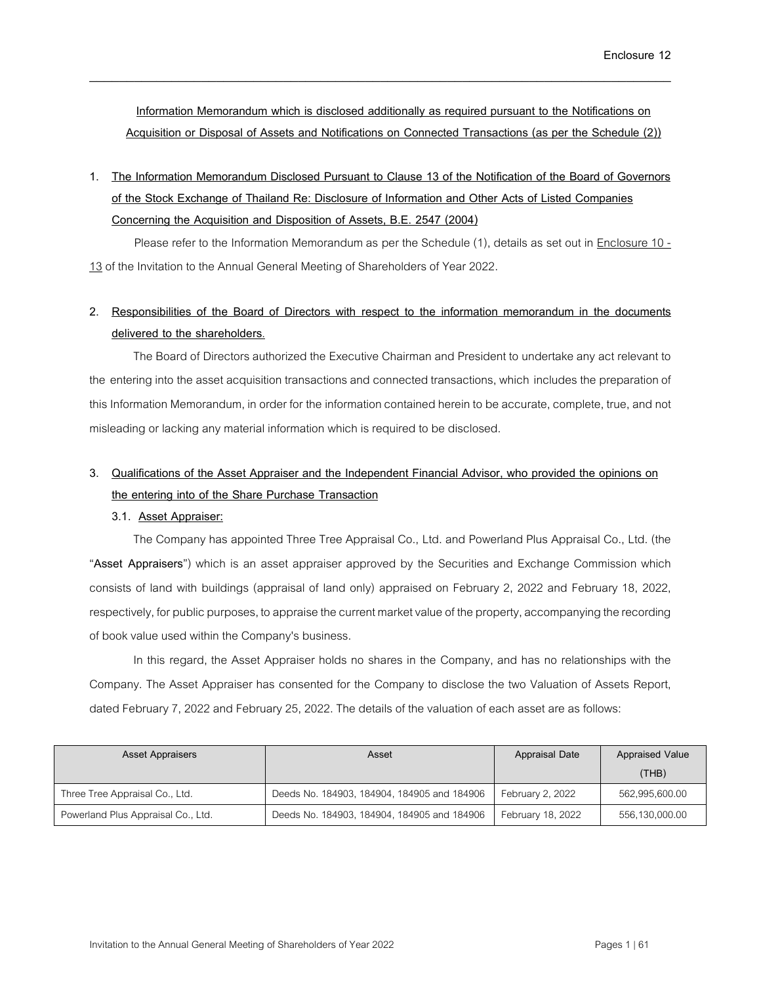**Information Memorandum which is disclosed additionally as required pursuant to the Notifications on Acquisition or Disposal of Assets and Notifications on Connected Transactions (as per the Schedule (2))**

\_\_\_\_\_\_\_\_\_\_\_\_\_\_\_\_\_\_\_\_\_\_\_\_\_\_\_\_\_\_\_\_\_\_\_\_\_\_\_\_\_\_\_\_\_\_\_\_\_\_\_\_\_\_\_\_\_\_\_\_\_\_\_\_\_\_\_\_\_\_\_\_\_\_\_\_\_\_

**1. The Information Memorandum Disclosed Pursuant to Clause 13 of the Notification of the Board of Governors of the Stock Exchange of Thailand Re: Disclosure of Information and Other Acts of Listed Companies Concerning the Acquisition and Disposition of Assets, B.E. 2547 (2004)**

Please refer to the Information Memorandum as per the Schedule (1), details as set out in Enclosure 10 - 13 of the Invitation to the Annual General Meeting of Shareholders of Year 2022.

# **2. Responsibilities of the Board of Directors with respect to the information memorandum in the documents delivered to the shareholders.**

The Board of Directors authorized the Executive Chairman and President to undertake any act relevant to the entering into the asset acquisition transactions and connected transactions, which includes the preparation of this Information Memorandum, in order for the information contained herein to be accurate, complete, true, and not misleading or lacking any material information which is required to be disclosed.

# **3. Qualifications of the Asset Appraiser and the Independent Financial Advisor, who provided the opinions on the entering into of the Share Purchase Transaction**

## **3.1. Asset Appraiser:**

The Company has appointed Three Tree Appraisal Co., Ltd. and Powerland Plus Appraisal Co., Ltd. (the "**Asset Appraisers**") which is an asset appraiser approved by the Securities and Exchange Commission which consists of land with buildings (appraisal of land only) appraised on February 2, 2022 and February 18, 2022, respectively, for public purposes, to appraise the current market value of the property, accompanying the recording of book value used within the Company's business.

In this regard, the Asset Appraiser holds no shares in the Company, and has no relationships with the Company. The Asset Appraiser has consented for the Company to disclose the two Valuation of Assets Report, dated February 7, 2022 and February 25, 2022. The details of the valuation of each asset are as follows:

| <b>Asset Appraisers</b>            | Asset                                       | <b>Appraisal Date</b> | <b>Appraised Value</b> |
|------------------------------------|---------------------------------------------|-----------------------|------------------------|
|                                    |                                             |                       | (THE)                  |
| Three Tree Appraisal Co., Ltd.     | Deeds No. 184903, 184904, 184905 and 184906 | February 2, 2022      | 562,995,600.00         |
| Powerland Plus Appraisal Co., Ltd. | Deeds No. 184903, 184904, 184905 and 184906 | February 18, 2022     | 556,130,000.00         |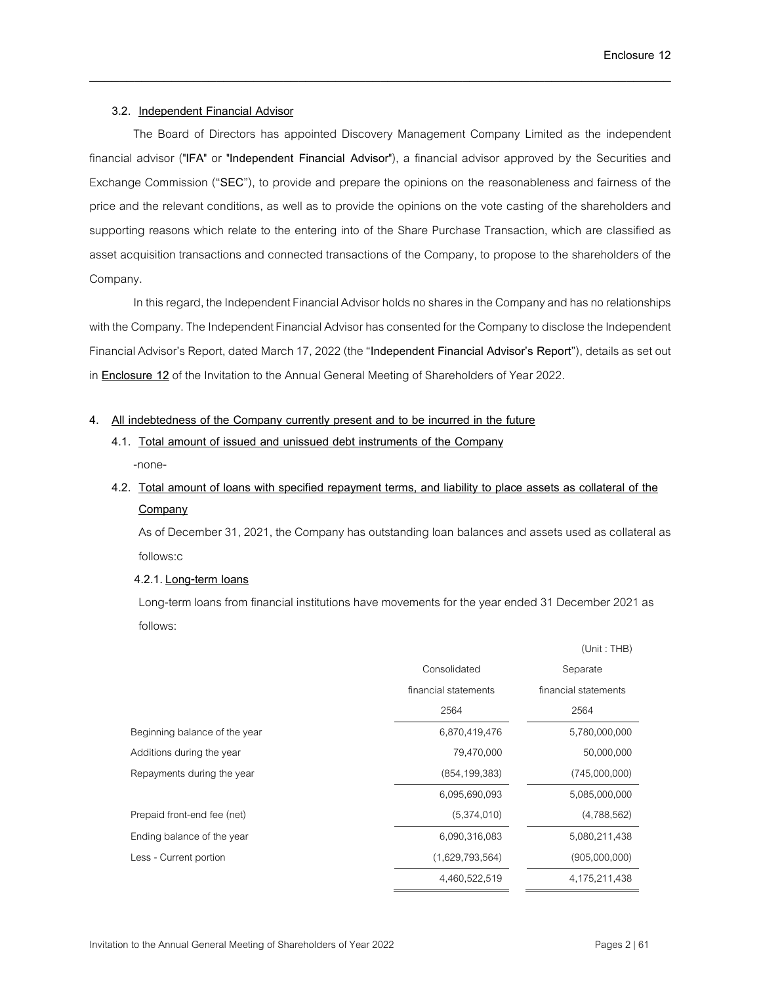### **3.2. Independent Financial Advisor**

The Board of Directors has appointed Discovery Management Company Limited as the independent financial advisor ("**IFA**" or "**Independent Financial Advisor**"), a financial advisor approved by the Securities and Exchange Commission ("**SEC**"), to provide and prepare the opinions on the reasonableness and fairness of the price and the relevant conditions, as well as to provide the opinions on the vote casting of the shareholders and supporting reasons which relate to the entering into of the Share Purchase Transaction, which are classified as asset acquisition transactions and connected transactions of the Company, to propose to the shareholders of the Company.

\_\_\_\_\_\_\_\_\_\_\_\_\_\_\_\_\_\_\_\_\_\_\_\_\_\_\_\_\_\_\_\_\_\_\_\_\_\_\_\_\_\_\_\_\_\_\_\_\_\_\_\_\_\_\_\_\_\_\_\_\_\_\_\_\_\_\_\_\_\_\_\_\_\_\_\_\_\_

In this regard, the Independent Financial Advisor holds no shares in the Company and has no relationships with the Company. The Independent Financial Advisor has consented for the Company to disclose the Independent Financial Advisor's Report, dated March 17, 2022(the "**Independent Financial Advisor's Report**"), details as set out in **Enclosure 12**of the Invitation to the Annual General Meeting of Shareholders of Year 2022.

### **4. All indebtedness of the Company currently present and to be incurred in the future**

**4.1. Total amount of issued and unissued debt instruments of the Company** -none-

# **4.2. Total amount of loans with specified repayment terms, and liability to place assets as collateral of the Company**

As of December 31, 2021, the Company has outstanding loan balances and assets used as collateral as follows:c

## **4.2.1.Long-term loans**

Long-term loans from financial institutions have movements for the year ended 31 December 2021as follows:

|                               |                      | (Unit: THB)          |
|-------------------------------|----------------------|----------------------|
|                               | Consolidated         | Separate             |
|                               | financial statements | financial statements |
|                               | 2564                 | 2564                 |
| Beginning balance of the year | 6,870,419,476        | 5,780,000,000        |
| Additions during the year     | 79,470,000           | 50,000,000           |
| Repayments during the year    | (854, 199, 383)      | (745,000,000)        |
|                               | 6,095,690,093        | 5,085,000,000        |
| Prepaid front-end fee (net)   | (5,374,010)          | (4,788,562)          |
| Ending balance of the year    | 6,090,316,083        | 5,080,211,438        |
| Less - Current portion        | (1,629,793,564)      | (905,000,000)        |
|                               | 4,460,522,519        | 4,175,211,438        |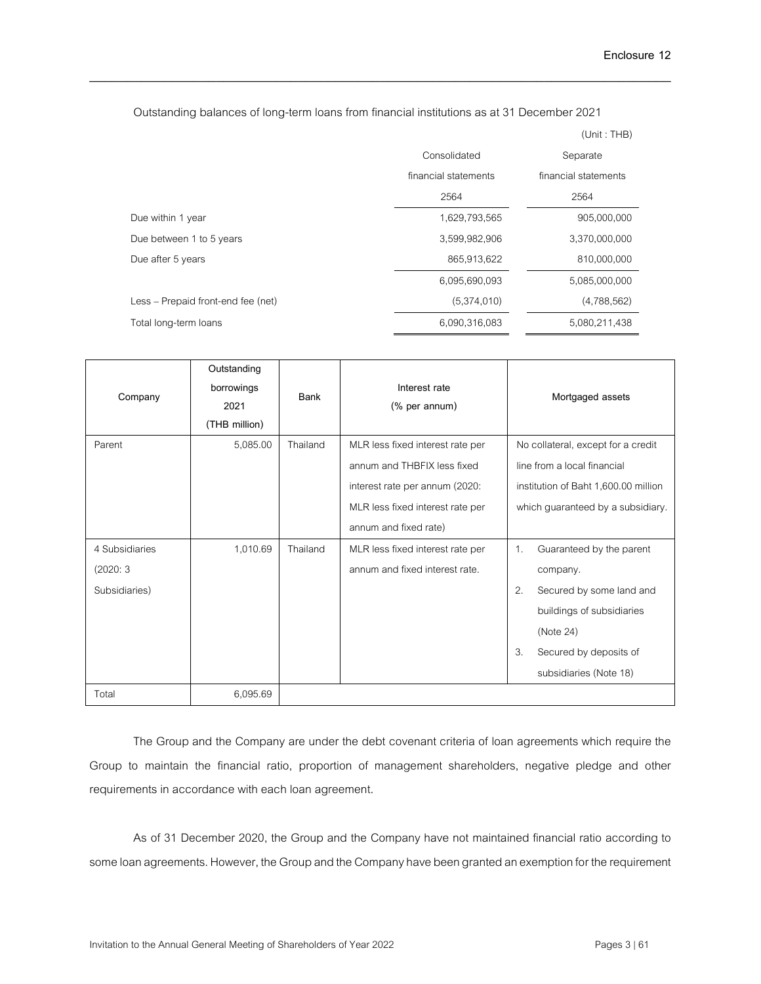Outstanding balances of long-term loans from financial institutions as at 31 December 2021

\_\_\_\_\_\_\_\_\_\_\_\_\_\_\_\_\_\_\_\_\_\_\_\_\_\_\_\_\_\_\_\_\_\_\_\_\_\_\_\_\_\_\_\_\_\_\_\_\_\_\_\_\_\_\_\_\_\_\_\_\_\_\_\_\_\_\_\_\_\_\_\_\_\_\_\_\_\_

|                                    |                      | (Unit: THB)          |
|------------------------------------|----------------------|----------------------|
|                                    | Consolidated         | Separate             |
|                                    | financial statements | financial statements |
|                                    | 2564                 | 2564                 |
| Due within 1 year                  | 1,629,793,565        | 905,000,000          |
| Due between 1 to 5 years           | 3,599,982,906        | 3,370,000,000        |
| Due after 5 years                  | 865,913,622          | 810,000,000          |
|                                    | 6,095,690,093        | 5,085,000,000        |
| Less – Prepaid front-end fee (net) | (5,374,010)          | (4,788,562)          |
| Total long-term loans              | 6,090,316,083        | 5,080,211,438        |

| Company                                     | Outstanding<br>borrowings<br>2021<br>(THB million) | Bank     | Interest rate<br>(% per annum)                                                                                                                                 | Mortgaged assets                                                                                                                                                                             |
|---------------------------------------------|----------------------------------------------------|----------|----------------------------------------------------------------------------------------------------------------------------------------------------------------|----------------------------------------------------------------------------------------------------------------------------------------------------------------------------------------------|
| Parent                                      | 5,085.00                                           | Thailand | MLR less fixed interest rate per<br>annum and THBFIX less fixed<br>interest rate per annum (2020:<br>MLR less fixed interest rate per<br>annum and fixed rate) | No collateral, except for a credit<br>line from a local financial<br>institution of Baht 1,600.00 million<br>which guaranteed by a subsidiary.                                               |
| 4 Subsidiaries<br>(2020:3)<br>Subsidiaries) | 1,010.69                                           | Thailand | MLR less fixed interest rate per<br>annum and fixed interest rate.                                                                                             | $\mathbf{1}$ .<br>Guaranteed by the parent<br>company.<br>2.<br>Secured by some land and<br>buildings of subsidiaries<br>(Note 24)<br>3.<br>Secured by deposits of<br>subsidiaries (Note 18) |
| Total                                       | 6,095.69                                           |          |                                                                                                                                                                |                                                                                                                                                                                              |

The Group and the Company are under the debt covenant criteria of loan agreements which require the Group to maintain the financial ratio, proportion of management shareholders, negative pledge and other requirements in accordance with each loan agreement.

As of 31 December 2020, the Group and the Company have not maintained financial ratio according to some loan agreements. However, the Group and the Company have been granted an exemption for the requirement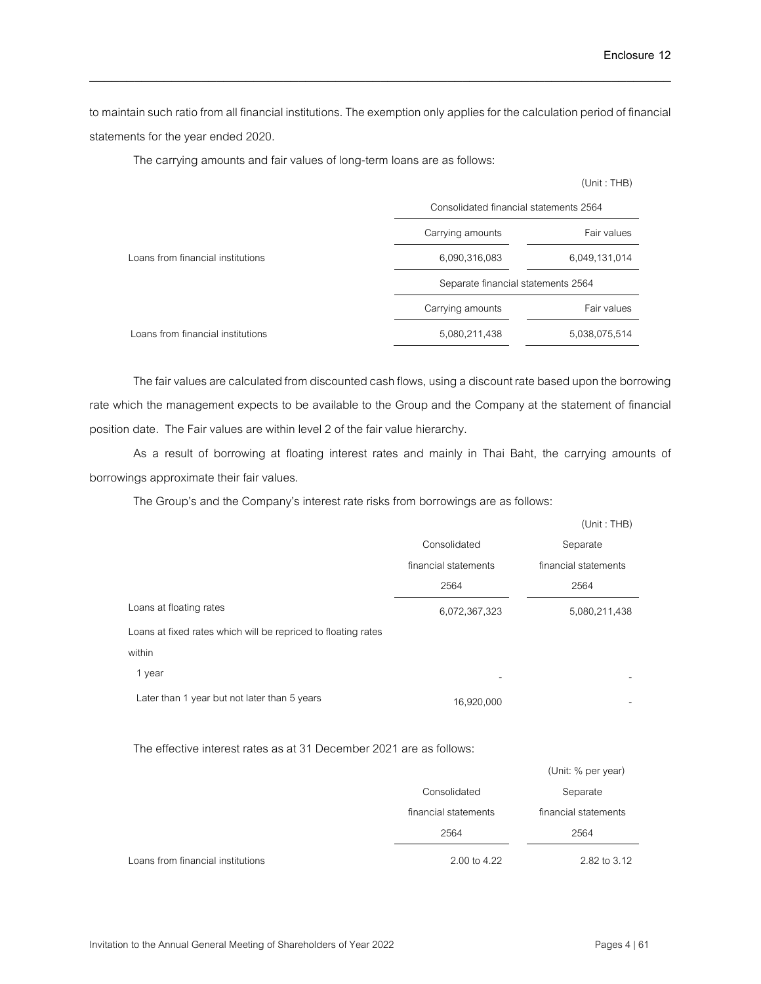to maintain such ratio from all financial institutions. The exemption only applies for the calculation period of financial statements for the year ended 2020.

\_\_\_\_\_\_\_\_\_\_\_\_\_\_\_\_\_\_\_\_\_\_\_\_\_\_\_\_\_\_\_\_\_\_\_\_\_\_\_\_\_\_\_\_\_\_\_\_\_\_\_\_\_\_\_\_\_\_\_\_\_\_\_\_\_\_\_\_\_\_\_\_\_\_\_\_\_\_

The carrying amounts and fair values of long-term loans are as follows:

|                                   | Consolidated financial statements 2564 |               |  |
|-----------------------------------|----------------------------------------|---------------|--|
|                                   | Carrying amounts                       | Fair values   |  |
| Loans from financial institutions | 6,090,316,083                          | 6,049,131,014 |  |
|                                   | Separate financial statements 2564     |               |  |
|                                   | Carrying amounts                       | Fair values   |  |
| Loans from financial institutions | 5,080,211,438                          | 5,038,075,514 |  |

The fair values are calculated from discounted cash flows, using a discount rate based upon the borrowing rate which the management expects to be available to the Group and the Company at the statement of financial position date. The Fair values are within level 2 of the fair value hierarchy.

As a result of borrowing at floating interest rates and mainly in Thai Baht, the carrying amounts of borrowings approximate their fair values.

The Group's and the Company's interest rate risks from borrowings are as follows:

|                                                               |                      | (Unit: THB)          |
|---------------------------------------------------------------|----------------------|----------------------|
|                                                               | Consolidated         | Separate             |
|                                                               | financial statements | financial statements |
|                                                               | 2564                 | 2564                 |
| Loans at floating rates                                       | 6,072,367,323        | 5,080,211,438        |
| Loans at fixed rates which will be repriced to floating rates |                      |                      |
| within                                                        |                      |                      |
| 1 year                                                        |                      |                      |
| Later than 1 year but not later than 5 years                  | 16,920,000           |                      |

The effective interest rates as at 31 December 2021 are as follows:

|                                   |                      | (Unit: % per year)   |
|-----------------------------------|----------------------|----------------------|
|                                   | Consolidated         | Separate             |
|                                   | financial statements | financial statements |
|                                   | 2564                 | 2564                 |
| Loans from financial institutions | 2.00 to 4.22         | 2.82 to 3.12         |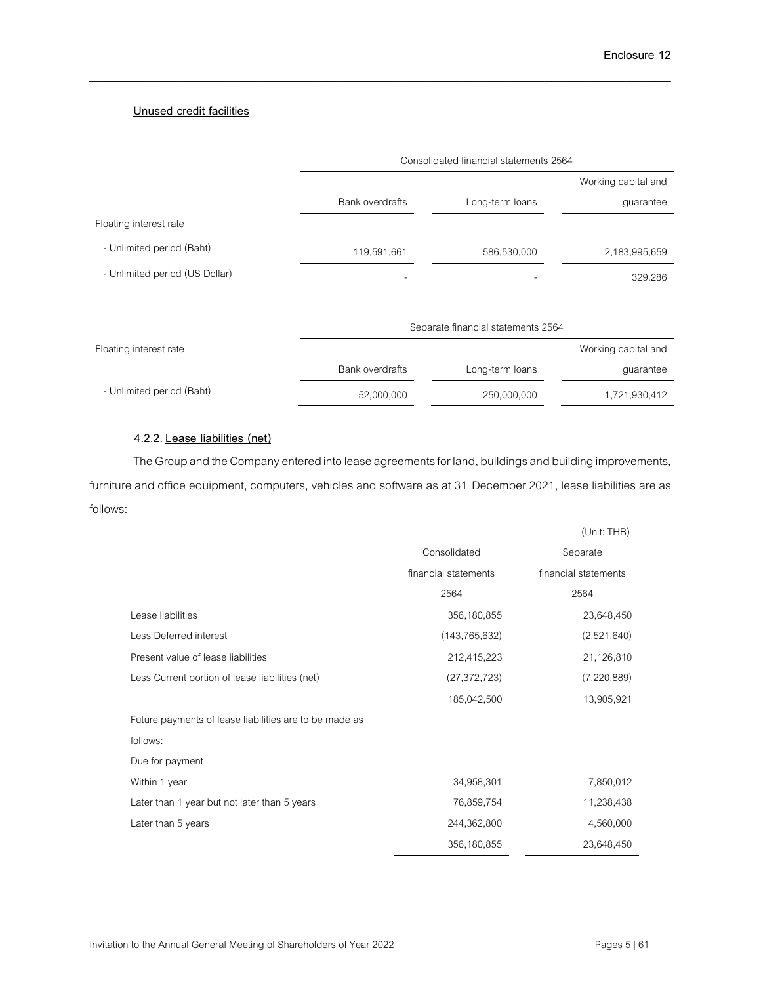## **Unused credit facilities**

|                                | Consolidated financial statements 2564 |                                    |                     |
|--------------------------------|----------------------------------------|------------------------------------|---------------------|
|                                |                                        |                                    | Working capital and |
|                                | <b>Bank overdrafts</b>                 | Long-term loans                    | guarantee           |
| Floating interest rate         |                                        |                                    |                     |
| - Unlimited period (Baht)      | 119,591,661                            | 586,530,000                        | 2,183,995,659       |
| - Unlimited period (US Dollar) |                                        |                                    | 329,286             |
|                                |                                        |                                    |                     |
|                                |                                        | Separate financial statements 2564 |                     |
| Floating interest rate         |                                        |                                    | Working capital and |
|                                | <b>Bank overdrafts</b>                 | Long-term loans                    | guarantee           |
| - Unlimited period (Baht)      | 52,000,000                             | 250,000,000                        | 1,721,930,412       |

\_\_\_\_\_\_\_\_\_\_\_\_\_\_\_\_\_\_\_\_\_\_\_\_\_\_\_\_\_\_\_\_\_\_\_\_\_\_\_\_\_\_\_\_\_\_\_\_\_\_\_\_\_\_\_\_\_\_\_\_\_\_\_\_\_\_\_\_\_\_\_\_\_\_\_\_\_\_

## **4.2.2.Lease liabilities (net)**

The Group and the Company entered into lease agreements for land, buildings and building improvements, furniture and office equipment, computers, vehicles and software as at 31 December 2021, lease liabilities are as follows:

|                                                        |                      | (Unit: THB)          |
|--------------------------------------------------------|----------------------|----------------------|
|                                                        | Consolidated         | Separate             |
|                                                        | financial statements | financial statements |
|                                                        | 2564                 | 2564                 |
| Lease liabilities                                      | 356,180,855          | 23,648,450           |
| Less Deferred interest                                 | (143, 765, 632)      | (2,521,640)          |
| Present value of lease liabilities                     | 212,415,223          | 21,126,810           |
| Less Current portion of lease liabilities (net)        | (27, 372, 723)       | (7,220,889)          |
|                                                        | 185,042,500          | 13,905,921           |
| Future payments of lease liabilities are to be made as |                      |                      |
| follows:                                               |                      |                      |
| Due for payment                                        |                      |                      |
| Within 1 year                                          | 34,958,301           | 7,850,012            |
| Later than 1 year but not later than 5 years           | 76,859,754           | 11,238,438           |
| Later than 5 years                                     | 244,362,800          | 4,560,000            |
|                                                        | 356,180,855          | 23,648,450           |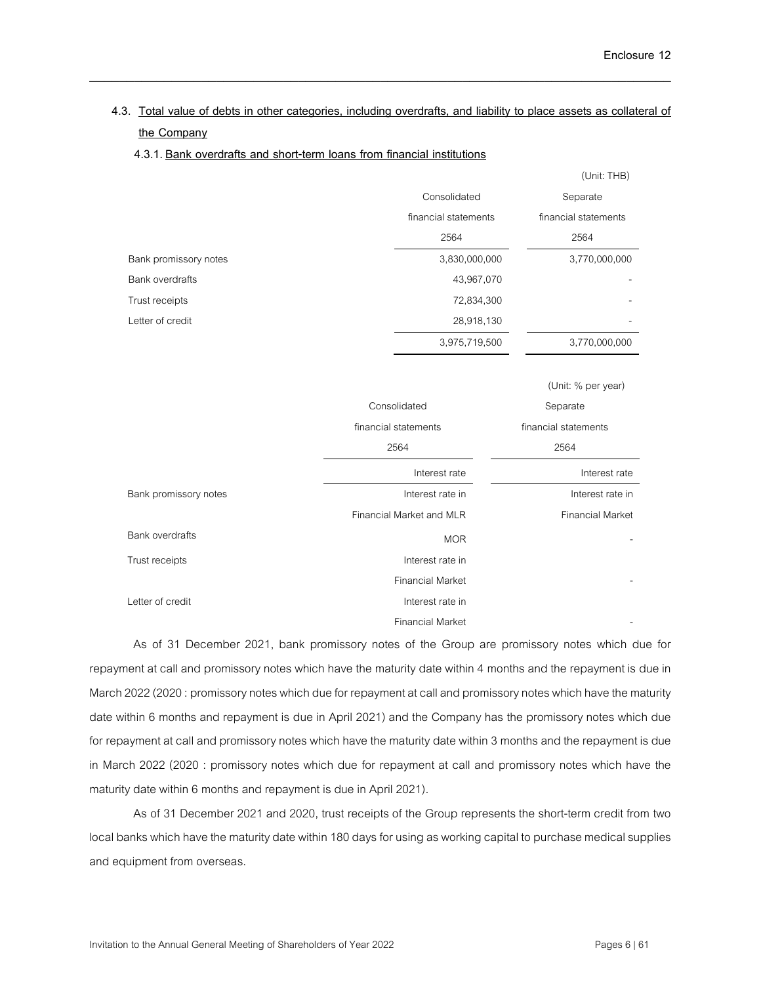# **4.3. Total value of debts in other categories, including overdrafts, and liability to place assets as collateral of the Company**

\_\_\_\_\_\_\_\_\_\_\_\_\_\_\_\_\_\_\_\_\_\_\_\_\_\_\_\_\_\_\_\_\_\_\_\_\_\_\_\_\_\_\_\_\_\_\_\_\_\_\_\_\_\_\_\_\_\_\_\_\_\_\_\_\_\_\_\_\_\_\_\_\_\_\_\_\_\_

### **4.3.1. Bank overdrafts and short-term loans from financial institutions**

|                        |                      | (Unit: THB)          |
|------------------------|----------------------|----------------------|
|                        | Consolidated         | Separate             |
|                        | financial statements | financial statements |
|                        | 2564                 | 2564                 |
| Bank promissory notes  | 3,830,000,000        | 3,770,000,000        |
| <b>Bank overdrafts</b> | 43,967,070           |                      |
| Trust receipts         | 72,834,300           |                      |
| I etter of credit      | 28,918,130           | ۰                    |
|                        | 3,975,719,500        | 3,770,000,000        |

|                        |                          | (Unit: % per year)      |
|------------------------|--------------------------|-------------------------|
|                        | Consolidated             | Separate                |
|                        | financial statements     | financial statements    |
|                        | 2564                     | 2564                    |
|                        | Interest rate            | Interest rate           |
| Bank promissory notes  | Interest rate in         | Interest rate in        |
|                        | Financial Market and MLR | <b>Financial Market</b> |
| <b>Bank overdrafts</b> | <b>MOR</b>               |                         |
| Trust receipts         | Interest rate in         |                         |
|                        | <b>Financial Market</b>  |                         |
| I etter of credit      | Interest rate in         |                         |
|                        | <b>Financial Market</b>  |                         |

As of 31 December 2021, bank promissory notes of the Group are promissory notes which due for repayment at call and promissory notes which have the maturity date within 4 months and the repayment is due in March 2022(2020: promissory notes which due for repayment at call and promissory notes which have the maturity date within 6 months and repayment is due in April 2021) and the Company has the promissory notes which due for repayment at call and promissory notes which have the maturity date within 3 months and the repayment is due in March 2022 (2020 : promissory notes which due for repayment at call and promissory notes which have the maturity date within 6 months and repayment is due in April 2021).

As of 31 December 2021 and 2020, trust receipts of the Group represents the short-term credit from two local banks which have the maturity date within 180 days for using as working capital to purchase medical supplies and equipment from overseas.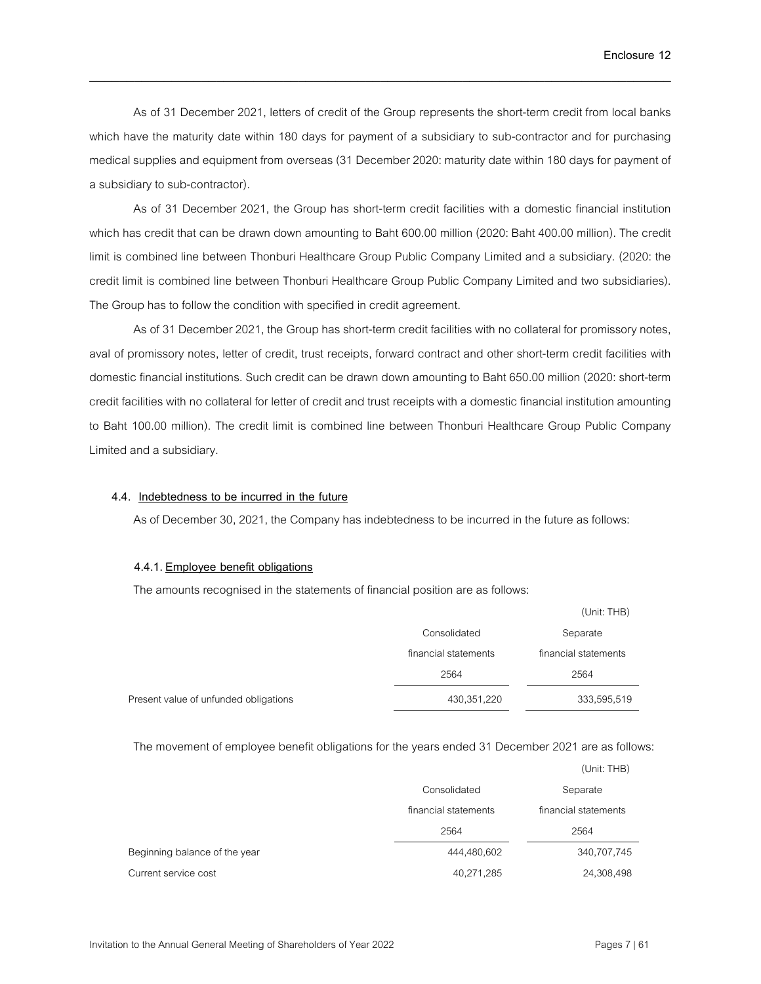As of 31 December 2021, letters of credit of the Group represents the short-term credit from local banks which have the maturity date within 180 days for payment of a subsidiary to sub-contractor and for purchasing medical supplies and equipment from overseas (31 December 2020: maturity date within 180 days for payment of a subsidiary to sub-contractor).

\_\_\_\_\_\_\_\_\_\_\_\_\_\_\_\_\_\_\_\_\_\_\_\_\_\_\_\_\_\_\_\_\_\_\_\_\_\_\_\_\_\_\_\_\_\_\_\_\_\_\_\_\_\_\_\_\_\_\_\_\_\_\_\_\_\_\_\_\_\_\_\_\_\_\_\_\_\_

As of 31 December 2021, the Group has short-term credit facilities with a domestic financial institution which has credit that can be drawn down amounting to Baht 600.00 million (2020: Baht 400.00 million). The credit limit is combined line between Thonburi Healthcare Group Public Company Limited and a subsidiary. (2020: the credit limit is combined line between Thonburi Healthcare Group Public Company Limited and two subsidiaries). The Group has to follow the condition with specified in credit agreement.

As of 31 December 2021, the Group has short-term credit facilities with no collateral for promissory notes, aval of promissory notes, letter of credit, trust receipts, forward contract and other short-term credit facilities with domestic financial institutions. Such credit can be drawn down amounting to Baht 650.00 million (2020: short-term credit facilities with no collateral for letter of credit and trust receipts with a domestic financial institution amounting to Baht 100.00 million). The credit limit is combined line between Thonburi Healthcare Group Public Company Limited and a subsidiary.

## **4.4. Indebtedness to be incurred in the future**

As of December 30, 2021, the Company has indebtedness to be incurred in the future as follows:

#### **4.4.1. Employee benefit obligations**

The amounts recognised in the statements of financial position are as follows:

|                                       |                      | (Unit: THB)          |
|---------------------------------------|----------------------|----------------------|
|                                       | Consolidated         | Separate             |
|                                       | financial statements | financial statements |
|                                       | 2564                 | 2564                 |
| Present value of unfunded obligations | 430,351,220          | 333,595,519          |

The movement of employee benefit obligations for the years ended 31 December 2021 are as follows:

|                               |                      | (Unit: THB)          |
|-------------------------------|----------------------|----------------------|
|                               | Consolidated         | Separate             |
|                               | financial statements | financial statements |
|                               | 2564                 | 2564                 |
| Beginning balance of the year | 444,480,602          | 340,707,745          |
| Current service cost          | 40,271,285           | 24,308,498           |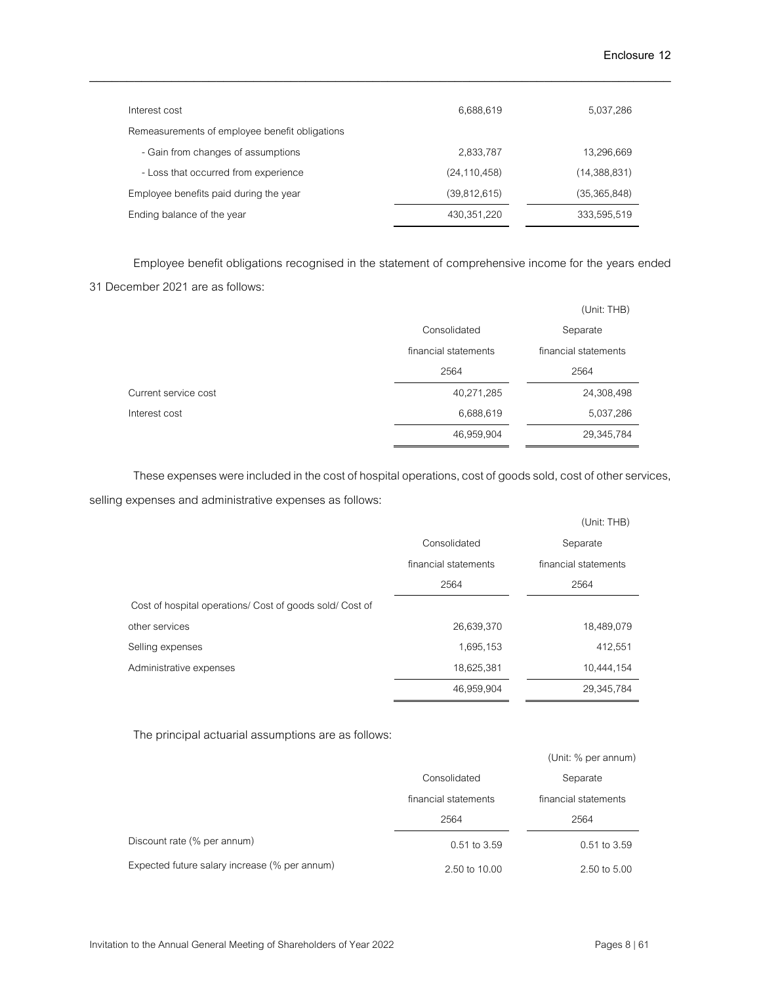| Interest cost                                  | 6,688,619      | 5,037,286    |
|------------------------------------------------|----------------|--------------|
| Remeasurements of employee benefit obligations |                |              |
| - Gain from changes of assumptions             | 2,833,787      | 13,296,669   |
| - Loss that occurred from experience           | (24, 110, 458) | (14,388,831) |
| Employee benefits paid during the year         | (39,812,615)   | (35,365,848) |
| Ending balance of the year                     | 430, 351, 220  | 333,595,519  |

Employee benefit obligations recognised in the statement of comprehensive income for the years ended 31 December 2021are as follows:

|                      |                      | (Unit: THB)          |
|----------------------|----------------------|----------------------|
|                      | Consolidated         | Separate             |
|                      | financial statements | financial statements |
|                      | 2564                 | 2564                 |
| Current service cost | 40,271,285           | 24,308,498           |
| Interest cost        | 6,688,619            | 5,037,286            |
|                      | 46,959,904           | 29,345,784           |

These expenses were included in the cost of hospital operations, cost of goods sold, cost of other services, selling expenses and administrative expenses as follows:

|                                                          |                      | (Unit: THB)          |
|----------------------------------------------------------|----------------------|----------------------|
|                                                          | Consolidated         | Separate             |
|                                                          | financial statements | financial statements |
|                                                          | 2564                 | 2564                 |
| Cost of hospital operations/ Cost of goods sold/ Cost of |                      |                      |
| other services                                           | 26,639,370           | 18,489,079           |
| Selling expenses                                         | 1,695,153            | 412,551              |
| Administrative expenses                                  | 18,625,381           | 10,444,154           |
|                                                          | 46,959,904           | 29,345,784           |

The principal actuarial assumptions are as follows:

|                                               |                      | (Unit: % per annum)  |
|-----------------------------------------------|----------------------|----------------------|
|                                               | Consolidated         | Separate             |
|                                               | financial statements | financial statements |
|                                               | 2564                 | 2564                 |
| Discount rate (% per annum)                   | $0.51$ to $3.59$     | $0.51$ to $3.59$     |
| Expected future salary increase (% per annum) | 2.50 to 10.00        | 2.50 to 5.00         |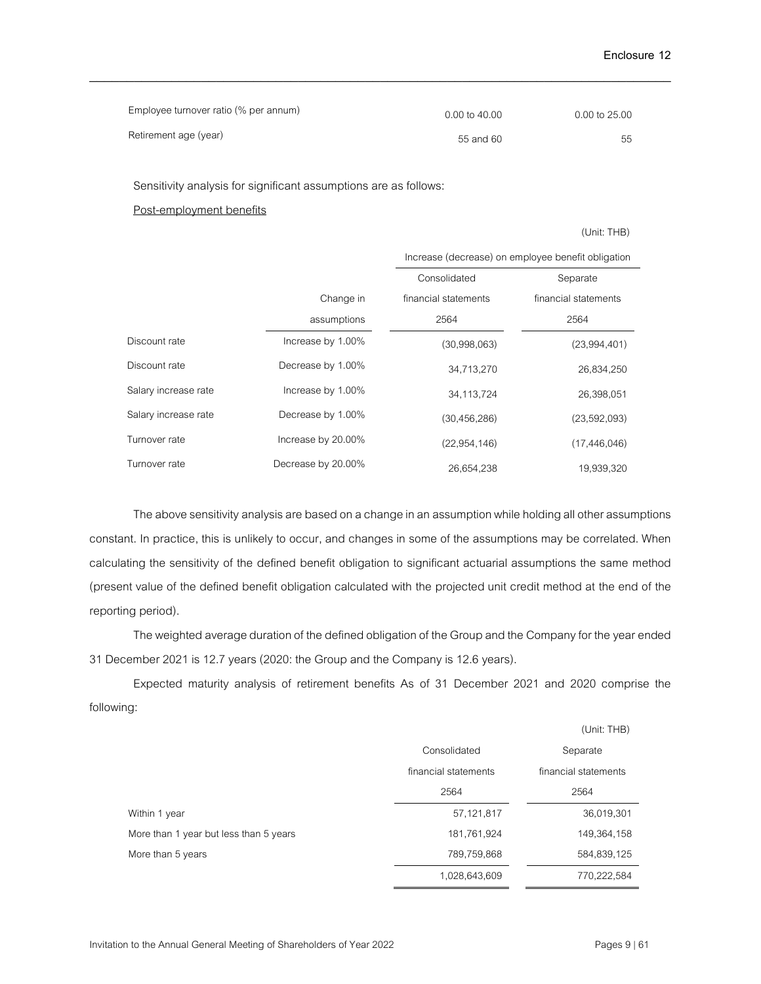| Employee turnover ratio (% per annum) | 0.00 to 40.00 | 0.00 to 25.00 |
|---------------------------------------|---------------|---------------|
| Retirement age (year)                 | 55 and 60     | 55            |

Sensitivity analysis for significant assumptions are as follows:

#### Post-employment benefits

(Unit: THB)

|                      |                    | Increase (decrease) on employee benefit obligation |                      |
|----------------------|--------------------|----------------------------------------------------|----------------------|
|                      |                    | Consolidated                                       | Separate             |
|                      | Change in          | financial statements                               | financial statements |
|                      | assumptions        | 2564                                               | 2564                 |
| Discount rate        | Increase by 1.00%  | (30,998,063)                                       | (23,994,401)         |
| Discount rate        | Decrease by 1.00%  | 34,713,270                                         | 26,834,250           |
| Salary increase rate | Increase by 1.00%  | 34,113,724                                         | 26,398,051           |
| Salary increase rate | Decrease by 1.00%  | (30, 456, 286)                                     | (23,592,093)         |
| Turnover rate        | Increase by 20.00% | (22, 954, 146)                                     | (17, 446, 046)       |
| Turnover rate        | Decrease by 20.00% | 26,654,238                                         | 19,939,320           |

The above sensitivity analysis are based on a change in an assumption while holding all other assumptions constant. In practice, this is unlikely to occur, and changes in some of the assumptions may be correlated. When calculating the sensitivity of the defined benefit obligation to significant actuarial assumptions the same method (present value of the defined benefit obligation calculated with the projected unit credit method at the end of the reporting period).

The weighted average duration of the defined obligation of the Group and the Company for the year ended 31 December 2021 is 12.7 years (2020: the Group and the Company is 12.6 years).

Expected maturity analysis of retirement benefits As of 31 December 2021 and 2020 comprise the following:

|                                        |                      | (Unit: THB)          |
|----------------------------------------|----------------------|----------------------|
|                                        | Consolidated         | Separate             |
|                                        | financial statements | financial statements |
|                                        | 2564                 | 2564                 |
| Within 1 year                          | 57,121,817           | 36,019,301           |
| More than 1 year but less than 5 years | 181,761,924          | 149,364,158          |
| More than 5 years                      | 789,759,868          | 584,839,125          |
|                                        | 1,028,643,609        | 770,222,584          |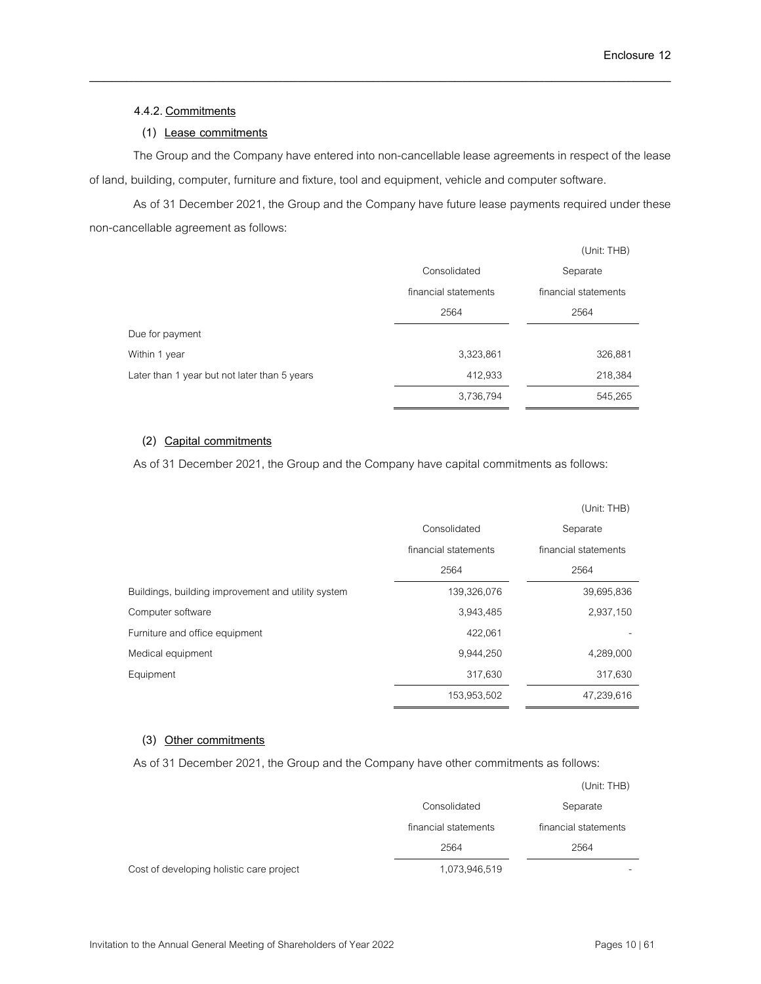### **4.4.2. Commitments**

## **(1) Lease commitments**

The Group and the Company have entered into non-cancellable lease agreements in respect of the lease of land, building, computer, furniture and fixture, tool and equipment, vehicle and computer software.

\_\_\_\_\_\_\_\_\_\_\_\_\_\_\_\_\_\_\_\_\_\_\_\_\_\_\_\_\_\_\_\_\_\_\_\_\_\_\_\_\_\_\_\_\_\_\_\_\_\_\_\_\_\_\_\_\_\_\_\_\_\_\_\_\_\_\_\_\_\_\_\_\_\_\_\_\_\_

As of 31 December 2021, the Group and the Company have future lease payments required under these non-cancellable agreement as follows:

|                                              |                      | (Unit: THB)          |
|----------------------------------------------|----------------------|----------------------|
|                                              | Consolidated         | Separate             |
|                                              | financial statements | financial statements |
|                                              | 2564                 | 2564                 |
| Due for payment                              |                      |                      |
| Within 1 year                                | 3,323,861            | 326,881              |
| Later than 1 year but not later than 5 years | 412,933              | 218,384              |
|                                              | 3,736,794            | 545,265              |

## **(2) Capital commitments**

As of31 December 2021, the Group and the Company have capital commitments as follows:

|                                                    |                      | (Unit: THB)          |
|----------------------------------------------------|----------------------|----------------------|
|                                                    | Consolidated         | Separate             |
|                                                    | financial statements | financial statements |
|                                                    | 2564                 | 2564                 |
| Buildings, building improvement and utility system | 139,326,076          | 39,695,836           |
| Computer software                                  | 3,943,485            | 2,937,150            |
| Furniture and office equipment                     | 422,061              |                      |
| Medical equipment                                  | 9,944,250            | 4,289,000            |
| Equipment                                          | 317,630              | 317,630              |
|                                                    | 153,953,502          | 47,239,616           |

### **(3) Other commitments**

As of31 December 2021, the Group and the Company have other commitments as follows:

|                                          |                      | (Unit: THB)          |
|------------------------------------------|----------------------|----------------------|
|                                          | Consolidated         | Separate             |
|                                          | financial statements | financial statements |
|                                          | 2564                 | 2564                 |
| Cost of developing holistic care project | 1,073,946,519        |                      |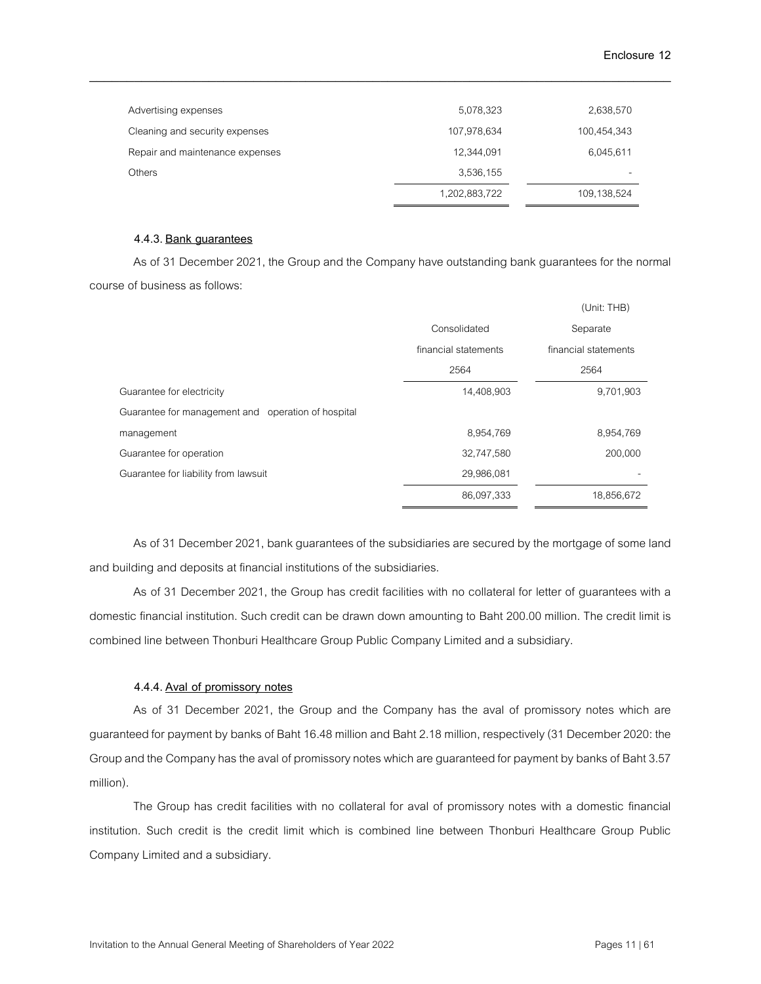| Advertising expenses            | 5,078,323     | 2,638,570   |
|---------------------------------|---------------|-------------|
| Cleaning and security expenses  | 107,978,634   | 100,454,343 |
| Repair and maintenance expenses | 12,344,091    | 6,045,611   |
| <b>Others</b>                   | 3,536,155     |             |
|                                 | 1,202,883,722 | 109,138,524 |

#### **4.4.3. Bank guarantees**

As of 31 December 2021, the Group and the Company have outstanding bank guarantees for the normal course of business as follows:

|                                                    |                      | (Unit: THB)          |
|----------------------------------------------------|----------------------|----------------------|
|                                                    | Consolidated         | Separate             |
|                                                    | financial statements | financial statements |
|                                                    | 2564                 | 2564                 |
| Guarantee for electricity                          | 14,408,903           | 9,701,903            |
| Guarantee for management and operation of hospital |                      |                      |
| management                                         | 8,954,769            | 8,954,769            |
| Guarantee for operation                            | 32,747,580           | 200,000              |
| Guarantee for liability from lawsuit               | 29,986,081           |                      |
|                                                    | 86,097,333           | 18,856,672           |

As of 31 December 2021, bank guarantees of the subsidiaries are secured by the mortgage of some land and building and deposits at financial institutions of the subsidiaries.

As of 31 December 2021, the Group has credit facilities with no collateral for letter of guarantees with a domestic financial institution. Such credit can be drawn down amounting to Baht 200.00 million. The credit limit is combined line between Thonburi Healthcare Group Public Company Limited and a subsidiary.

### **4.4.4. Aval of promissory notes**

As of 31 December 2021, the Group and the Company has the aval of promissory notes which are guaranteed for payment by banks of Baht 16.48 million and Baht 2.18 million, respectively (31 December 2020: the Group and the Company has the aval of promissory notes which are guaranteed for payment by banks of Baht 3.57 million).

The Group has credit facilities with no collateral for aval of promissory notes with a domestic financial institution. Such credit is the credit limit which is combined line between Thonburi Healthcare Group Public Company Limited and a subsidiary.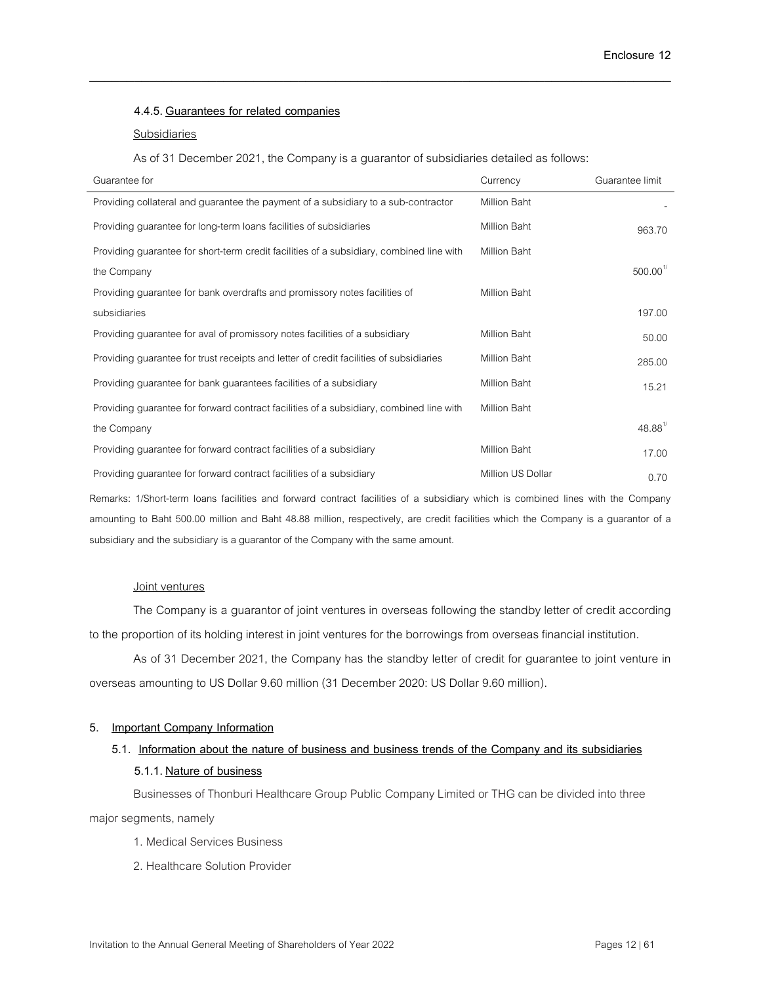#### **4.4.5. Guarantees for related companies**

#### Subsidiaries

As of 31 December 2021, the Company is a guarantor of subsidiaries detailed as follows:

\_\_\_\_\_\_\_\_\_\_\_\_\_\_\_\_\_\_\_\_\_\_\_\_\_\_\_\_\_\_\_\_\_\_\_\_\_\_\_\_\_\_\_\_\_\_\_\_\_\_\_\_\_\_\_\_\_\_\_\_\_\_\_\_\_\_\_\_\_\_\_\_\_\_\_\_\_\_

| Guarantee for                                                                            | Currency            | Guarantee limit        |
|------------------------------------------------------------------------------------------|---------------------|------------------------|
| Providing collateral and guarantee the payment of a subsidiary to a sub-contractor       | Million Baht        |                        |
| Providing guarantee for long-term loans facilities of subsidiaries                       | Million Baht        | 963.70                 |
| Providing guarantee for short-term credit facilities of a subsidiary, combined line with | Million Baht        |                        |
| the Company                                                                              |                     | $500.00$ <sup>1/</sup> |
| Providing guarantee for bank overdrafts and promissory notes facilities of               | <b>Million Baht</b> |                        |
| subsidiaries                                                                             |                     | 197.00                 |
| Providing guarantee for aval of promissory notes facilities of a subsidiary              | Million Baht        | 50.00                  |
| Providing guarantee for trust receipts and letter of credit facilities of subsidiaries   | Million Baht        | 285.00                 |
| Providing guarantee for bank guarantees facilities of a subsidiary                       | Million Baht        | 15.21                  |
| Providing guarantee for forward contract facilities of a subsidiary, combined line with  | Million Baht        |                        |
| the Company                                                                              |                     | $48.88^{\frac{1}{2}}$  |
| Providing guarantee for forward contract facilities of a subsidiary                      | Million Baht        | 17.00                  |
| Providing guarantee for forward contract facilities of a subsidiary                      | Million US Dollar   | 0.70                   |

Remarks: 1/Short-term loans facilities and forward contract facilities of a subsidiary which is combined lines with the Company amounting to Baht 500.00 million and Baht 48.88 million, respectively, are credit facilities which the Company is a guarantor of a subsidiary and the subsidiary is a guarantor of the Company with the same amount.

#### Joint ventures

The Company is a guarantor of joint ventures in overseas following the standby letter of credit according to the proportion of its holding interest in joint ventures for the borrowings from overseas financial institution.

As of 31 December 2021, the Company has the standby letter of credit for guarantee to joint venture in overseas amounting to US Dollar 9.60 million (31 December 2020: US Dollar 9.60 million).

### **5. Important Company Information**

# **5.1. Information about the nature of business and business trends of the Company and its subsidiaries 5.1.1. Nature of business**

Businesses of Thonburi Healthcare Group Public Company Limited or THG can be divided into three major segments, namely

- 1. Medical Services Business
- 2. Healthcare Solution Provider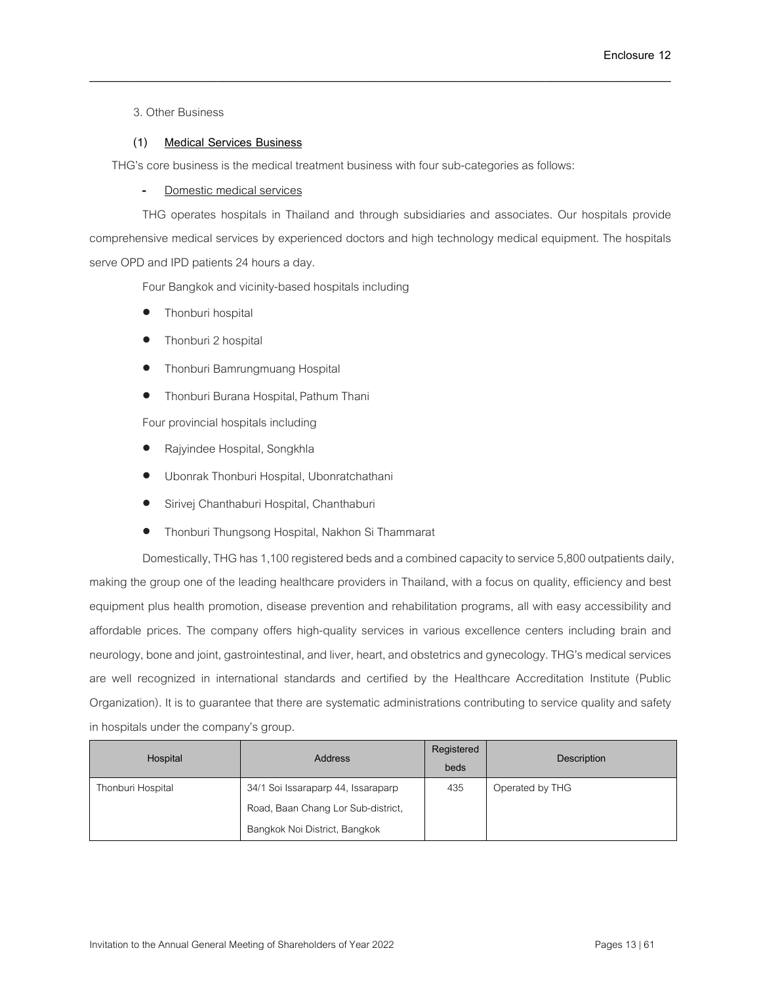3. Other Business

## **(1) Medical Services Business**

THG's core business is the medical treatment business with four sub-categories as follows:

Domestic medical services

THG operates hospitals in Thailand and through subsidiaries and associates. Our hospitals provide comprehensive medical services by experienced doctors and high technology medical equipment. The hospitals serve OPD and IPD patients 24 hours a day.

\_\_\_\_\_\_\_\_\_\_\_\_\_\_\_\_\_\_\_\_\_\_\_\_\_\_\_\_\_\_\_\_\_\_\_\_\_\_\_\_\_\_\_\_\_\_\_\_\_\_\_\_\_\_\_\_\_\_\_\_\_\_\_\_\_\_\_\_\_\_\_\_\_\_\_\_\_\_

Four Bangkok and vicinity-based hospitals including

- Thonburi hospital
- Thonburi 2 hospital
- Thonburi Bamrungmuang Hospital
- Thonburi Burana Hospital, Pathum Thani

Four provincial hospitals including

- Rajyindee Hospital, Songkhla
- Ubonrak Thonburi Hospital, Ubonratchathani
- Sirivej Chanthaburi Hospital, Chanthaburi
- Thonburi Thungsong Hospital, Nakhon Si Thammarat

Domestically, THG has 1,100 registered beds and a combined capacity to service 5,800 outpatients daily, making the group one of the leading healthcare providers in Thailand, with a focus on quality, efficiency and best equipment plus health promotion, disease prevention and rehabilitation programs, all with easy accessibility and affordable prices. The company offers high-quality services in various excellence centers including brain and neurology, bone and joint, gastrointestinal, and liver, heart, and obstetrics and gynecology. THG's medical services are well recognized in international standards and certified by the Healthcare Accreditation Institute (Public Organization). It is to guarantee that there are systematic administrations contributing to service quality and safety in hospitals under the company's group.

| Hospital          | <b>Address</b>                     | Registered<br>beds | Description     |
|-------------------|------------------------------------|--------------------|-----------------|
| Thonburi Hospital | 34/1 Soi Issaraparp 44, Issaraparp | 435                | Operated by THG |
|                   | Road, Baan Chang Lor Sub-district, |                    |                 |
|                   | Bangkok Noi District, Bangkok      |                    |                 |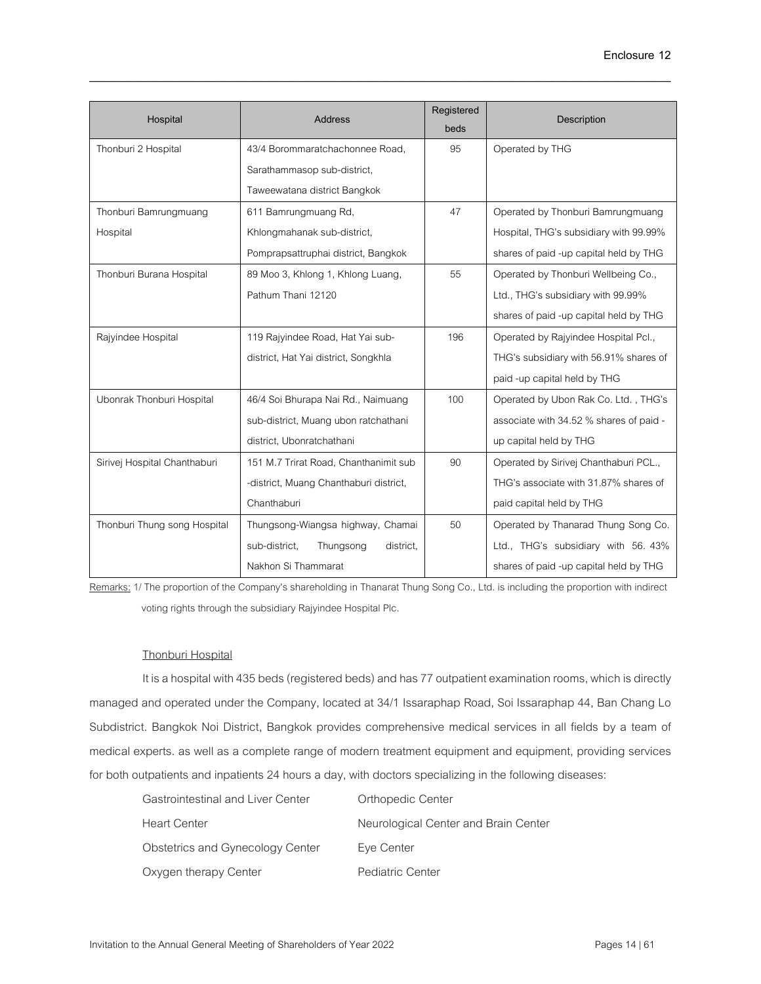| Hospital                     | <b>Address</b>                          | Registered<br>beds | Description                             |
|------------------------------|-----------------------------------------|--------------------|-----------------------------------------|
| Thonburi 2 Hospital          | 43/4 Borommaratchachonnee Road,         | 95                 | Operated by THG                         |
|                              | Sarathammasop sub-district,             |                    |                                         |
|                              | Taweewatana district Bangkok            |                    |                                         |
| Thonburi Bamrungmuang        | 611 Bamrungmuang Rd,                    | 47                 | Operated by Thonburi Bamrungmuang       |
| Hospital                     | Khlongmahanak sub-district,             |                    | Hospital, THG's subsidiary with 99.99%  |
|                              | Pomprapsattruphai district, Bangkok     |                    | shares of paid -up capital held by THG  |
| Thonburi Burana Hospital     | 89 Moo 3, Khlong 1, Khlong Luang,       | 55                 | Operated by Thonburi Wellbeing Co.,     |
|                              | Pathum Thani 12120                      |                    | Ltd., THG's subsidiary with 99.99%      |
|                              |                                         |                    | shares of paid -up capital held by THG  |
| Rajyindee Hospital           | 119 Rajyindee Road, Hat Yai sub-        | 196                | Operated by Rajyindee Hospital Pcl.,    |
|                              | district, Hat Yai district, Songkhla    |                    | THG's subsidiary with 56.91% shares of  |
|                              |                                         |                    | paid -up capital held by THG            |
| Ubonrak Thonburi Hospital    | 46/4 Soi Bhurapa Nai Rd., Naimuang      | 100                | Operated by Ubon Rak Co. Ltd., THG's    |
|                              | sub-district, Muang ubon ratchathani    |                    | associate with 34.52 % shares of paid - |
|                              | district, Ubonratchathani               |                    | up capital held by THG                  |
| Sirivej Hospital Chanthaburi | 151 M.7 Trirat Road, Chanthanimit sub   | 90                 | Operated by Sirivej Chanthaburi PCL.,   |
|                              | -district, Muang Chanthaburi district,  |                    | THG's associate with 31.87% shares of   |
|                              | Chanthaburi                             |                    | paid capital held by THG                |
| Thonburi Thung song Hospital | Thungsong-Wiangsa highway, Chamai       | 50                 | Operated by Thanarad Thung Song Co.     |
|                              | sub-district,<br>Thungsong<br>district, |                    | Ltd., THG's subsidiary with 56. 43%     |
|                              | Nakhon Si Thammarat                     |                    | shares of paid -up capital held by THG  |

Remarks: 1/ The proportion of the Company's shareholding in Thanarat Thung Song Co., Ltd. is including the proportion with indirect voting rights through the subsidiary Rajyindee Hospital Plc.

## Thonburi Hospital

It is a hospital with 435 beds (registered beds) and has 77 outpatient examination rooms, which is directly managed and operated under the Company, located at 34/1 Issaraphap Road, Soi Issaraphap 44, Ban Chang Lo Subdistrict. Bangkok Noi District, Bangkok provides comprehensive medical services in all fields by a team of medical experts. as well as a complete range of modern treatment equipment and equipment, providing services for both outpatients and inpatients 24 hours a day, with doctors specializing in the following diseases:

| Gastrointestinal and Liver Center | Orthopedic Center                    |
|-----------------------------------|--------------------------------------|
| Heart Center                      | Neurological Center and Brain Center |
| Obstetrics and Gynecology Center  | Eye Center                           |
| Oxygen therapy Center             | Pediatric Center                     |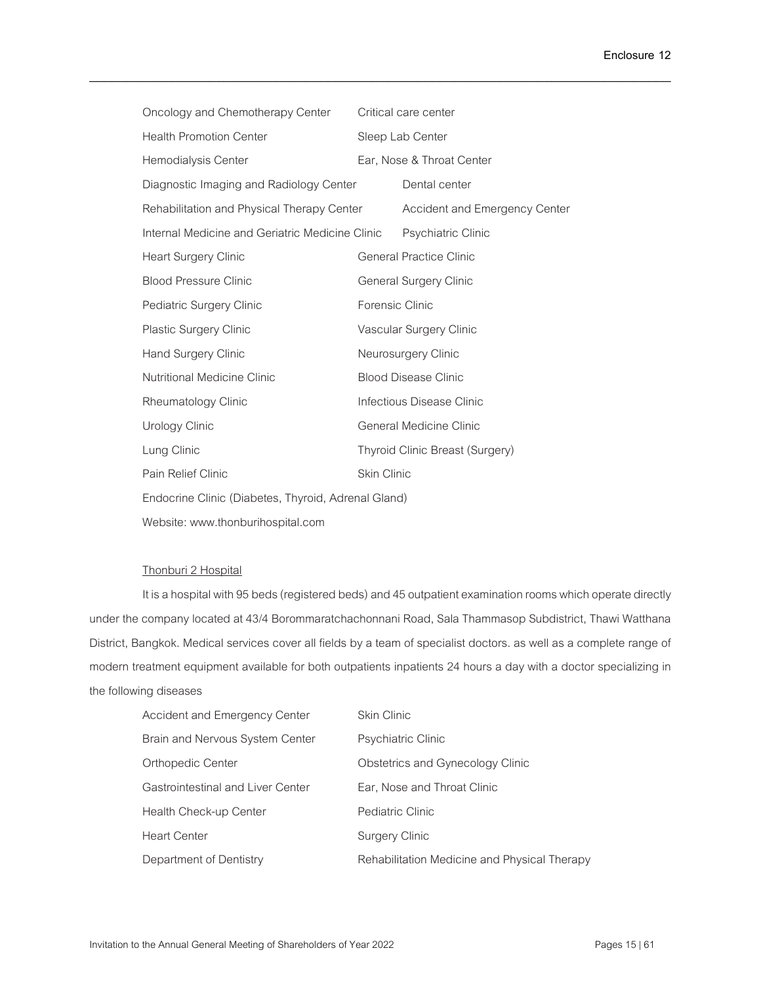| Oncology and Chemotherapy Center                    |                           | Critical care center            |
|-----------------------------------------------------|---------------------------|---------------------------------|
| <b>Health Promotion Center</b>                      | Sleep Lab Center          |                                 |
| Hemodialysis Center                                 | Ear, Nose & Throat Center |                                 |
| Diagnostic Imaging and Radiology Center             |                           | Dental center                   |
| Rehabilitation and Physical Therapy Center          |                           | Accident and Emergency Center   |
| Internal Medicine and Geriatric Medicine Clinic     |                           | Psychiatric Clinic              |
| <b>Heart Surgery Clinic</b>                         |                           | <b>General Practice Clinic</b>  |
| <b>Blood Pressure Clinic</b>                        |                           | General Surgery Clinic          |
| Pediatric Surgery Clinic                            | Forensic Clinic           |                                 |
| <b>Plastic Surgery Clinic</b>                       |                           | Vascular Surgery Clinic         |
| Hand Surgery Clinic                                 |                           | Neurosurgery Clinic             |
| <b>Nutritional Medicine Clinic</b>                  |                           | <b>Blood Disease Clinic</b>     |
| Rheumatology Clinic                                 |                           | Infectious Disease Clinic       |
| Urology Clinic                                      |                           | General Medicine Clinic         |
| Lung Clinic                                         |                           | Thyroid Clinic Breast (Surgery) |
| Pain Relief Clinic                                  | Skin Clinic               |                                 |
| Endocrine Clinic (Diabetes, Thyroid, Adrenal Gland) |                           |                                 |
| Website: www.thonburihospital.com                   |                           |                                 |

### Thonburi 2 Hospital

It is a hospital with 95 beds (registered beds) and 45 outpatient examination rooms which operate directly under the company located at 43/4 Borommaratchachonnani Road, Sala Thammasop Subdistrict, Thawi Watthana District, Bangkok. Medical services cover all fields by a team of specialist doctors. as well as a complete range of modern treatment equipment available for both outpatients inpatients 24 hours a day with a doctor specializing in the following diseases

| Accident and Emergency Center     | <b>Skin Clinic</b>                           |
|-----------------------------------|----------------------------------------------|
| Brain and Nervous System Center   | <b>Psychiatric Clinic</b>                    |
| Orthopedic Center                 | Obstetrics and Gynecology Clinic             |
| Gastrointestinal and Liver Center | Ear, Nose and Throat Clinic                  |
| Health Check-up Center            | Pediatric Clinic                             |
| <b>Heart Center</b>               | Surgery Clinic                               |
| Department of Dentistry           | Rehabilitation Medicine and Physical Therapy |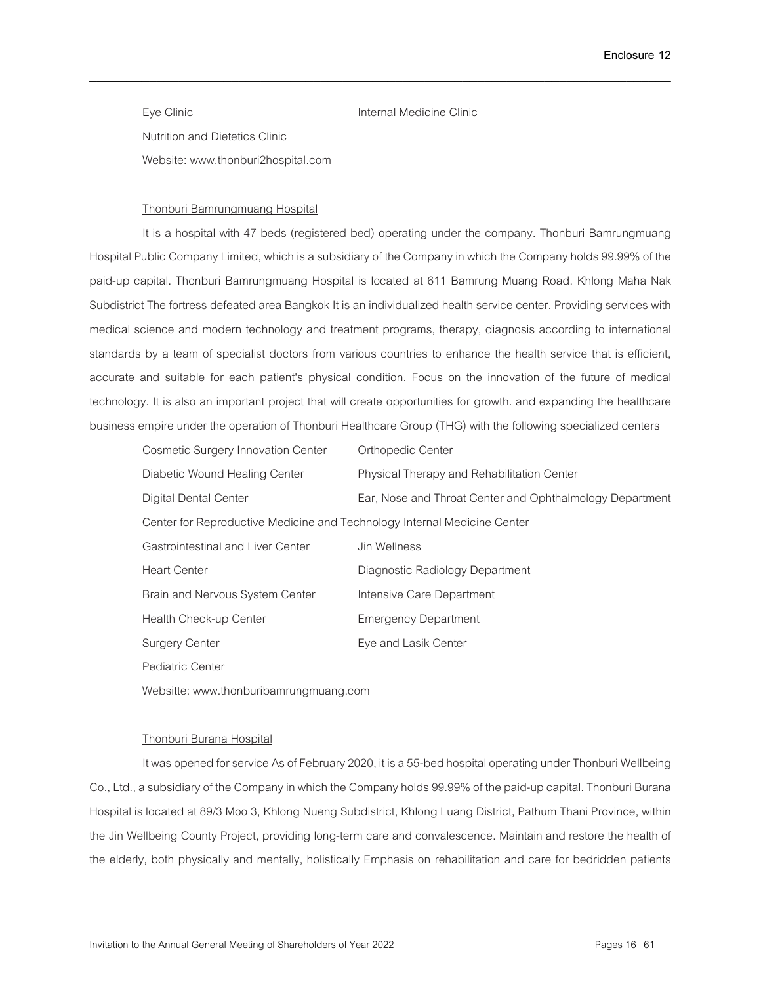Eye Clinic **Internal Medicine Clinic** Nutrition and Dietetics Clinic Website: www.thonburi2hospital.com

\_\_\_\_\_\_\_\_\_\_\_\_\_\_\_\_\_\_\_\_\_\_\_\_\_\_\_\_\_\_\_\_\_\_\_\_\_\_\_\_\_\_\_\_\_\_\_\_\_\_\_\_\_\_\_\_\_\_\_\_\_\_\_\_\_\_\_\_\_\_\_\_\_\_\_\_\_\_

### Thonburi Bamrungmuang Hospital

It is a hospital with 47 beds (registered bed) operating under the company. Thonburi Bamrungmuang Hospital Public Company Limited, which is a subsidiary of the Company in which the Company holds 99.99% of the paid-up capital. Thonburi Bamrungmuang Hospital is located at 611 Bamrung Muang Road. Khlong Maha Nak Subdistrict The fortress defeated area Bangkok It is an individualized health service center. Providing services with medical science and modern technology and treatment programs, therapy, diagnosis according to international standards by a team of specialist doctors from various countries to enhance the health service that is efficient, accurate and suitable for each patient's physical condition. Focus on the innovation of the future of medical technology. It is also an important project that will create opportunities for growth. and expanding the healthcare businessempire under the operation of Thonburi Healthcare Group (THG) with the following specialized centers

| Cosmetic Surgery Innovation Center                                       | Orthopedic Center                                        |
|--------------------------------------------------------------------------|----------------------------------------------------------|
| Diabetic Wound Healing Center                                            | Physical Therapy and Rehabilitation Center               |
| Digital Dental Center                                                    | Ear, Nose and Throat Center and Ophthalmology Department |
| Center for Reproductive Medicine and Technology Internal Medicine Center |                                                          |
| Gastrointestinal and Liver Center                                        | Jin Wellness                                             |
| <b>Heart Center</b>                                                      | Diagnostic Radiology Department                          |
| Brain and Nervous System Center                                          | Intensive Care Department                                |
| Health Check-up Center                                                   | <b>Emergency Department</b>                              |
| <b>Surgery Center</b>                                                    | Eye and Lasik Center                                     |
| <b>Pediatric Center</b>                                                  |                                                          |
| Websitte: www.thonburibamrungmuang.com                                   |                                                          |

Thonburi Burana Hospital

It was opened for service As of February 2020, it is a 55-bed hospital operating under Thonburi Wellbeing Co., Ltd., a subsidiary of the Company in which the Company holds 99.99% of the paid-up capital. Thonburi Burana Hospital is located at 89/3 Moo 3, Khlong Nueng Subdistrict, Khlong Luang District, Pathum Thani Province, within the Jin Wellbeing County Project, providing long-term care and convalescence. Maintain and restore the health of the elderly, both physically and mentally, holistically Emphasis on rehabilitation and care for bedridden patients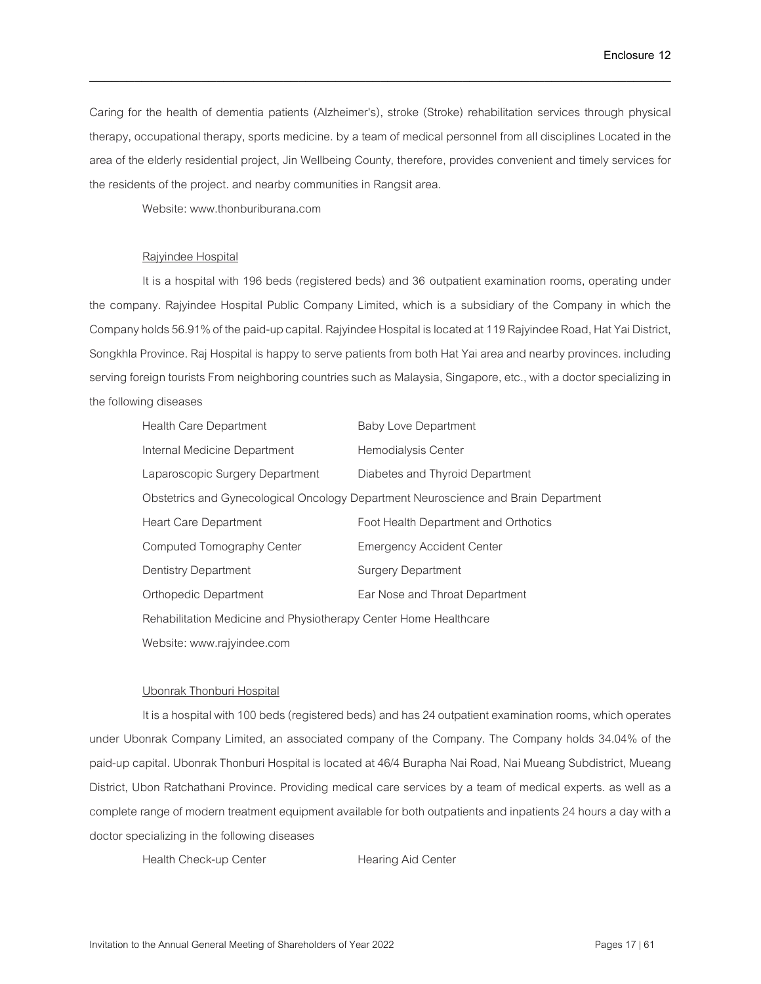Caring for the health of dementia patients (Alzheimer's), stroke (Stroke) rehabilitation services through physical therapy, occupational therapy, sports medicine. by a team of medical personnel from all disciplines Located in the area of the elderly residential project, Jin Wellbeing County, therefore, provides convenient and timely services for the residents of the project. and nearby communities in Rangsit area.

\_\_\_\_\_\_\_\_\_\_\_\_\_\_\_\_\_\_\_\_\_\_\_\_\_\_\_\_\_\_\_\_\_\_\_\_\_\_\_\_\_\_\_\_\_\_\_\_\_\_\_\_\_\_\_\_\_\_\_\_\_\_\_\_\_\_\_\_\_\_\_\_\_\_\_\_\_\_

Website: www.thonburiburana.com

#### Rajyindee Hospital

It is a hospital with 196 beds (registered beds) and 36 outpatient examination rooms, operating under the company. Rajyindee Hospital Public Company Limited, which is a subsidiary of the Company in which the Company holds 56.91% of the paid-up capital. Rajyindee Hospital is located at 119 Rajyindee Road, Hat Yai District, Songkhla Province. Raj Hospital is happy to serve patients from both Hat Yai area and nearby provinces. including serving foreign tourists From neighboring countries such as Malaysia, Singapore, etc., with a doctor specializing in the following diseases

| Health Care Department                                           | <b>Baby Love Department</b>                                                        |
|------------------------------------------------------------------|------------------------------------------------------------------------------------|
| Internal Medicine Department                                     | Hemodialysis Center                                                                |
| Laparoscopic Surgery Department                                  | Diabetes and Thyroid Department                                                    |
|                                                                  | Obstetrics and Gynecological Oncology Department Neuroscience and Brain Department |
| <b>Heart Care Department</b>                                     | Foot Health Department and Orthotics                                               |
| Computed Tomography Center                                       | <b>Emergency Accident Center</b>                                                   |
| Dentistry Department                                             | <b>Surgery Department</b>                                                          |
| <b>Orthopedic Department</b>                                     | Ear Nose and Throat Department                                                     |
| Rehabilitation Medicine and Physiotherapy Center Home Healthcare |                                                                                    |
| Website: www.rajyindee.com                                       |                                                                                    |

#### Ubonrak Thonburi Hospital

It is a hospital with 100 beds (registered beds) and has 24 outpatient examination rooms, which operates under Ubonrak Company Limited, an associated company of the Company. The Company holds 34.04% of the paid-up capital. Ubonrak Thonburi Hospital is located at 46/4 Burapha Nai Road, Nai Mueang Subdistrict, Mueang District, Ubon Ratchathani Province. Providing medical care services by a team of medical experts. as well as a complete range of modern treatment equipment available for both outpatients and inpatients 24 hours a day with a doctor specializing in the following diseases

Health Check-up Center Hearing Aid Center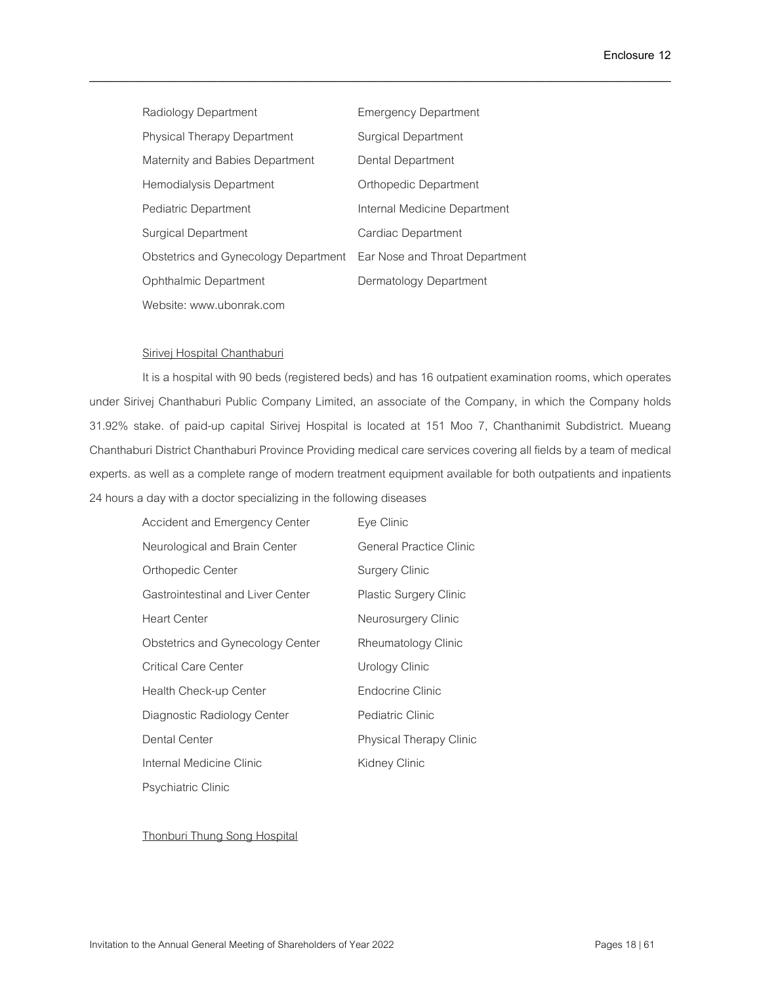| Radiology Department                                                | <b>Emergency Department</b>  |
|---------------------------------------------------------------------|------------------------------|
| <b>Physical Therapy Department</b>                                  | <b>Surgical Department</b>   |
| Maternity and Babies Department                                     | Dental Department            |
| Hemodialysis Department                                             | Orthopedic Department        |
| Pediatric Department                                                | Internal Medicine Department |
| <b>Surgical Department</b>                                          | Cardiac Department           |
| Obstetrics and Gynecology Department Ear Nose and Throat Department |                              |
| Ophthalmic Department                                               | Dermatology Department       |
| Website: www.ubonrak.com                                            |                              |

#### Sirivej Hospital Chanthaburi

It is a hospital with 90 beds (registered beds) and has 16 outpatient examination rooms, which operates under Sirivej Chanthaburi Public Company Limited, an associate of the Company, in which the Company holds 31.92% stake. of paid-up capital Sirivej Hospital is located at 151 Moo 7, Chanthanimit Subdistrict. Mueang Chanthaburi District Chanthaburi Province Providing medical care services covering all fields by a team of medical experts. as well as a complete range of modern treatment equipment available for both outpatients and inpatients 24hours a day with a doctor specializing in the following diseases

\_\_\_\_\_\_\_\_\_\_\_\_\_\_\_\_\_\_\_\_\_\_\_\_\_\_\_\_\_\_\_\_\_\_\_\_\_\_\_\_\_\_\_\_\_\_\_\_\_\_\_\_\_\_\_\_\_\_\_\_\_\_\_\_\_\_\_\_\_\_\_\_\_\_\_\_\_\_

| <b>Accident and Emergency Center</b>     | Eye Clinic                    |
|------------------------------------------|-------------------------------|
| Neurological and Brain Center            | General Practice Clinic       |
| Orthopedic Center                        | Surgery Clinic                |
| <b>Gastrointestinal and Liver Center</b> | <b>Plastic Surgery Clinic</b> |
| <b>Heart Center</b>                      | Neurosurgery Clinic           |
| Obstetrics and Gynecology Center         | Rheumatology Clinic           |
| Critical Care Center                     | Urology Clinic                |
| Health Check-up Center                   | <b>Endocrine Clinic</b>       |
| Diagnostic Radiology Center              | Pediatric Clinic              |
| Dental Center                            | Physical Therapy Clinic       |
| Internal Medicine Clinic                 | Kidney Clinic                 |
| Psychiatric Clinic                       |                               |

Thonburi Thung Song Hospital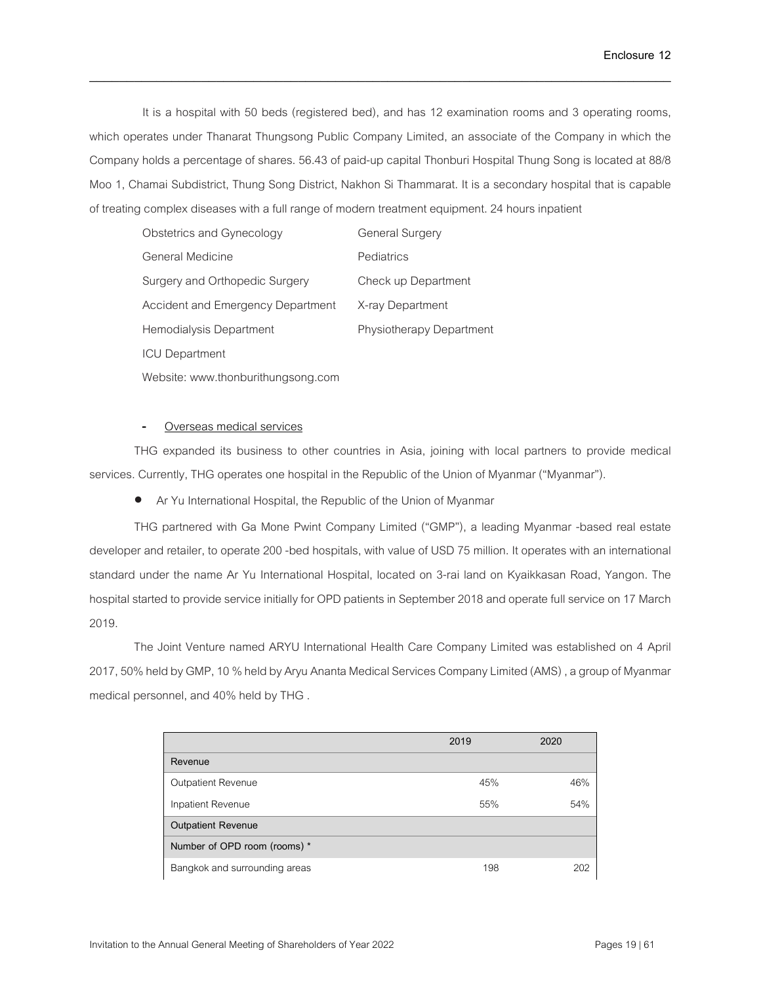It is a hospital with 50 beds (registered bed), and has 12 examination rooms and 3 operating rooms, which operates under Thanarat Thungsong Public Company Limited, an associate of the Company in which the Company holds a percentage of shares. 56.43 of paid-up capital Thonburi Hospital Thung Song is located at 88/8 Moo 1, Chamai Subdistrict, Thung Song District, Nakhon Si Thammarat. It is a secondary hospital that is capable of treating complex diseases with a full range of modern treatment equipment. 24 hours inpatient

\_\_\_\_\_\_\_\_\_\_\_\_\_\_\_\_\_\_\_\_\_\_\_\_\_\_\_\_\_\_\_\_\_\_\_\_\_\_\_\_\_\_\_\_\_\_\_\_\_\_\_\_\_\_\_\_\_\_\_\_\_\_\_\_\_\_\_\_\_\_\_\_\_\_\_\_\_\_

| Obstetrics and Gynecology         | <b>General Surgery</b>          |
|-----------------------------------|---------------------------------|
| General Medicine                  | Pediatrics                      |
| Surgery and Orthopedic Surgery    | Check up Department             |
| Accident and Emergency Department | X-ray Department                |
| Hemodialysis Department           | <b>Physiotherapy Department</b> |
| <b>ICU Department</b>             |                                 |
|                                   |                                 |

Website: www.thonburithungsong.com

### Overseas medical services

THG expanded its business to other countries in Asia, joining with local partners to provide medical services. Currently, THG operates one hospital in the Republic of the Union of Myanmar ("Myanmar").

• Ar Yu International Hospital, the Republic of the Union of Myanmar

THG partnered with Ga Mone Pwint Company Limited ("GMP"), a leading Myanmar -based real estate developer and retailer, to operate 200-bed hospitals, with value of USD 75 million. It operates with an international standard under the name Ar Yu International Hospital, located on 3-rai land on Kyaikkasan Road, Yangon. The hospital started to provide service initially for OPD patients in September 2018 and operate full service on 17 March 2019.

The Joint Venture named ARYU International Health Care Company Limited was established on 4 April 2017, 50% held by GMP, 10 % held by Aryu Ananta Medical Services Company Limited (AMS) , a group of Myanmar medical personnel, and 40% held by THG .

|                               | 2019 | 2020 |
|-------------------------------|------|------|
| Revenue                       |      |      |
| Outpatient Revenue            | 45%  | 46%  |
| Inpatient Revenue             | 55%  | 54%  |
| <b>Outpatient Revenue</b>     |      |      |
| Number of OPD room (rooms) *  |      |      |
| Bangkok and surrounding areas | 198  | 202  |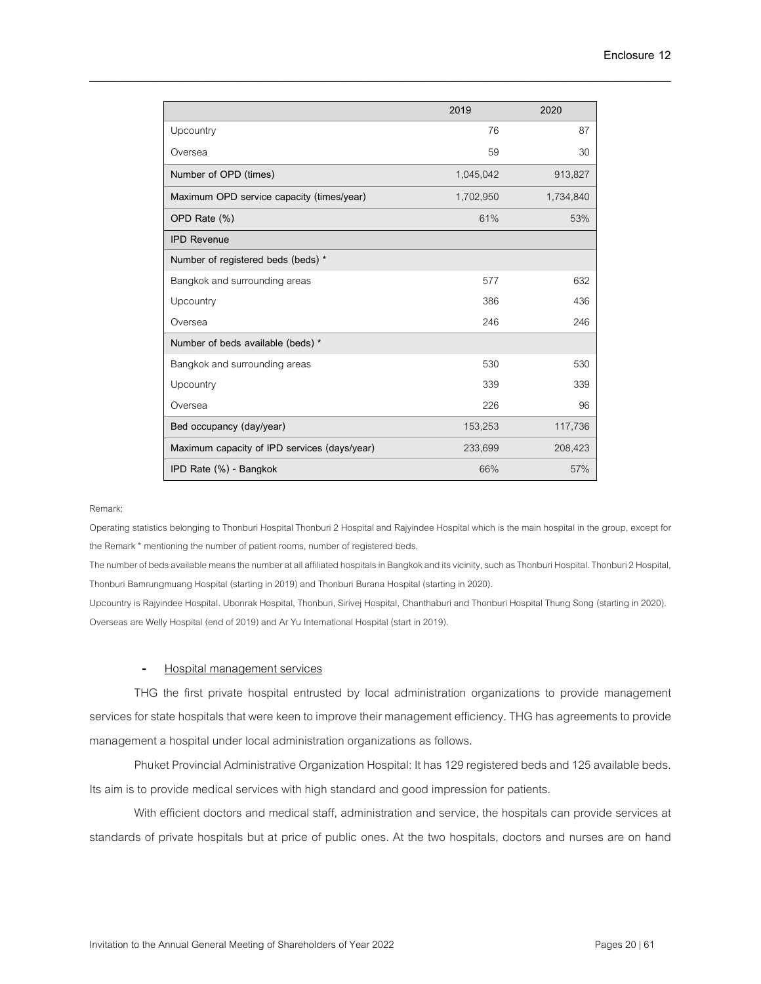|                                              | 2019      | 2020      |
|----------------------------------------------|-----------|-----------|
| Upcountry                                    | 76        | 87        |
| Oversea                                      | 59        | 30        |
| Number of OPD (times)                        | 1,045,042 | 913,827   |
| Maximum OPD service capacity (times/year)    | 1,702,950 | 1,734,840 |
| OPD Rate (%)                                 | 61%       | 53%       |
| <b>IPD Revenue</b>                           |           |           |
| Number of registered beds (beds) *           |           |           |
| Bangkok and surrounding areas                | 577       | 632       |
| Upcountry                                    | 386       | 436       |
| Oversea                                      | 246       | 246       |
| Number of beds available (beds) *            |           |           |
| Bangkok and surrounding areas                | 530       | 530       |
| Upcountry                                    | 339       | 339       |
| Oversea                                      | 226       | 96        |
| Bed occupancy (day/year)                     | 153,253   | 117,736   |
| Maximum capacity of IPD services (days/year) | 233,699   | 208,423   |
| IPD Rate (%) - Bangkok                       | 66%       | 57%       |

#### Remark:

Operating statistics belonging to Thonburi Hospital Thonburi 2 Hospital and Rajyindee Hospital which is the main hospital in the group, except for the Remark \* mentioning the number of patient rooms, number of registered beds.

The number of beds available means the number at all affiliated hospitals in Bangkok and its vicinity, such as Thonburi Hospital. Thonburi 2 Hospital, Thonburi Bamrungmuang Hospital (starting in 2019) and Thonburi Burana Hospital (starting in 2020).

Upcountry is Rajyindee Hospital. Ubonrak Hospital, Thonburi, Sirivej Hospital, Chanthaburi and Thonburi Hospital Thung Song (starting in 2020). Overseas are Welly Hospital (end of 2019) and Ar Yu International Hospital (start in 2019).

### - Hospital management services

THG the first private hospital entrusted by local administration organizations to provide management services for state hospitals that were keen to improve their management efficiency. THG has agreements to provide management a hospital under local administration organizations as follows.

Phuket Provincial Administrative Organization Hospital: It has 129 registered beds and 125 available beds. Its aim is to provide medical services with high standard and good impression for patients.

With efficient doctors and medical staff, administration and service, the hospitals can provide services at standards of private hospitals but at price of public ones. At the two hospitals, doctors and nurses are on hand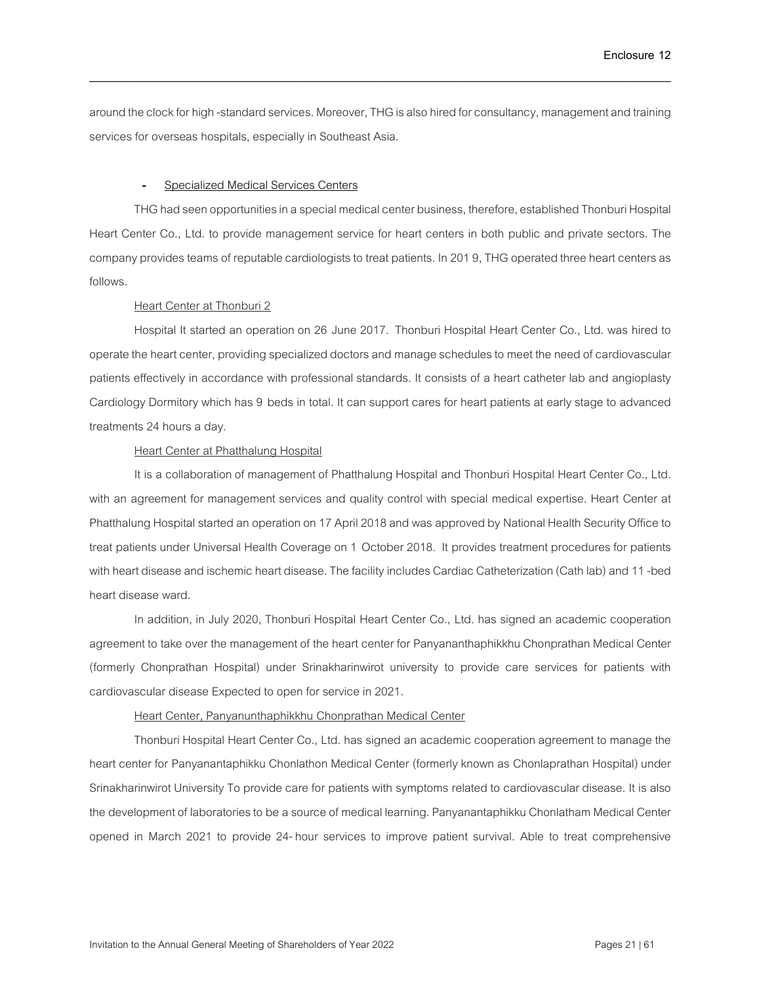around the clock for high -standard services. Moreover, THG is also hired for consultancy, management and training services for overseas hospitals, especially in Southeast Asia.

\_\_\_\_\_\_\_\_\_\_\_\_\_\_\_\_\_\_\_\_\_\_\_\_\_\_\_\_\_\_\_\_\_\_\_\_\_\_\_\_\_\_\_\_\_\_\_\_\_\_\_\_\_\_\_\_\_\_\_\_\_\_\_\_\_\_\_\_\_\_\_\_\_\_\_\_\_\_

#### Specialized Medical Services Centers

THG had seen opportunities in a special medical center business, therefore, established Thonburi Hospital Heart Center Co., Ltd. to provide management service for heart centers in both public and private sectors. The company provides teams of reputable cardiologists to treat patients. In 2019, THG operated three heart centers as follows.

### **Heart Center at Thonburi 2**

Hospital It started an operation on 26 June 2017. Thonburi Hospital Heart Center Co., Ltd. was hired to operate the heart center, providing specialized doctors and manage schedules to meet the need of cardiovascular patients effectively in accordance with professional standards. It consists of a heart catheter lab and angioplasty Cardiology Dormitory which has 9 beds in total. It can support cares for heart patients at early stage to advanced treatments 24 hours a day.

### **Heart Center at Phatthalung Hospital**

It is a collaboration of management of Phatthalung Hospital and Thonburi Hospital Heart Center Co., Ltd. with an agreement for management services and quality control with special medical expertise. Heart Center at Phatthalung Hospital started an operation on 17 April 2018and was approved by National Health Security Office to treat patients under Universal Health Coverage on 1 October 2018. It provides treatment procedures for patients with heart disease and ischemic heart disease. The facility includes Cardiac Catheterization (Cath lab) and 11-bed heart disease ward.

In addition, in July 2020, Thonburi Hospital Heart Center Co., Ltd. has signed an academic cooperation agreement to take over the management of the heart center for Panyananthaphikkhu Chonprathan Medical Center (formerly Chonprathan Hospital) under Srinakharinwirot university to provide care services for patients with cardiovascular disease Expected to open for service in 2021.

### Heart Center, Panyanunthaphikkhu Chonprathan Medical Center

Thonburi Hospital Heart Center Co., Ltd. has signed an academic cooperation agreement to manage the heart center for Panyanantaphikku Chonlathon Medical Center (formerly known as Chonlaprathan Hospital) under Srinakharinwirot University To provide care for patients with symptoms related to cardiovascular disease. It is also the development of laboratories to be a source of medical learning. Panyanantaphikku Chonlatham Medical Center opened in March 2021 to provide 24-hour services to improve patient survival. Able to treat comprehensive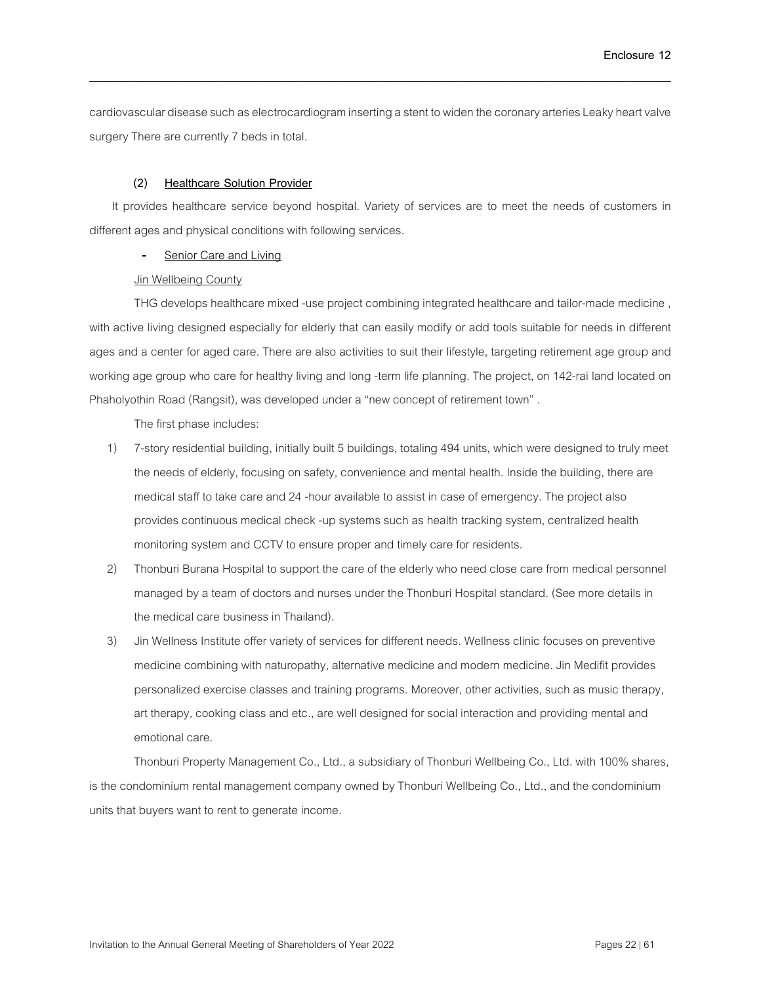cardiovascular disease such as electrocardiogram inserting a stent to widen the coronary arteries Leaky heart valve surgery There are currently 7 beds in total.

\_\_\_\_\_\_\_\_\_\_\_\_\_\_\_\_\_\_\_\_\_\_\_\_\_\_\_\_\_\_\_\_\_\_\_\_\_\_\_\_\_\_\_\_\_\_\_\_\_\_\_\_\_\_\_\_\_\_\_\_\_\_\_\_\_\_\_\_\_\_\_\_\_\_\_\_\_\_

### **(2) Healthcare Solution Provider**

It provides healthcare service beyond hospital. Variety of services are to meet the needs of customers in different ages and physical conditions with following services.

Senior Care and Living

### Jin Wellbeing County

THG develops healthcare mixed -use project combining integrated healthcare and tailor-made medicine , with active living designed especially for elderly that can easily modify or add tools suitable for needs in different ages and a center for aged care. There are also activities to suit their lifestyle, targeting retirement age group and working age group who care for healthy living and long -term life planning. The project, on 142-rai land located on Phaholyothin Road (Rangsit), was developed under a "new concept of retirement town" .

The first phase includes:

- 1) 7-story residential building, initially built 5 buildings, totaling 494units, which were designed to truly meet the needs of elderly, focusing on safety, convenience and mental health. Inside the building, there are medical staff to take care and 24-hour available to assist in case of emergency. The project also provides continuous medical check -up systems such as health tracking system, centralized health monitoring system and CCTV to ensure proper and timely care for residents.
- 2) Thonburi Burana Hospital to support the care of the elderly who need close care from medical personnel managed by a team of doctors and nurses under the Thonburi Hospital standard. (See more details in the medical care business in Thailand).
- 3) Jin Wellness Institute offer variety of services for different needs. Wellness clinic focuses on preventive medicine combining with naturopathy, alternative medicine and modern medicine. Jin Medifit provides personalized exercise classes and training programs. Moreover, other activities, such as music therapy, art therapy, cooking class and etc., are well designed for social interaction and providing mental and emotional care.

Thonburi Property Management Co., Ltd., a subsidiary of Thonburi Wellbeing Co., Ltd. with 100% shares, is the condominium rental management company owned by Thonburi Wellbeing Co., Ltd., and the condominium units that buyers want to rent to generate income.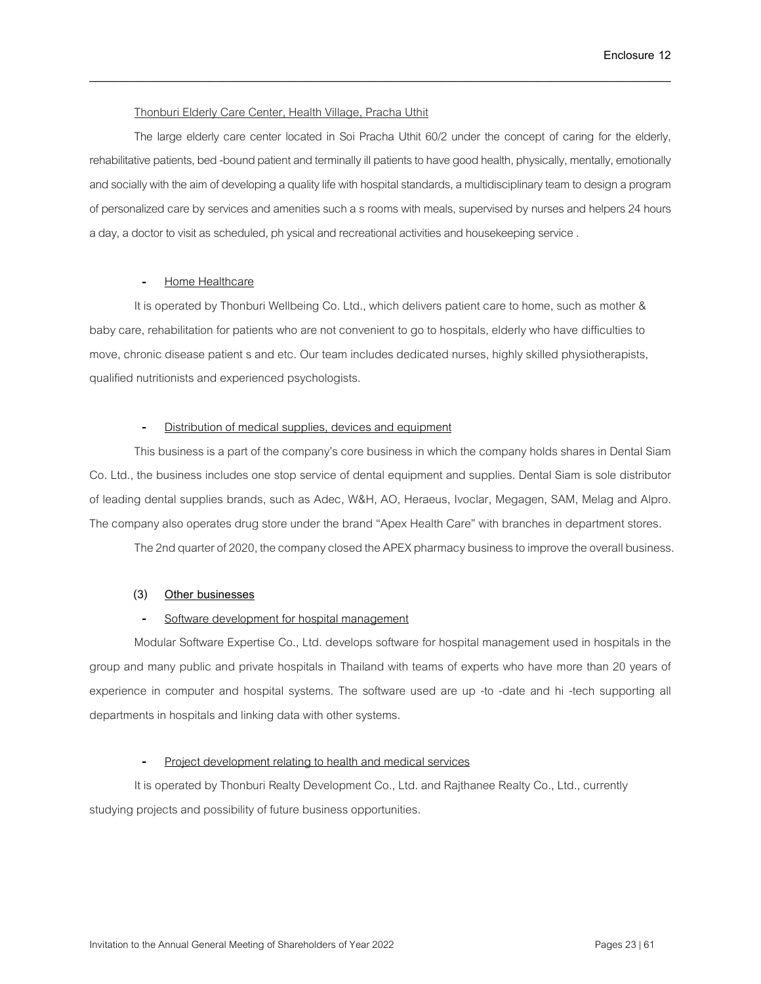### Thonburi Elderly Care Center, Health Village, Pracha Uthit

The large elderly care center located in Soi Pracha Uthit 60/2 under the concept of caring for the elderly, rehabilitative patients, bed -bound patient and terminally ill patients to have good health, physically, mentally, emotionally and socially with the aim of developing a quality life with hospital standards, a multidisciplinary team to design a program of personalized care by services and amenities such a s rooms with meals, supervised by nurses and helpers 24hours a day, a doctor to visit as scheduled, ph ysical and recreational activities and housekeeping service .

\_\_\_\_\_\_\_\_\_\_\_\_\_\_\_\_\_\_\_\_\_\_\_\_\_\_\_\_\_\_\_\_\_\_\_\_\_\_\_\_\_\_\_\_\_\_\_\_\_\_\_\_\_\_\_\_\_\_\_\_\_\_\_\_\_\_\_\_\_\_\_\_\_\_\_\_\_\_

### Home Healthcare

It is operated by Thonburi Wellbeing Co. Ltd., which delivers patient care to home, such as mother & baby care, rehabilitation for patients who are not convenient to go to hospitals, elderly who have difficulties to move, chronic disease patient s and etc. Our team includes dedicated nurses, highly skilled physiotherapists, qualified nutritionists and experienced psychologists.

### Distribution of medical supplies, devices and equipment

This business is a part of the company's core business in which the company holds shares in Dental Siam Co. Ltd., the business includes one stop service of dental equipment and supplies. Dental Siam is sole distributor of leading dental supplies brands, such as Adec, W&H, AO, Heraeus, Ivoclar, Megagen, SAM, Melag and Alpro. The company also operates drug store under the brand "Apex Health Care" with branches in department stores.

The 2nd quarter of 2020, the company closed the APEX pharmacy business to improve the overall business.

### **(3) Other businesses**

## Software development for hospital management

Modular Software Expertise Co., Ltd. develops software for hospital management used in hospitals in the group and many public and private hospitals in Thailand with teams of experts who have more than 20 years of experience in computer and hospital systems. The software used are up -to -date and hi -tech supporting all departments in hospitals and linking data with other systems.

### Project development relating to health and medical services

It is operated by Thonburi Realty Development Co., Ltd. and Rajthanee Realty Co., Ltd., currently studying projects and possibility of future business opportunities.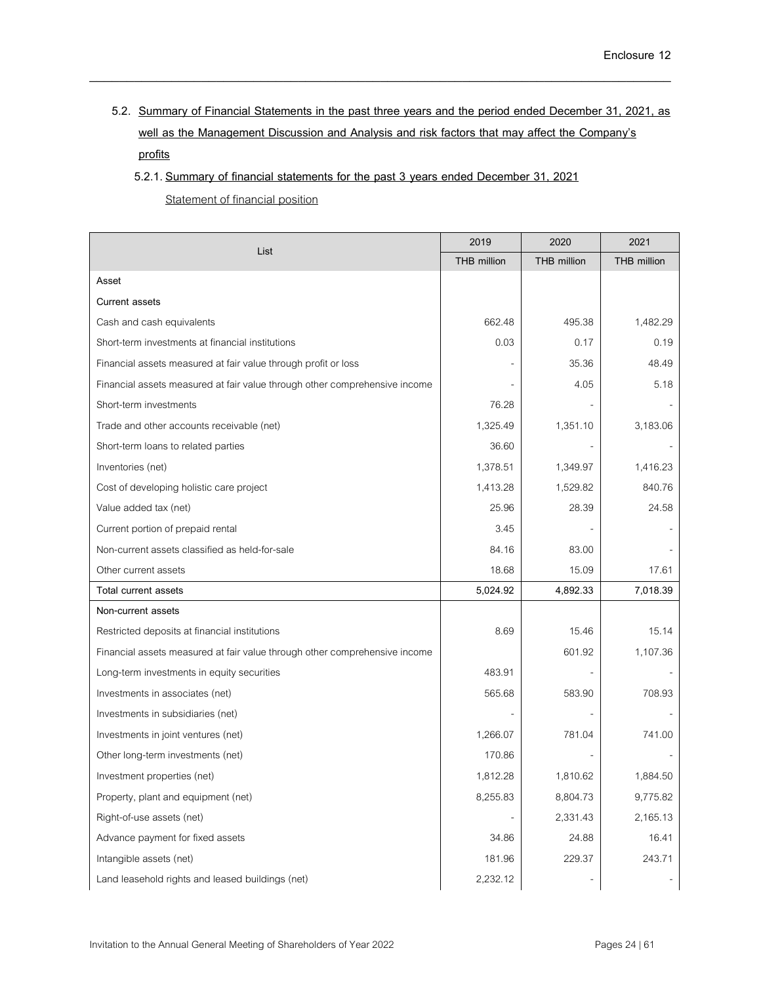**5.2. Summary of Financial Statements in the past three years and the period ended December 31, 2021, as well as the Management Discussion and Analysis and risk factors that may affect the Company's profits**

\_\_\_\_\_\_\_\_\_\_\_\_\_\_\_\_\_\_\_\_\_\_\_\_\_\_\_\_\_\_\_\_\_\_\_\_\_\_\_\_\_\_\_\_\_\_\_\_\_\_\_\_\_\_\_\_\_\_\_\_\_\_\_\_\_\_\_\_\_\_\_\_\_\_\_\_\_\_

**5.2.1. Summary of financial statements for the past 3 years ended December 31, 2021**

Statement of financial position

|                                                                            | 2019        | 2020               | 2021        |
|----------------------------------------------------------------------------|-------------|--------------------|-------------|
| List                                                                       | THB million | <b>THB</b> million | THB million |
| Asset                                                                      |             |                    |             |
| <b>Current assets</b>                                                      |             |                    |             |
| Cash and cash equivalents                                                  | 662.48      | 495.38             | 1,482.29    |
| Short-term investments at financial institutions                           | 0.03        | 0.17               | 0.19        |
| Financial assets measured at fair value through profit or loss             |             | 35.36              | 48.49       |
| Financial assets measured at fair value through other comprehensive income |             | 4.05               | 5.18        |
| Short-term investments                                                     | 76.28       |                    |             |
| Trade and other accounts receivable (net)                                  | 1,325.49    | 1,351.10           | 3,183.06    |
| Short-term loans to related parties                                        | 36.60       |                    |             |
| Inventories (net)                                                          | 1,378.51    | 1,349.97           | 1,416.23    |
| Cost of developing holistic care project                                   | 1,413.28    | 1,529.82           | 840.76      |
| Value added tax (net)                                                      | 25.96       | 28.39              | 24.58       |
| Current portion of prepaid rental                                          | 3.45        |                    |             |
| Non-current assets classified as held-for-sale                             | 84.16       | 83.00              |             |
| Other current assets                                                       | 18.68       | 15.09              | 17.61       |
| Total current assets                                                       | 5,024.92    | 4,892.33           | 7,018.39    |
| Non-current assets                                                         |             |                    |             |
| Restricted deposits at financial institutions                              | 8.69        | 15.46              | 15.14       |
| Financial assets measured at fair value through other comprehensive income |             | 601.92             | 1,107.36    |
| Long-term investments in equity securities                                 | 483.91      |                    |             |
| Investments in associates (net)                                            | 565.68      | 583.90             | 708.93      |
| Investments in subsidiaries (net)                                          |             |                    |             |
| Investments in joint ventures (net)                                        | 1,266.07    | 781.04             | 741.00      |
| Other long-term investments (net)                                          | 170.86      |                    |             |
| Investment properties (net)                                                | 1,812.28    | 1,810.62           | 1,884.50    |
| Property, plant and equipment (net)                                        | 8,255.83    | 8,804.73           | 9,775.82    |
| Right-of-use assets (net)                                                  |             | 2,331.43           | 2,165.13    |
| Advance payment for fixed assets                                           | 34.86       | 24.88              | 16.41       |
| Intangible assets (net)                                                    | 181.96      | 229.37             | 243.71      |
| Land leasehold rights and leased buildings (net)                           | 2,232.12    |                    |             |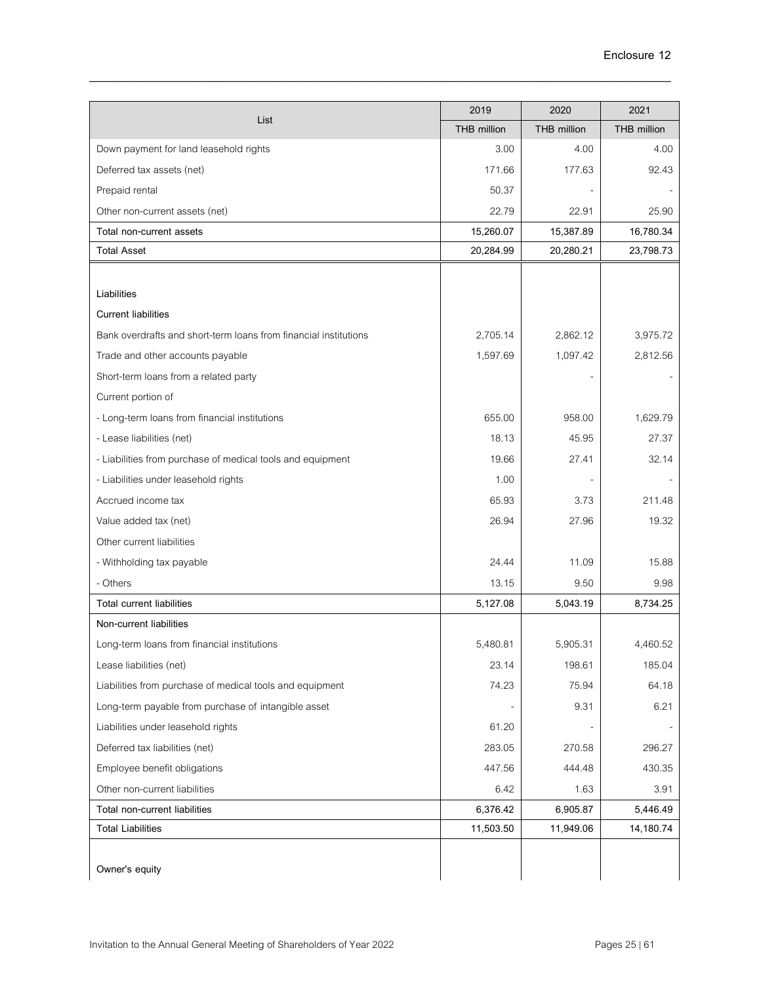|                                                                  | 2019               | 2020               | 2021               |
|------------------------------------------------------------------|--------------------|--------------------|--------------------|
| List                                                             | <b>THB million</b> | <b>THB million</b> | <b>THB million</b> |
| Down payment for land leasehold rights                           | 3.00               | 4.00               | 4.00               |
| Deferred tax assets (net)                                        | 171.66             | 177.63             | 92.43              |
| Prepaid rental                                                   | 50.37              |                    |                    |
| Other non-current assets (net)                                   | 22.79              | 22.91              | 25.90              |
| Total non-current assets                                         | 15,260.07          | 15,387.89          | 16,780.34          |
| <b>Total Asset</b>                                               | 20,284.99          | 20,280.21          | 23,798.73          |
|                                                                  |                    |                    |                    |
| Liabilities                                                      |                    |                    |                    |
| <b>Current liabilities</b>                                       |                    |                    |                    |
| Bank overdrafts and short-term loans from financial institutions | 2,705.14           | 2,862.12           | 3,975.72           |
| Trade and other accounts payable                                 | 1,597.69           | 1,097.42           | 2,812.56           |
| Short-term loans from a related party                            |                    |                    |                    |
| Current portion of                                               |                    |                    |                    |
| - Long-term loans from financial institutions                    | 655.00             | 958.00             | 1,629.79           |
| - Lease liabilities (net)                                        | 18.13              | 45.95              | 27.37              |
| - Liabilities from purchase of medical tools and equipment       | 19.66              | 27.41              | 32.14              |
| - Liabilities under leasehold rights                             | 1.00               |                    |                    |
| Accrued income tax                                               | 65.93              | 3.73               | 211.48             |
| Value added tax (net)                                            | 26.94              | 27.96              | 19.32              |
| Other current liabilities                                        |                    |                    |                    |
| - Withholding tax payable                                        | 24.44              | 11.09              | 15.88              |
| - Others                                                         | 13.15              | 9.50               | 9.98               |
| <b>Total current liabilities</b>                                 | 5,127.08           | 5,043.19           | 8,734.25           |
| Non-current liabilities                                          |                    |                    |                    |
| Long-term loans from financial institutions                      | 5,480.81           | 5,905.31           | 4,460.52           |
| Lease liabilities (net)                                          | 23.14              | 198.61             | 185.04             |
| Liabilities from purchase of medical tools and equipment         | 74.23              | 75.94              | 64.18              |
| Long-term payable from purchase of intangible asset              |                    | 9.31               | 6.21               |
| Liabilities under leasehold rights                               | 61.20              |                    |                    |
| Deferred tax liabilities (net)                                   | 283.05             | 270.58             | 296.27             |
| Employee benefit obligations                                     | 447.56             | 444.48             | 430.35             |
| Other non-current liabilities                                    | 6.42               | 1.63               | 3.91               |
| Total non-current liabilities                                    | 6,376.42           | 6,905.87           | 5,446.49           |
| <b>Total Liabilities</b>                                         | 11,503.50          | 11,949.06          | 14,180.74          |
|                                                                  |                    |                    |                    |
| Owner's equity                                                   |                    |                    |                    |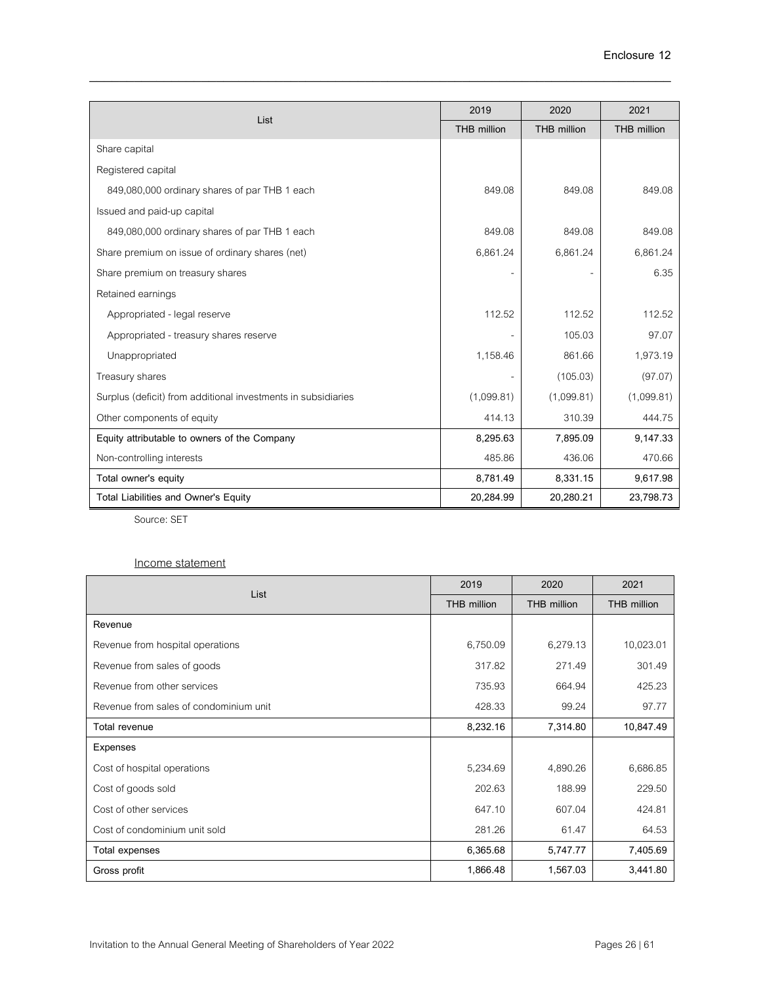|                                                               | 2019        | 2020        | 2021        |
|---------------------------------------------------------------|-------------|-------------|-------------|
| List                                                          | THB million | THB million | THB million |
| Share capital                                                 |             |             |             |
| Registered capital                                            |             |             |             |
| 849,080,000 ordinary shares of par THB 1 each                 | 849.08      | 849.08      | 849.08      |
| Issued and paid-up capital                                    |             |             |             |
| 849,080,000 ordinary shares of par THB 1 each                 | 849.08      | 849.08      | 849.08      |
| Share premium on issue of ordinary shares (net)               | 6,861.24    | 6,861.24    | 6,861.24    |
| Share premium on treasury shares                              |             |             | 6.35        |
| Retained earnings                                             |             |             |             |
| Appropriated - legal reserve                                  | 112.52      | 112.52      | 112.52      |
| Appropriated - treasury shares reserve                        |             | 105.03      | 97.07       |
| Unappropriated                                                | 1,158.46    | 861.66      | 1,973.19    |
| Treasury shares                                               |             | (105.03)    | (97.07)     |
| Surplus (deficit) from additional investments in subsidiaries | (1,099.81)  | (1,099.81)  | (1,099.81)  |
| Other components of equity                                    | 414.13      | 310.39      | 444.75      |
| Equity attributable to owners of the Company                  | 8,295.63    | 7,895.09    | 9,147.33    |
| Non-controlling interests                                     | 485.86      | 436.06      | 470.66      |
| Total owner's equity                                          | 8,781.49    | 8,331.15    | 9,617.98    |
| Total Liabilities and Owner's Equity                          | 20,284.99   | 20,280.21   | 23,798.73   |

Source: SET

## Income statement

| List                                   | 2019        | 2020               | 2021        |
|----------------------------------------|-------------|--------------------|-------------|
|                                        | THB million | <b>THB</b> million | THB million |
| Revenue                                |             |                    |             |
| Revenue from hospital operations       | 6,750.09    | 6,279.13           | 10,023.01   |
| Revenue from sales of goods            | 317.82      | 271.49             | 301.49      |
| Revenue from other services            | 735.93      | 664.94             | 425.23      |
| Revenue from sales of condominium unit | 428.33      | 99.24              | 97.77       |
| Total revenue                          | 8,232.16    | 7,314.80           | 10,847.49   |
| Expenses                               |             |                    |             |
| Cost of hospital operations            | 5,234.69    | 4,890.26           | 6,686.85    |
| Cost of goods sold                     | 202.63      | 188.99             | 229.50      |
| Cost of other services                 | 647.10      | 607.04             | 424.81      |
| Cost of condominium unit sold          | 281.26      | 61.47              | 64.53       |
| Total expenses                         | 6,365.68    | 5,747.77           | 7,405.69    |
| Gross profit                           | 1,866.48    | 1,567.03           | 3,441.80    |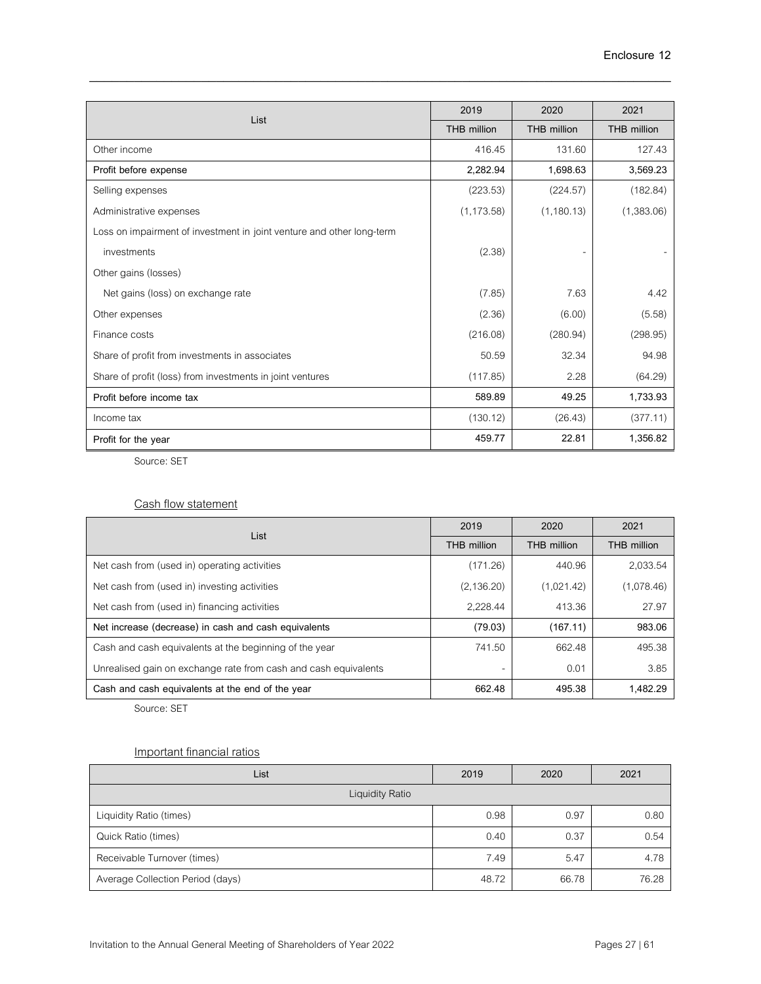| List                                                                  | 2019        | 2020               | 2021               |
|-----------------------------------------------------------------------|-------------|--------------------|--------------------|
|                                                                       | THB million | <b>THB million</b> | <b>THB million</b> |
| Other income                                                          | 416.45      | 131.60             | 127.43             |
| Profit before expense                                                 | 2,282.94    | 1,698.63           | 3,569.23           |
| Selling expenses                                                      | (223.53)    | (224.57)           | (182.84)           |
| Administrative expenses                                               | (1, 173.58) | (1, 180.13)        | (1,383.06)         |
| Loss on impairment of investment in joint venture and other long-term |             |                    |                    |
| investments                                                           | (2.38)      |                    |                    |
| Other gains (losses)                                                  |             |                    |                    |
| Net gains (loss) on exchange rate                                     | (7.85)      | 7.63               | 4.42               |
| Other expenses                                                        | (2.36)      | (6.00)             | (5.58)             |
| Finance costs                                                         | (216.08)    | (280.94)           | (298.95)           |
| Share of profit from investments in associates                        | 50.59       | 32.34              | 94.98              |
| Share of profit (loss) from investments in joint ventures             | (117.85)    | 2.28               | (64.29)            |
| Profit before income tax                                              | 589.89      | 49.25              | 1,733.93           |
| Income tax                                                            | (130.12)    | (26.43)            | (377.11)           |
| Profit for the year                                                   | 459.77      | 22.81              | 1,356.82           |

Source: SET

## Cash flow statement

| List                                                            | 2019                     | 2020        | 2021        |
|-----------------------------------------------------------------|--------------------------|-------------|-------------|
|                                                                 | THB million              | THB million | THB million |
| Net cash from (used in) operating activities                    | (171.26)                 | 440.96      | 2,033.54    |
| Net cash from (used in) investing activities                    | (2, 136.20)              | (1,021.42)  | (1,078.46)  |
| Net cash from (used in) financing activities                    | 2.228.44                 | 413.36      | 27.97       |
| Net increase (decrease) in cash and cash equivalents            | (79.03)                  | (167.11)    | 983.06      |
| Cash and cash equivalents at the beginning of the year          | 741.50                   | 662.48      | 495.38      |
| Unrealised gain on exchange rate from cash and cash equivalents | $\overline{\phantom{a}}$ | 0.01        | 3.85        |
| Cash and cash equivalents at the end of the year                | 662.48                   | 495.38      | 1,482.29    |

Source: SET

## Important financial ratios

| List                             | 2019  | 2020  | 2021  |
|----------------------------------|-------|-------|-------|
| <b>Liquidity Ratio</b>           |       |       |       |
| Liquidity Ratio (times)          | 0.98  | 0.97  | 0.80  |
| Quick Ratio (times)              | 0.40  | 0.37  | 0.54  |
| Receivable Turnover (times)      | 7.49  | 5.47  | 4.78  |
| Average Collection Period (days) | 48.72 | 66.78 | 76.28 |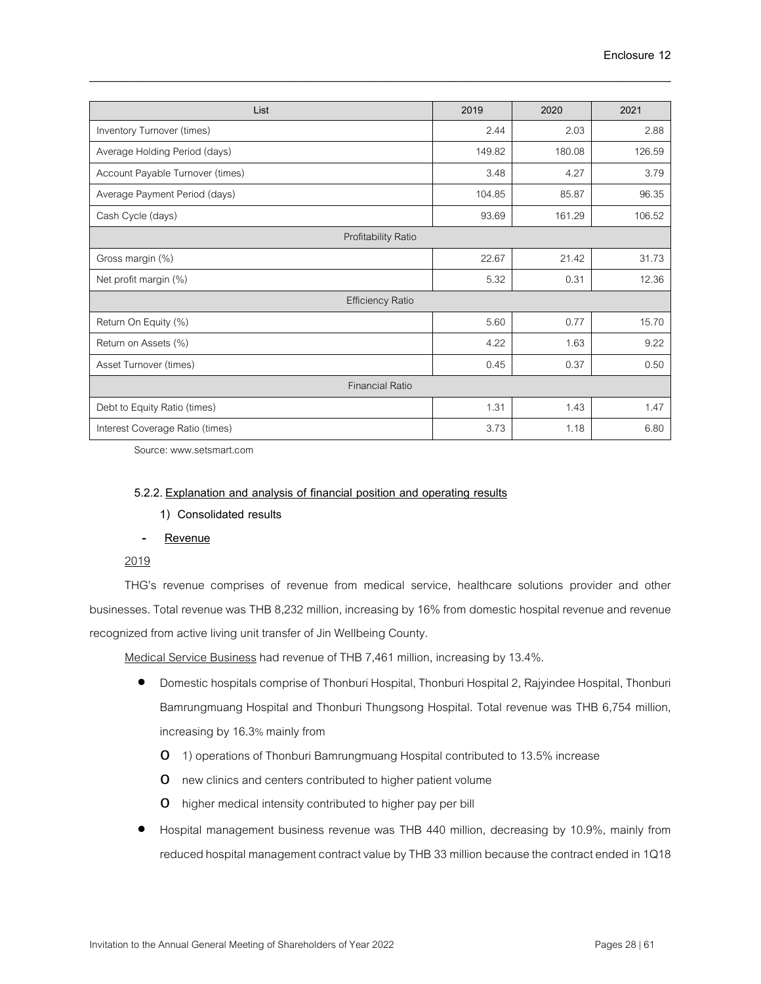| List                             | 2019   | 2020   | 2021   |
|----------------------------------|--------|--------|--------|
| Inventory Turnover (times)       | 2.44   | 2.03   | 2.88   |
| Average Holding Period (days)    | 149.82 | 180.08 | 126.59 |
| Account Payable Turnover (times) | 3.48   | 4.27   | 3.79   |
| Average Payment Period (days)    | 104.85 | 85.87  | 96.35  |
| Cash Cycle (days)                | 93.69  | 161.29 | 106.52 |
| Profitability Ratio              |        |        |        |
| Gross margin (%)                 | 22.67  | 21.42  | 31.73  |
| Net profit margin (%)            | 5.32   | 0.31   | 12.36  |
| <b>Efficiency Ratio</b>          |        |        |        |
| Return On Equity (%)             | 5.60   | 0.77   | 15.70  |
| Return on Assets (%)             | 4.22   | 1.63   | 9.22   |
| Asset Turnover (times)           | 0.45   | 0.37   | 0.50   |
| <b>Financial Ratio</b>           |        |        |        |
| Debt to Equity Ratio (times)     | 1.31   | 1.43   | 1.47   |
| Interest Coverage Ratio (times)  | 3.73   | 1.18   | 6.80   |

Source: www.setsmart.com

### **5.2.2. Explanation and analysis of financial position and operating results**

**1) Consolidated results**

### - **Revenue**

## 2019

THG's revenue comprises of revenue from medical service, healthcare solutions provider and other businesses. Total revenue was THB 8,232 million, increasing by 16% from domestic hospital revenue and revenue recognized from active living unit transfer of Jin Wellbeing County.

Medical Service Business had revenue of THB 7,461 million, increasing by 13.4%.

- Domestic hospitals comprise of Thonburi Hospital, Thonburi Hospital 2, Rajyindee Hospital, Thonburi Bamrungmuang Hospital and Thonburi Thungsong Hospital. Total revenue was THB 6,754 million, increasing by 16.3% mainly from
	- o 1) operations of Thonburi Bamrungmuang Hospital contributed to 13.5% increase
	- o new clinics and centers contributed to higher patient volume
	- o higher medical intensity contributed to higher pay per bill
- Hospital management business revenue was THB 440 million, decreasing by 10.9%, mainly from reduced hospital management contract value by THB 33 million because the contract ended in 1Q18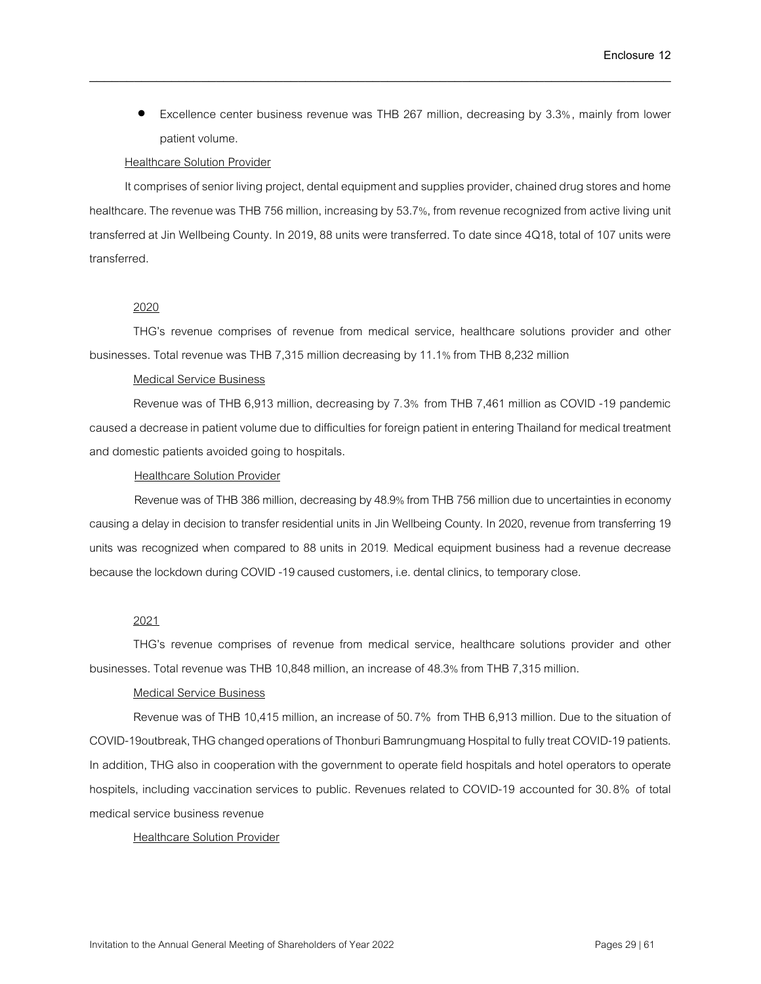• Excellence center business revenue was THB 267 million, decreasing by 3.3%, mainly from lower patient volume.

#### **Healthcare Solution Provider**

It comprises of senior living project, dental equipment and supplies provider, chained drug stores and home healthcare. The revenue was THB 756 million, increasing by 53.7%, from revenue recognized from active living unit transferred at Jin Wellbeing County. In 2019, 88 units were transferred. To date since 4Q18, total of 107 units were transferred.

\_\_\_\_\_\_\_\_\_\_\_\_\_\_\_\_\_\_\_\_\_\_\_\_\_\_\_\_\_\_\_\_\_\_\_\_\_\_\_\_\_\_\_\_\_\_\_\_\_\_\_\_\_\_\_\_\_\_\_\_\_\_\_\_\_\_\_\_\_\_\_\_\_\_\_\_\_\_

## 2020

THG's revenue comprises of revenue from medical service, healthcare solutions provider and other businesses. Total revenue was THB 7,315 million decreasing by 11.1% from THB 8,232 million

### Medical Service Business

Revenue was of THB 6,913 million, decreasing by 7.3% from THB 7,461 million as COVID -19 pandemic caused a decrease in patient volume due to difficulties for foreign patient in entering Thailand for medical treatment and domestic patients avoided going to hospitals.

#### Healthcare Solution Provider

Revenue was of THB 386 million, decreasing by 48.9% from THB 756 million due to uncertainties in economy causing a delay in decision to transfer residential units in Jin Wellbeing County. In 2020, revenue from transferring 19 units was recognized when compared to 88 units in 2019. Medical equipment business had a revenue decrease because the lockdown during COVID-19 caused customers, i.e. dental clinics, to temporary close.

### 2021

THG's revenue comprises of revenue from medical service, healthcare solutions provider and other businesses. Total revenue was THB 10,848 million, an increase of 48.3% from THB 7,315 million.

### Medical Service Business

Revenue was of THB 10,415 million, an increase of 50.7% from THB 6,913 million. Due to the situation of COVID-19outbreak, THG changed operations of Thonburi Bamrungmuang Hospital to fully treat COVID-19 patients. In addition, THG also in cooperation with the government to operate field hospitals and hotel operators to operate hospitels, including vaccination services to public. Revenues related to COVID-19 accounted for 30.8% of total medical service business revenue

### Healthcare Solution Provider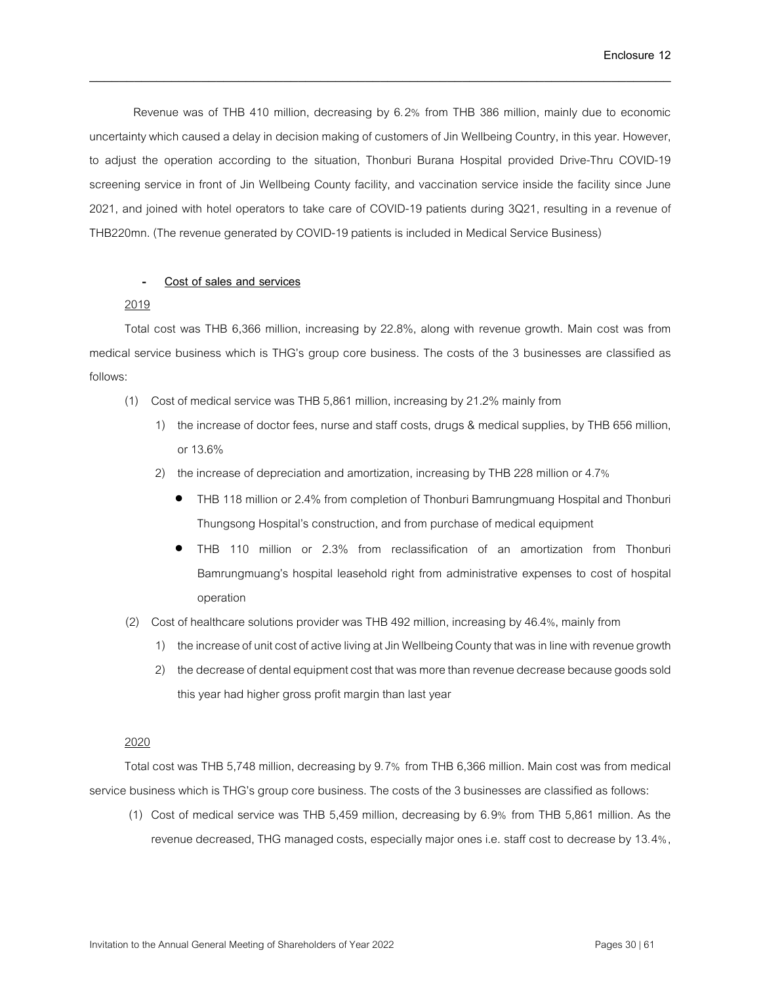Revenue was of THB 410 million, decreasing by 6.2% from THB 386 million, mainly due to economic uncertainty which caused a delay in decision making of customers of Jin Wellbeing Country, in this year. However, to adjust the operation according to the situation, Thonburi Burana Hospital provided Drive-Thru COVID-19 screening service in front of Jin Wellbeing County facility, and vaccination service inside the facility since June 2021, and joined with hotel operators to take care of COVID-19 patients during 3Q21, resulting in a revenue of THB220mn. (The revenue generated by COVID-19 patients is included in Medical Service Business)

\_\_\_\_\_\_\_\_\_\_\_\_\_\_\_\_\_\_\_\_\_\_\_\_\_\_\_\_\_\_\_\_\_\_\_\_\_\_\_\_\_\_\_\_\_\_\_\_\_\_\_\_\_\_\_\_\_\_\_\_\_\_\_\_\_\_\_\_\_\_\_\_\_\_\_\_\_\_

### - **Cost of sales and services**

### 2019

Total cost was THB 6,366 million, increasing by 22.8%, along with revenue growth. Main cost was from medical service business which is THG's group core business. The costs of the 3 businesses are classified as follows:

- (1) Cost of medical service was THB 5,861 million, increasing by 21.2% mainly from
	- 1) the increase of doctor fees, nurse and staff costs, drugs & medical supplies, by THB 656 million, or 13.6%
	- 2) the increase of depreciation and amortization, increasing by THB 228 millionor 4.7%
		- THB 118 million or 2.4% from completion of Thonburi Bamrungmuang Hospital and Thonburi Thungsong Hospital's construction, and from purchase of medical equipment
		- THB 110 million or 2.3% from reclassification of an amortization from Thonburi Bamrungmuang's hospital leasehold right from administrative expenses to cost of hospital operation
- (2) Cost of healthcare solutions provider was THB 492 million, increasing by 46.4%, mainly from
	- 1) the increase of unit cost of active living at Jin Wellbeing County that was in line with revenue growth
	- 2) the decrease of dental equipment cost that was more than revenue decrease because goods sold this year had higher gross profit margin than last year

### 2020

Total cost was THB 5,748 million, decreasing by 9.7% from THB 6,366 million. Main cost was from medical service business which is THG's group core business. The costs of the 3 businesses are classified as follows:

(1) Cost of medical service was THB 5,459 million, decreasing by 6.9% from THB 5,861 million. As the revenue decreased, THG managed costs, especially major ones i.e. staff cost to decrease by 13.4%,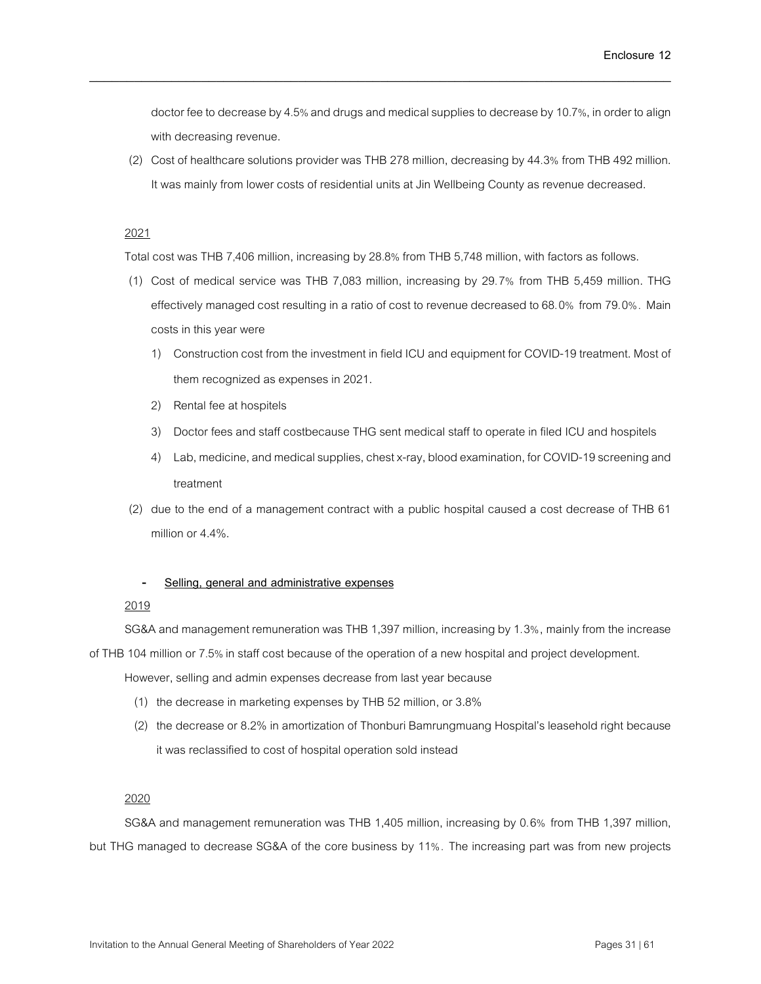doctor fee to decrease by 4.5% and drugs and medical supplies to decrease by 10.7%, in order to align with decreasing revenue.

(2) Cost of healthcare solutions provider was THB 278 million, decreasing by 44.3% from THB 492 million. It was mainly from lower costs of residential units at Jin Wellbeing County as revenue decreased.

### 2021

Total cost was THB 7,406 million, increasing by 28.8% from THB 5,748 million, with factors as follows.

\_\_\_\_\_\_\_\_\_\_\_\_\_\_\_\_\_\_\_\_\_\_\_\_\_\_\_\_\_\_\_\_\_\_\_\_\_\_\_\_\_\_\_\_\_\_\_\_\_\_\_\_\_\_\_\_\_\_\_\_\_\_\_\_\_\_\_\_\_\_\_\_\_\_\_\_\_\_

- (1) Cost of medical service was THB 7,083 million, increasing by 29.7% from THB 5,459 million. THG effectively managed cost resulting in a ratio of cost to revenue decreased to 68.0% from 79.0%. Main costs in this year were
	- 1) Construction cost from the investment in field ICU and equipment for COVID-19treatment. Most of them recognized as expenses in 2021.
	- 2) Rental fee at hospitels
	- 3) Doctor fees and staff costbecause THG sent medical staff to operate in filed ICU and hospitels
	- 4) Lab, medicine, and medical supplies, chest x-ray, blood examination, for COVID-19 screening and treatment
- (2) due to the end of a management contract with a public hospital caused a cost decrease of THB 61 million or 4.4%.

### - **Selling, general and administrative expenses**

### 2019

SG&A and management remuneration was THB 1,397 million, increasing by 1.3%, mainly from the increase of THB 104 millionor 7.5% in staff cost because of the operation of a new hospital and project development.

However, selling and admin expenses decrease from last year because

- (1) the decrease in marketing expenses by THB 52 million, or 3.8%
- (2) the decrease or 8.2% in amortization of Thonburi Bamrungmuang Hospital's leasehold right because it was reclassified to cost of hospital operation sold instead

## 2020

SG&A and management remuneration was THB 1,405 million, increasing by 0.6% from THB 1,397 million, but THG managed to decrease SG&A of the core business by 11%. The increasing part was from new projects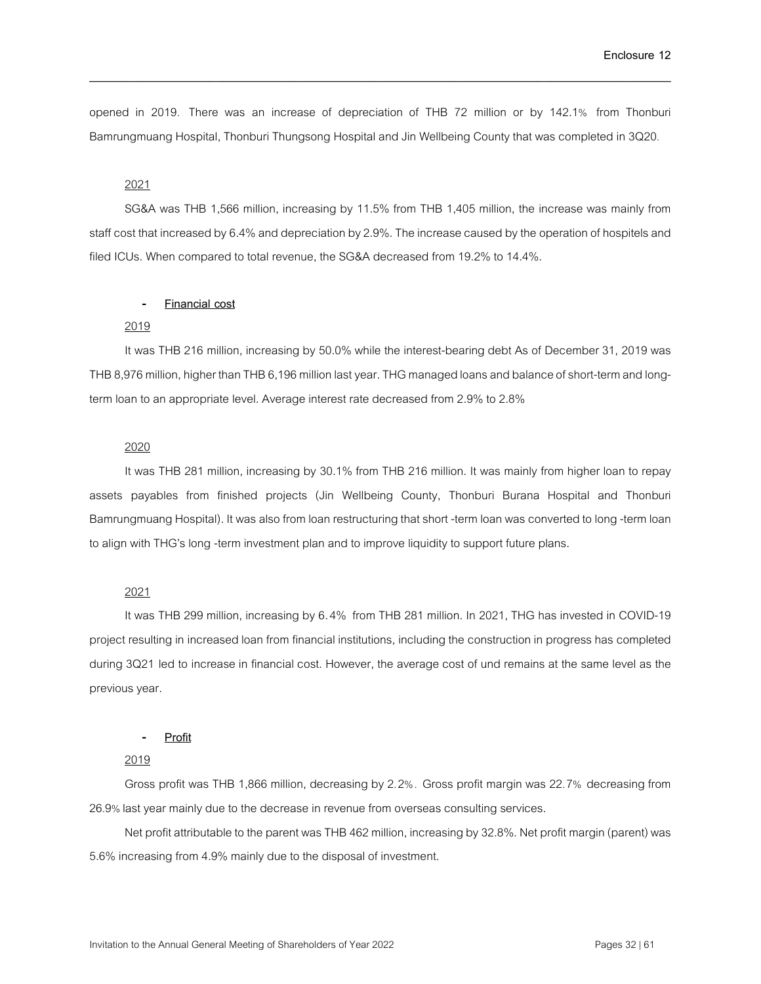opened in 2019. There was an increase of depreciation of THB 72 million or by 142.1% from Thonburi Bamrungmuang Hospital, Thonburi Thungsong Hospital and Jin Wellbeing County that was completed in 3Q20.

\_\_\_\_\_\_\_\_\_\_\_\_\_\_\_\_\_\_\_\_\_\_\_\_\_\_\_\_\_\_\_\_\_\_\_\_\_\_\_\_\_\_\_\_\_\_\_\_\_\_\_\_\_\_\_\_\_\_\_\_\_\_\_\_\_\_\_\_\_\_\_\_\_\_\_\_\_\_

### 2021

SG&A was THB 1,566 million, increasing by 11.5% from THB 1,405 million, the increase was mainly from staff cost that increased by 6.4% and depreciation by 2.9%. The increase caused by the operation of hospitels and filed ICUs. When compared to total revenue, the SG&A decreased from 19.2% to 14.4%.

#### - **Financial cost**

### 2019

It was THB 216 million, increasing by 50.0% while the interest-bearing debt As of December 31, 2019 was THB 8,976 million, higher than THB 6,196 million last year. THG managed loans and balance of short-term and longterm loan to an appropriate level. Average interest rate decreased from 2.9% to 2.8%

#### 2020

It was THB 281 million, increasing by 30.1% from THB 216 million. It was mainly from higher loan to repay assets payables from finished projects (Jin Wellbeing County, Thonburi Burana Hospital and Thonburi Bamrungmuang Hospital). It was also from loan restructuring that short -term loan was converted to long -term loan to align with THG's long -term investment plan and to improve liquidity to support future plans.

### 2021

It was THB 299 million, increasing by 6.4% from THB 281 million. In 2021, THG has invested in COVID-19 project resulting in increased loan from financial institutions, including the construction in progress has completed during 3Q21 led to increase in financial cost. However, the average cost of und remains at the same level as the previous year.

#### - **Profit**

## 2019

Gross profit was THB 1,866 million, decreasing by 2.2%. Gross profit margin was 22.7% decreasing from 26.9% last year mainly due to the decrease in revenue from overseas consulting services.

Net profit attributable to the parent was THB 462 million, increasing by 32.8%. Net profit margin (parent) was 5.6% increasing from 4.9% mainly due to the disposal of investment.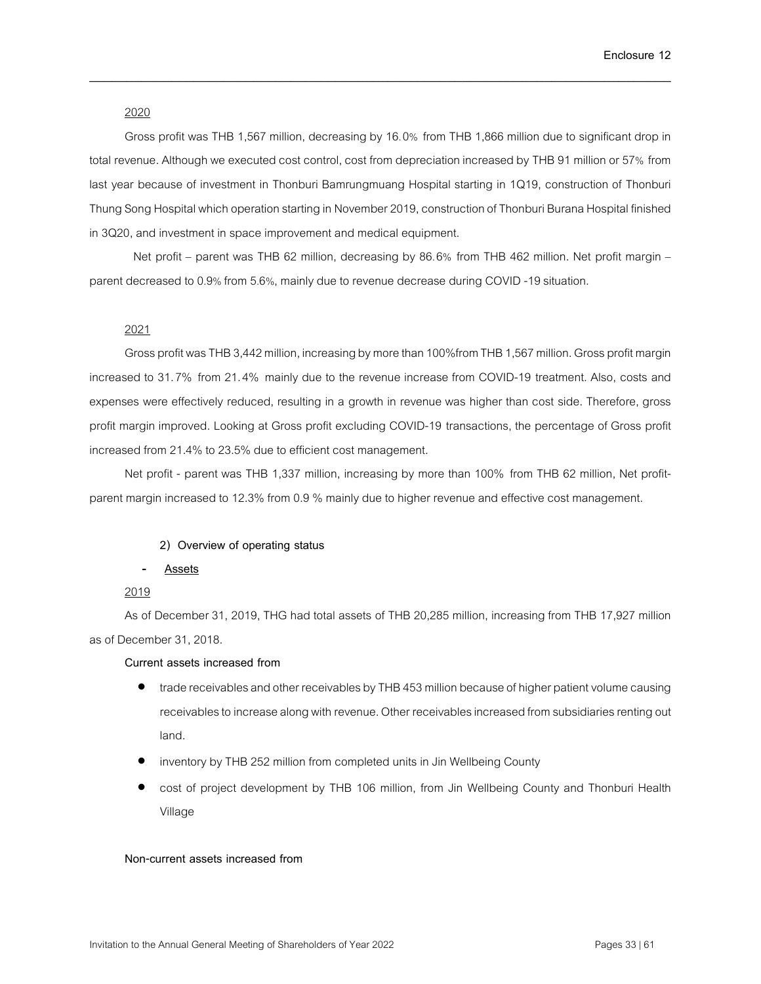### 2020

Gross profit was THB 1,567 million, decreasing by 16.0% from THB 1,866 million due to significant drop in total revenue. Although we executed cost control, cost from depreciation increased by THB 91 million or 57% from last year because of investment in Thonburi Bamrungmuang Hospital starting in 1Q19, construction of Thonburi Thung Song Hospital which operation starting in November 2019, construction of Thonburi Burana Hospital finished in 3Q20, and investment in space improvement and medical equipment.

\_\_\_\_\_\_\_\_\_\_\_\_\_\_\_\_\_\_\_\_\_\_\_\_\_\_\_\_\_\_\_\_\_\_\_\_\_\_\_\_\_\_\_\_\_\_\_\_\_\_\_\_\_\_\_\_\_\_\_\_\_\_\_\_\_\_\_\_\_\_\_\_\_\_\_\_\_\_

Net profit – parent was THB 62 million, decreasing by 86.6% from THB 462 million. Net profit margin – parent decreased to 0.9% from 5.6%, mainly due to revenue decrease during COVID -19 situation.

#### 2021

Gross profit was THB 3,442 million, increasing by more than 100%from THB 1,567 million. Gross profit margin increased to 31.7% from 21.4% mainly due to the revenue increase from COVID-19 treatment. Also, costs and expenses were effectively reduced, resulting in a growth in revenue was higher than cost side. Therefore, gross profit margin improved. Looking at Gross profit excluding COVID-19 transactions, the percentage of Gross profit increased from 21.4% to 23.5% due to efficient cost management.

Net profit - parent was THB 1,337 million, increasing by more than 100% from THB 62 million, Net profitparent margin increased to 12.3% from 0.9 % mainly due to higher revenue and effective cost management.

#### **2) Overview of operating status**

#### - **Assets**

## 2019

As of December 31, 2019, THG had total assets of THB 20,285 million, increasing from THB 17,927 million as of December 31, 2018.

### **Current assets increased from**

- trade receivables and other receivables by THB 453 million because of higher patient volume causing receivables to increase along with revenue. Other receivables increased from subsidiaries renting out land.
- inventory by THB 252 million from completed units in Jin Wellbeing County
- cost of project development by THB 106 million, from Jin Wellbeing County and Thonburi Health Village

#### **Non-current assets increased from**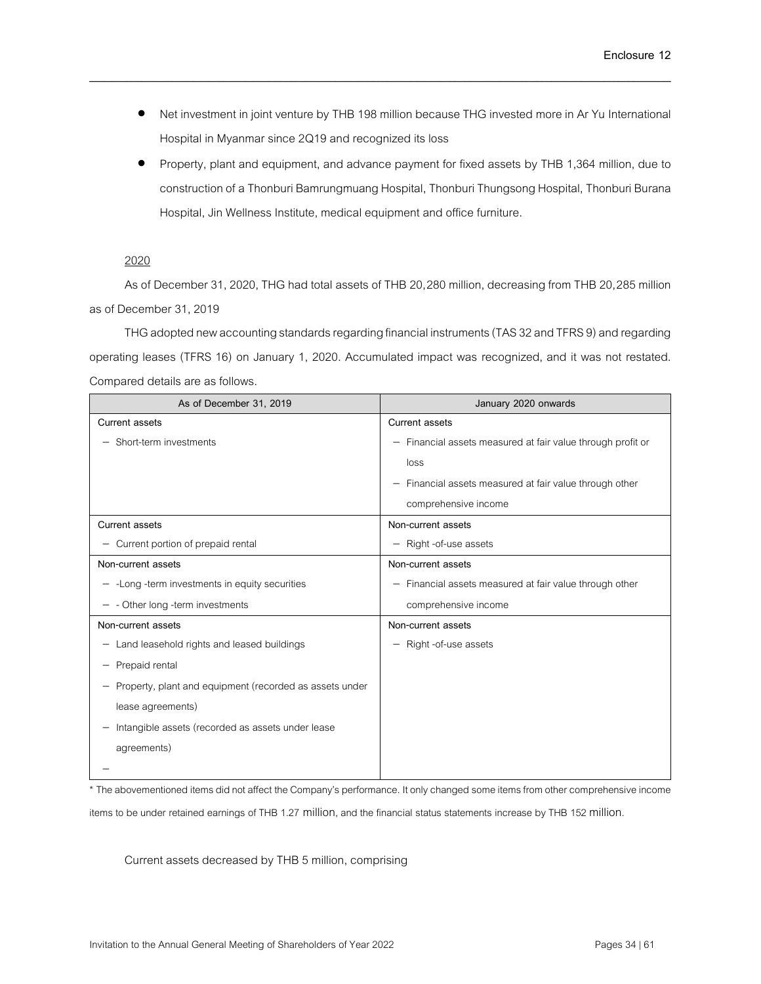• Net investment in joint venture by THB 198 million because THG invested more in Ar Yu International Hospital in Myanmar since 2Q19 and recognized its loss

\_\_\_\_\_\_\_\_\_\_\_\_\_\_\_\_\_\_\_\_\_\_\_\_\_\_\_\_\_\_\_\_\_\_\_\_\_\_\_\_\_\_\_\_\_\_\_\_\_\_\_\_\_\_\_\_\_\_\_\_\_\_\_\_\_\_\_\_\_\_\_\_\_\_\_\_\_\_

• Property, plant and equipment, and advance payment for fixed assets by THB 1,364 million, due to construction of a Thonburi Bamrungmuang Hospital, Thonburi Thungsong Hospital, Thonburi Burana Hospital, Jin Wellness Institute, medical equipment and office furniture.

## 2020

As of December 31, 2020, THG had total assets of THB 20,280 million, decreasing from THB 20,285 million as of December 31,2019

THG adopted new accounting standards regarding financial instruments (TAS 32 and TFRS 9) and regarding operating leases (TFRS 16) on January 1, 2020. Accumulated impact was recognized, and it was not restated. Compared details are as follows.

| As of December 31, 2019                                 | January 2020 onwards                                        |
|---------------------------------------------------------|-------------------------------------------------------------|
| Current assets                                          | Current assets                                              |
| - Short-term investments                                | - Financial assets measured at fair value through profit or |
|                                                         | loss                                                        |
|                                                         | - Financial assets measured at fair value through other     |
|                                                         | comprehensive income                                        |
| Current assets                                          | Non-current assets                                          |
| - Current portion of prepaid rental                     | - Right -of-use assets                                      |
| Non-current assets                                      | Non-current assets                                          |
| $-$ -Long -term investments in equity securities        | - Financial assets measured at fair value through other     |
| - Other long -term investments                          | comprehensive income                                        |
| Non-current assets                                      | Non-current assets                                          |
| - Land leasehold rights and leased buildings            | Right -of-use assets<br>$\qquad \qquad -$                   |
| Prepaid rental                                          |                                                             |
| Property, plant and equipment (recorded as assets under |                                                             |
| lease agreements)                                       |                                                             |
| Intangible assets (recorded as assets under lease       |                                                             |
| agreements)                                             |                                                             |
|                                                         |                                                             |

\* The abovementioned items did not affect the Company's performance. It only changed some items from other comprehensive income items to be under retained earnings of THB 1.27 million, and the financial status statements increase by THB 152 million.

Current assets decreased by THB 5 million, comprising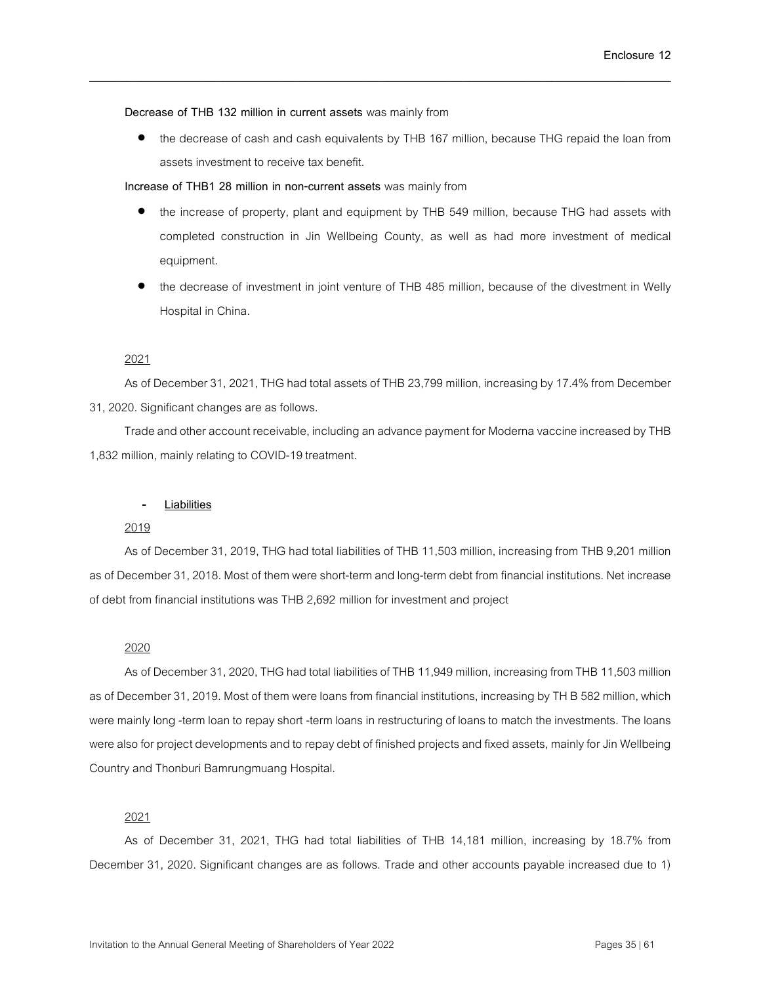**Decrease of THB 132 million in current assets** was mainly from

• the decrease of cash and cash equivalents by THB 167 million, because THG repaid the loan from assets investment to receive tax benefit.

\_\_\_\_\_\_\_\_\_\_\_\_\_\_\_\_\_\_\_\_\_\_\_\_\_\_\_\_\_\_\_\_\_\_\_\_\_\_\_\_\_\_\_\_\_\_\_\_\_\_\_\_\_\_\_\_\_\_\_\_\_\_\_\_\_\_\_\_\_\_\_\_\_\_\_\_\_\_

**Increase of THB1 28 million in non-current assets** was mainly from

- the increase of property, plant and equipment by THB 549 million, because THG had assets with completed construction in Jin Wellbeing County, as well as had more investment of medical equipment.
- the decrease of investment in joint venture of THB 485 million, because of the divestment in Welly Hospital in China.

### 2021

As of December 31, 2021, THG had total assets of THB 23,799 million, increasing by17.4% from December 31, 2020. Significant changes are as follows.

Trade and other account receivable, including an advance payment for Moderna vaccine increased by THB 1,832 million, mainly relating to COVID-19 treatment.

### - **Liabilities**

#### 2019

As of December 31, 2019, THG had total liabilities of THB 11,503 million, increasing from THB 9,201 million as of December 31, 2018. Most of them were short-term and long-term debt from financial institutions. Net increase of debt from financial institutions was THB 2,692 million for investment and project

#### 2020

As of December 31, 2020, THG had total liabilities of THB 11,949 million, increasing from THB 11,503 million as of December 31, 2019. Most of them were loans from financial institutions, increasing by TH B 582 million, which were mainly long -term loan to repay short -term loans in restructuring of loans to match the investments. The loans were also for project developments and to repay debt of finished projects and fixed assets, mainly for Jin Wellbeing Country and Thonburi Bamrungmuang Hospital.

#### 2021

As of December 31, 2021, THG had total liabilities of THB 14,181 million, increasing by 18.7% from December 31, 2020. Significant changes are as follows. Trade and other accounts payable increased due to 1)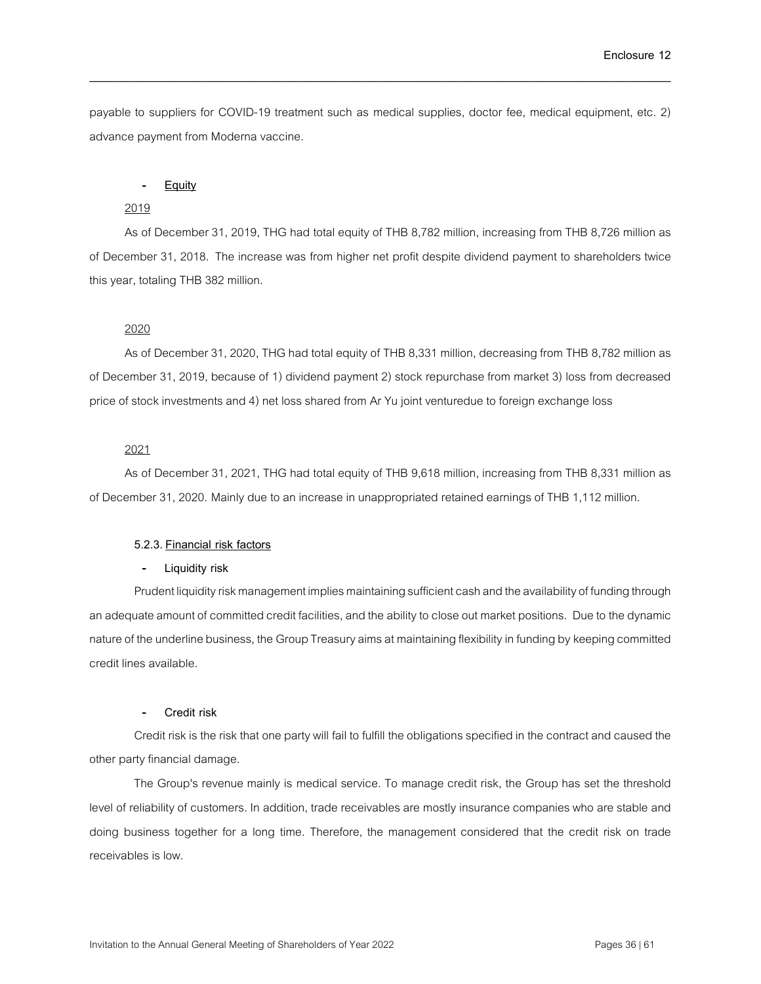payable to suppliers for COVID-19 treatment such as medical supplies, doctor fee, medical equipment, etc. 2) advance payment from Moderna vaccine.

\_\_\_\_\_\_\_\_\_\_\_\_\_\_\_\_\_\_\_\_\_\_\_\_\_\_\_\_\_\_\_\_\_\_\_\_\_\_\_\_\_\_\_\_\_\_\_\_\_\_\_\_\_\_\_\_\_\_\_\_\_\_\_\_\_\_\_\_\_\_\_\_\_\_\_\_\_\_

#### - **Equity**

### 2019

As of December31, 2019, THG had total equity of THB 8,782 million, increasing from THB 8,726 million as of December 31, 2018. The increase was from higher net profit despite dividend payment to shareholders twice this year, totaling THB 382 million.

### 2020

As of December 31, 2020, THG had total equity of THB 8,331 million, decreasing from THB 8,782 million as of December 31, 2019, because of 1) dividend payment 2) stock repurchase from market 3) loss from decreased price of stock investments and 4) net loss shared from Ar Yu joint venturedue to foreign exchange loss

### 2021

As of December 31, 2021, THG had total equity of THB 9,618 million, increasing from THB 8,331 million as of December 31, 2020. Mainly due to an increase in unappropriated retained earnings of THB 1,112 million.

#### **5.2.3. Financial risk factors**

#### - **Liquidity risk**

Prudent liquidity risk management implies maintaining sufficient cash and the availability of funding through an adequate amount of committed credit facilities, and the ability to close out market positions. Due to the dynamic nature of the underline business, the Group Treasury aims at maintaining flexibility in funding by keeping committed credit lines available.

### - **Credit risk**

Credit risk is the risk that one party will fail to fulfill the obligations specified in the contract and caused the other party financial damage.

The Group's revenue mainly is medical service. To manage credit risk, the Group has set the threshold level of reliability of customers. In addition, trade receivables are mostly insurance companies who are stable and doing business together for a long time. Therefore, the management considered that the credit risk on trade receivables is low.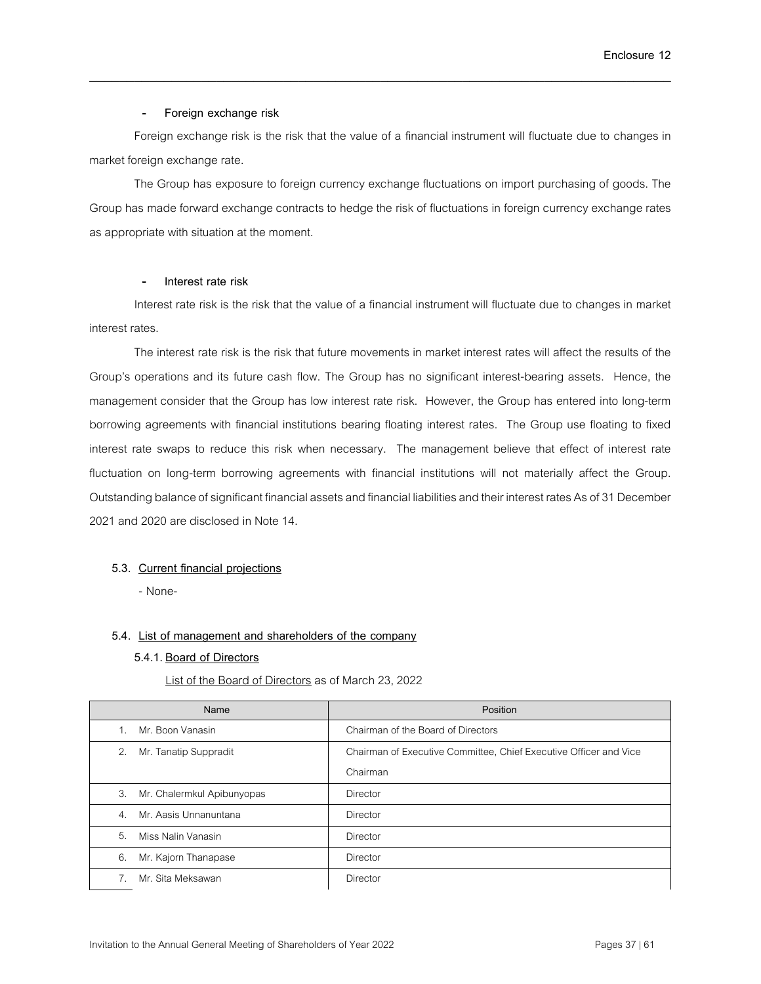### - **Foreign exchange risk**

Foreign exchange risk is the risk that the value of a financial instrument will fluctuate due to changes in market foreign exchange rate.

\_\_\_\_\_\_\_\_\_\_\_\_\_\_\_\_\_\_\_\_\_\_\_\_\_\_\_\_\_\_\_\_\_\_\_\_\_\_\_\_\_\_\_\_\_\_\_\_\_\_\_\_\_\_\_\_\_\_\_\_\_\_\_\_\_\_\_\_\_\_\_\_\_\_\_\_\_\_

The Group has exposure to foreign currency exchange fluctuations on import purchasing of goods. The Group has made forward exchange contracts to hedge the risk of fluctuations in foreign currency exchange rates as appropriate with situation at the moment.

### - **Interest rate risk**

Interest rate risk is the risk that the value of a financial instrument will fluctuate due to changes in market interest rates.

The interest rate risk is the risk that future movements in market interest rates will affect the results of the Group's operations and its future cash flow. The Group has no significant interest-bearing assets. Hence, the management consider that the Group has low interest rate risk. However, the Group has entered into long-term borrowing agreements with financial institutions bearing floating interest rates. The Group use floating to fixed interest rate swaps to reduce this risk when necessary. The management believe that effect of interest rate fluctuation on long-term borrowing agreements with financial institutions will not materially affect the Group. Outstanding balance of significant financial assets and financial liabilities and their interest rates As of 31 December 2021 and 2020 are disclosed in Note 14.

## **5.3. Current financial projections**

- None-

### **5.4. List of management and shareholders of the company**

### **5.4.1. Board of Directors**

List of the Board of Directors as of March 23, 2022

| Name                                      | Position                                                          |
|-------------------------------------------|-------------------------------------------------------------------|
| Mr. Boon Vanasin                          | Chairman of the Board of Directors                                |
| Mr. Tanatip Suppradit<br>2.               | Chairman of Executive Committee, Chief Executive Officer and Vice |
|                                           | Chairman                                                          |
| 3.<br>Mr. Chalermkul Apibunyopas          | Director                                                          |
| Mr. Aasis Unnanuntana<br>$\overline{4}$ . | <b>Director</b>                                                   |
| 5.<br>Miss Nalin Vanasin                  | Director                                                          |
| 6.<br>Mr. Kajorn Thanapase                | <b>Director</b>                                                   |
| Mr. Sita Meksawan                         | Director                                                          |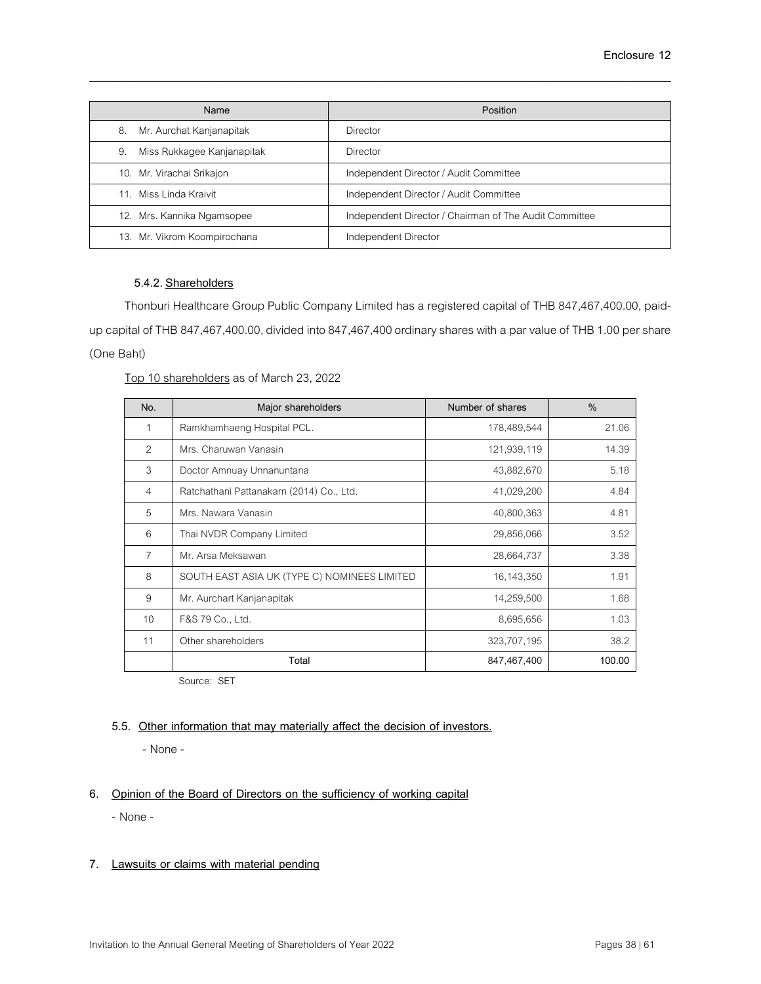| Name                             | Position                                               |
|----------------------------------|--------------------------------------------------------|
| Mr. Aurchat Kanjanapitak<br>8.   | Director                                               |
| 9.<br>Miss Rukkagee Kanjanapitak | Director                                               |
| 10. Mr. Virachai Srikajon        | Independent Director / Audit Committee                 |
| Miss Linda Kraivit<br>11         | Independent Director / Audit Committee                 |
| 12. Mrs. Kannika Ngamsopee       | Independent Director / Chairman of The Audit Committee |
| 13. Mr. Vikrom Koompirochana     | Independent Director                                   |

## **5.4.2. Shareholders**

Thonburi Healthcare Group Public Company Limited has a registered capital of THB 847,467,400.00, paidup capital of THB 847,467,400.00, divided into 847,467,400 ordinary shares with a par value of THB 1.00 per share (One Baht)

## Top 10 shareholders as of March 23, 2022

| No.            | Major shareholders                           | Number of shares | $\frac{0}{0}$ |
|----------------|----------------------------------------------|------------------|---------------|
| 1              | Ramkhamhaeng Hospital PCL.                   | 178,489,544      | 21.06         |
| $\mathcal{P}$  | Mrs. Charuwan Vanasin                        | 121,939,119      | 14.39         |
| 3              | Doctor Amnuay Unnanuntana                    | 43,882,670       | 5.18          |
| $\overline{4}$ | Ratchathani Pattanakarn (2014) Co., Ltd.     | 41,029,200       | 4.84          |
| 5              | Mrs. Nawara Vanasin                          | 40,800,363       | 4.81          |
| 6              | Thai NVDR Company Limited                    | 29,856,066       | 3.52          |
| 7              | Mr. Arsa Meksawan                            | 28,664,737       | 3.38          |
| 8              | SOUTH EAST ASIA UK (TYPE C) NOMINEES LIMITED | 16, 143, 350     | 1.91          |
| 9              | Mr. Aurchart Kanjanapitak                    | 14,259,500       | 1.68          |
| 10             | F&S 79 Co., Ltd.                             | 8,695,656        | 1.03          |
| 11             | Other shareholders                           | 323,707,195      | 38.2          |
|                | Total                                        | 847,467,400      | 100.00        |

Source: SET

## **5.5. Other information that may materially affect the decision of investors.**

- None-

## **6. Opinion of the Board of Directors on the sufficiency of working capital**

- None -

## **7. Lawsuits or claims with material pending**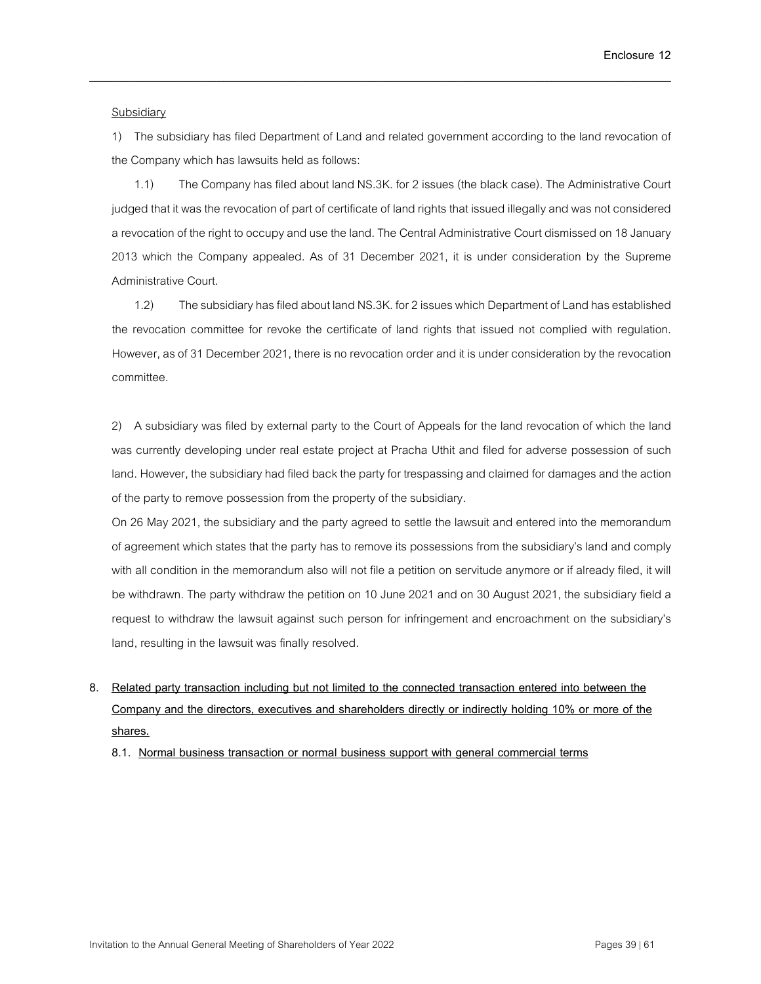### Subsidiary

1) The subsidiary has filed Department of Land and related government according to the land revocation of the Company which has lawsuits held as follows:

\_\_\_\_\_\_\_\_\_\_\_\_\_\_\_\_\_\_\_\_\_\_\_\_\_\_\_\_\_\_\_\_\_\_\_\_\_\_\_\_\_\_\_\_\_\_\_\_\_\_\_\_\_\_\_\_\_\_\_\_\_\_\_\_\_\_\_\_\_\_\_\_\_\_\_\_\_\_

1.1) The Company has filed about land NS.3K. for 2 issues (the black case). The Administrative Court judged that it was the revocation of part of certificate of land rights that issued illegally and was not considered a revocation of the right to occupy and use the land. The Central Administrative Court dismissed on 18 January 2013 which the Company appealed. As of 31 December 2021, it is under consideration by the Supreme Administrative Court.

1.2) The subsidiary has filed about land NS.3K. for 2issues which Department of Land has established the revocation committee for revoke the certificate of land rights that issued not complied with regulation. However, as of31 December 2021, there is no revocation order and it is under consideration by the revocation committee.

2) A subsidiary was filed by external party to the Court of Appeals for the land revocation of which the land was currently developing under real estate project at Pracha Uthit and filed for adverse possession of such land. However, the subsidiary had filed back the party for trespassing and claimed for damages and the action of the party to remove possession from the property of the subsidiary.

On 26 May 2021, the subsidiary and the party agreed to settle the lawsuit and entered into the memorandum of agreement which states that the party has to remove its possessions from the subsidiary's land and comply with all condition in the memorandum also will not file a petition on servitude anymore or if already filed, it will be withdrawn. The party withdraw the petition on 10 June 2021 and on 30 August 2021, the subsidiary field a request to withdraw the lawsuit against such person for infringement and encroachment on the subsidiary's land, resulting in the lawsuit was finally resolved.

# **8. Related party transaction including but not limited to the connected transaction entered into between the Company and the directors, executives and shareholders directly or indirectly holding 10% or more of the shares.**

**8.1. Normal business transaction or normal business support with general commercial terms**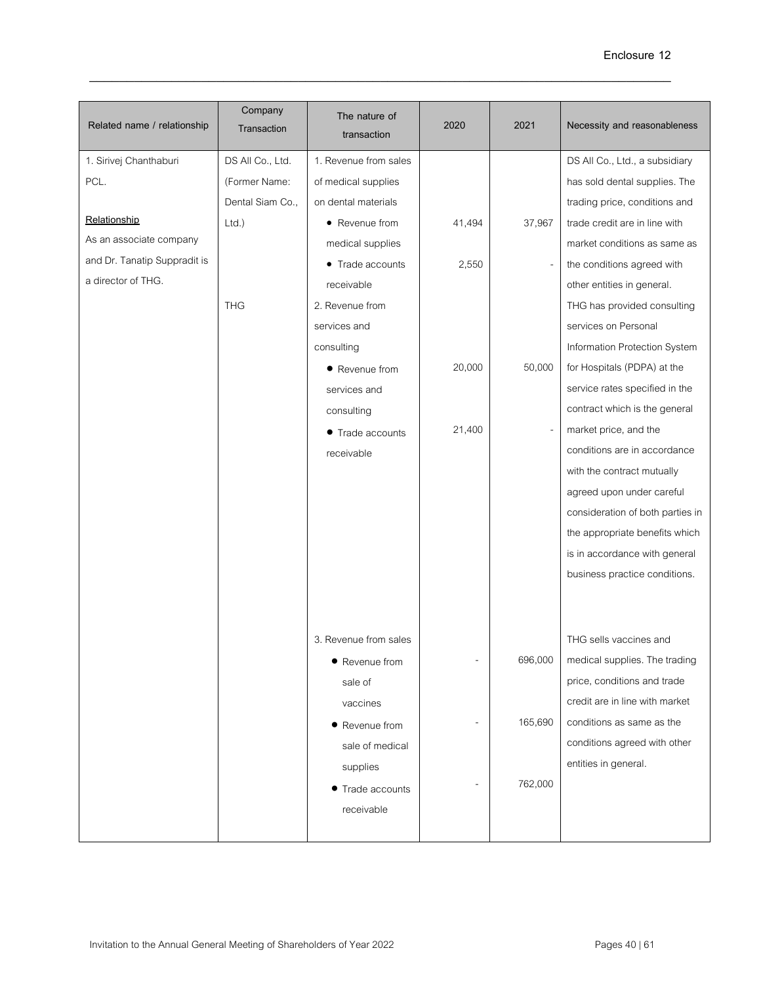| Related name / relationship  | Company<br>Transaction | The nature of<br>transaction | 2020                         | 2021    | Necessity and reasonableness     |
|------------------------------|------------------------|------------------------------|------------------------------|---------|----------------------------------|
| 1. Sirivej Chanthaburi       | DS All Co., Ltd.       | 1. Revenue from sales        |                              |         | DS All Co., Ltd., a subsidiary   |
| PCL.                         | (Former Name:          | of medical supplies          |                              |         | has sold dental supplies. The    |
|                              | Dental Siam Co.,       | on dental materials          |                              |         | trading price, conditions and    |
| Relationship                 | Ltd.                   | • Revenue from               | 41,494                       | 37,967  | trade credit are in line with    |
| As an associate company      |                        | medical supplies             |                              |         | market conditions as same as     |
| and Dr. Tanatip Suppradit is |                        | • Trade accounts             | 2,550                        |         | the conditions agreed with       |
| a director of THG.           |                        | receivable                   |                              |         | other entities in general.       |
|                              | <b>THG</b>             | 2. Revenue from              |                              |         | THG has provided consulting      |
|                              |                        | services and                 |                              |         | services on Personal             |
|                              |                        | consulting                   |                              |         | Information Protection System    |
|                              |                        | • Revenue from               | 20,000                       | 50,000  | for Hospitals (PDPA) at the      |
|                              |                        | services and                 |                              |         | service rates specified in the   |
|                              |                        | consulting                   |                              |         | contract which is the general    |
|                              |                        | • Trade accounts             | 21,400                       |         | market price, and the            |
|                              |                        | receivable                   |                              |         | conditions are in accordance     |
|                              |                        |                              |                              |         | with the contract mutually       |
|                              |                        |                              |                              |         | agreed upon under careful        |
|                              |                        |                              |                              |         | consideration of both parties in |
|                              |                        |                              |                              |         | the appropriate benefits which   |
|                              |                        |                              |                              |         | is in accordance with general    |
|                              |                        |                              |                              |         | business practice conditions.    |
|                              |                        |                              |                              |         |                                  |
|                              |                        | 3. Revenue from sales        |                              |         | THG sells vaccines and           |
|                              |                        | • Revenue from               | $\qquad \qquad \blacksquare$ | 696,000 | medical supplies. The trading    |
|                              |                        | sale of                      |                              |         | price, conditions and trade      |
|                              |                        | vaccines                     |                              |         | credit are in line with market   |
|                              |                        | • Revenue from               |                              | 165,690 | conditions as same as the        |
|                              |                        | sale of medical              |                              |         | conditions agreed with other     |
|                              |                        | supplies                     |                              |         | entities in general.             |
|                              |                        | • Trade accounts             |                              | 762,000 |                                  |
|                              |                        | receivable                   |                              |         |                                  |
|                              |                        |                              |                              |         |                                  |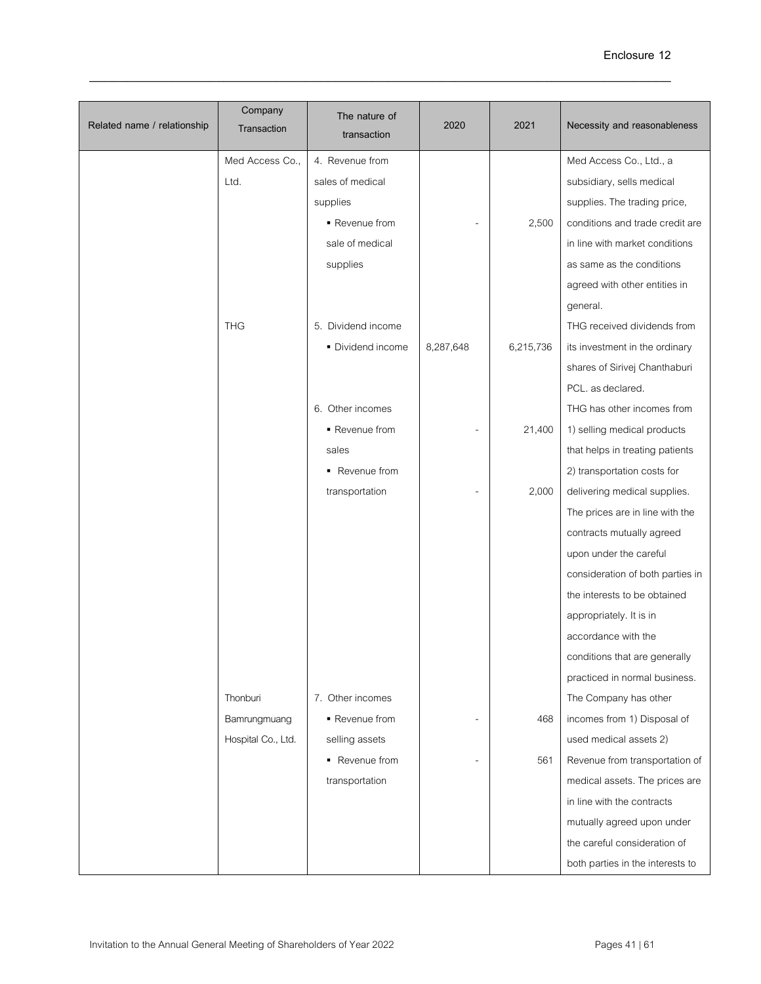| Related name / relationship | Company<br>Transaction | The nature of<br>transaction | 2020           | 2021      | Necessity and reasonableness     |
|-----------------------------|------------------------|------------------------------|----------------|-----------|----------------------------------|
|                             | Med Access Co.,        | 4. Revenue from              |                |           | Med Access Co., Ltd., a          |
|                             | Ltd.                   | sales of medical             |                |           | subsidiary, sells medical        |
|                             |                        | supplies                     |                |           | supplies. The trading price,     |
|                             |                        | ■ Revenue from               |                | 2,500     | conditions and trade credit are  |
|                             |                        | sale of medical              |                |           | in line with market conditions   |
|                             |                        | supplies                     |                |           | as same as the conditions        |
|                             |                        |                              |                |           | agreed with other entities in    |
|                             |                        |                              |                |           | general.                         |
|                             | <b>THG</b>             | 5. Dividend income           |                |           | THG received dividends from      |
|                             |                        | • Dividend income            | 8,287,648      | 6,215,736 | its investment in the ordinary   |
|                             |                        |                              |                |           | shares of Sirivej Chanthaburi    |
|                             |                        |                              |                |           | PCL, as declared.                |
|                             |                        | 6. Other incomes             |                |           | THG has other incomes from       |
|                             |                        | Revenue from                 |                | 21,400    | 1) selling medical products      |
|                             |                        | sales                        |                |           | that helps in treating patients  |
|                             |                        | • Revenue from               |                |           | 2) transportation costs for      |
|                             |                        | transportation               |                | 2,000     | delivering medical supplies.     |
|                             |                        |                              |                |           | The prices are in line with the  |
|                             |                        |                              |                |           | contracts mutually agreed        |
|                             |                        |                              |                |           | upon under the careful           |
|                             |                        |                              |                |           | consideration of both parties in |
|                             |                        |                              |                |           | the interests to be obtained     |
|                             |                        |                              |                |           | appropriately. It is in          |
|                             |                        |                              |                |           | accordance with the              |
|                             |                        |                              |                |           | conditions that are generally    |
|                             |                        |                              |                |           | practiced in normal business.    |
|                             | Thonburi               | 7. Other incomes             |                |           | The Company has other            |
|                             | Bamrungmuang           | Revenue from                 | $\overline{a}$ | 468       | incomes from 1) Disposal of      |
|                             | Hospital Co., Ltd.     | selling assets               |                |           | used medical assets 2)           |
|                             |                        | • Revenue from               |                | 561       | Revenue from transportation of   |
|                             |                        | transportation               |                |           | medical assets. The prices are   |
|                             |                        |                              |                |           | in line with the contracts       |
|                             |                        |                              |                |           | mutually agreed upon under       |
|                             |                        |                              |                |           | the careful consideration of     |
|                             |                        |                              |                |           | both parties in the interests to |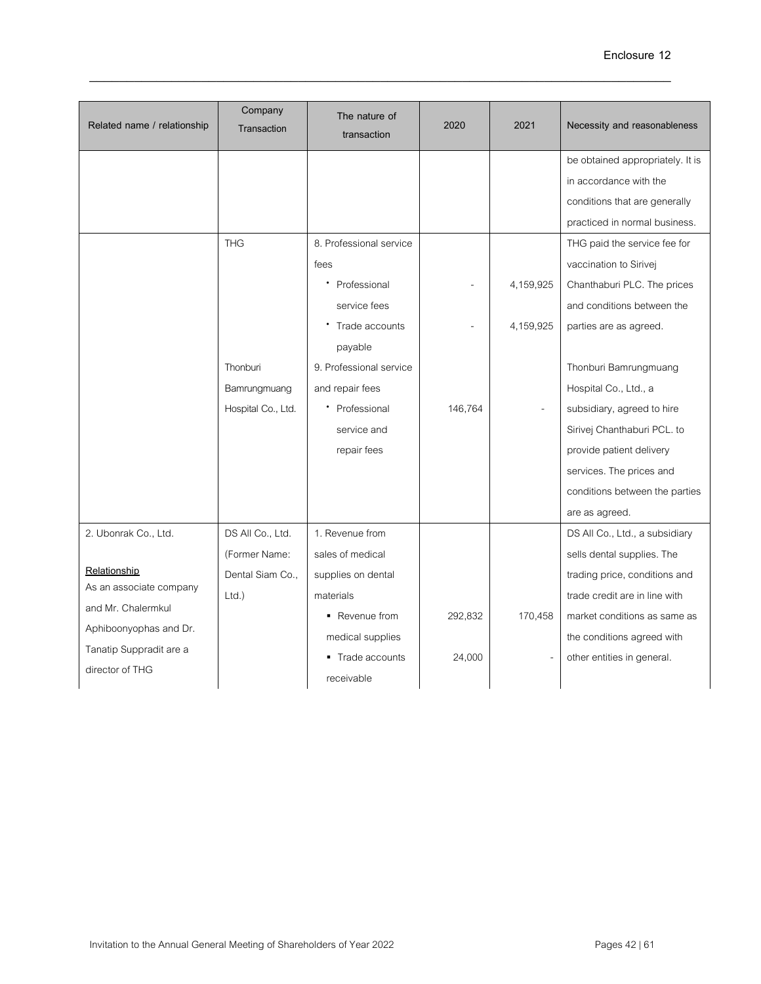| Related name / relationship | Company<br>Transaction | The nature of<br>transaction | 2020    | 2021      | Necessity and reasonableness     |
|-----------------------------|------------------------|------------------------------|---------|-----------|----------------------------------|
|                             |                        |                              |         |           | be obtained appropriately. It is |
|                             |                        |                              |         |           | in accordance with the           |
|                             |                        |                              |         |           | conditions that are generally    |
|                             |                        |                              |         |           | practiced in normal business.    |
|                             | <b>THG</b>             | 8. Professional service      |         |           | THG paid the service fee for     |
|                             |                        | fees                         |         |           | vaccination to Sirivej           |
|                             |                        | Professional                 |         | 4,159,925 | Chanthaburi PLC. The prices      |
|                             |                        | service fees                 |         |           | and conditions between the       |
|                             |                        | Trade accounts               |         | 4,159,925 | parties are as agreed.           |
|                             |                        | payable                      |         |           |                                  |
|                             | Thonburi               | 9. Professional service      |         |           | Thonburi Bamrungmuang            |
|                             | Bamrungmuang           | and repair fees              |         |           | Hospital Co., Ltd., a            |
|                             | Hospital Co., Ltd.     | • Professional               | 146,764 |           | subsidiary, agreed to hire       |
|                             |                        | service and                  |         |           | Sirivej Chanthaburi PCL. to      |
|                             |                        | repair fees                  |         |           | provide patient delivery         |
|                             |                        |                              |         |           | services. The prices and         |
|                             |                        |                              |         |           | conditions between the parties   |
|                             |                        |                              |         |           | are as agreed.                   |
| 2. Ubonrak Co., Ltd.        | DS All Co., Ltd.       | 1. Revenue from              |         |           | DS All Co., Ltd., a subsidiary   |
|                             | (Former Name:          | sales of medical             |         |           | sells dental supplies. The       |
| Relationship                | Dental Siam Co.,       | supplies on dental           |         |           | trading price, conditions and    |
| As an associate company     | $Ltd.$ )               | materials                    |         |           | trade credit are in line with    |
| and Mr. Chalermkul          |                        | • Revenue from               | 292.832 | 170,458   | market conditions as same as     |
| Aphiboonyophas and Dr.      |                        | medical supplies             |         |           | the conditions agreed with       |
| Tanatip Suppradit are a     |                        | Trade accounts               | 24,000  |           | other entities in general.       |
| director of THG             |                        | receivable                   |         |           |                                  |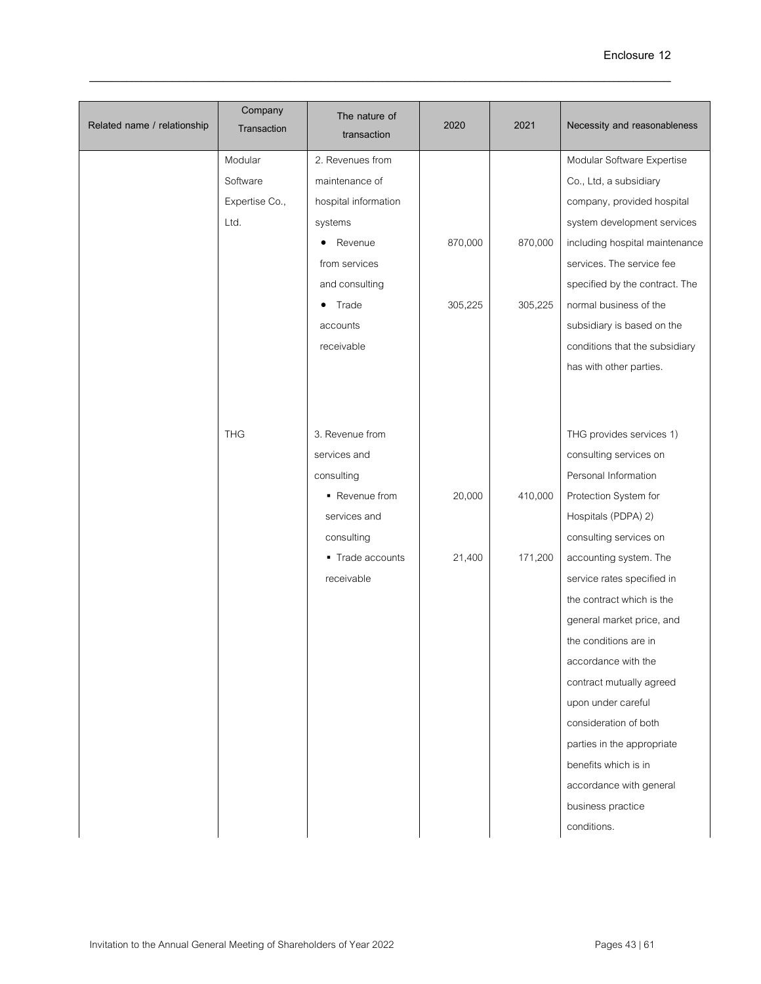| Related name / relationship | Company<br>Transaction | The nature of<br>transaction | 2020    | 2021    | Necessity and reasonableness   |
|-----------------------------|------------------------|------------------------------|---------|---------|--------------------------------|
|                             | Modular                | 2. Revenues from             |         |         | Modular Software Expertise     |
|                             | Software               | maintenance of               |         |         | Co., Ltd, a subsidiary         |
|                             | Expertise Co.,         | hospital information         |         |         | company, provided hospital     |
|                             | Ltd.                   | systems                      |         |         | system development services    |
|                             |                        | Revenue<br>٠                 | 870,000 | 870,000 | including hospital maintenance |
|                             |                        | from services                |         |         | services. The service fee      |
|                             |                        | and consulting               |         |         | specified by the contract. The |
|                             |                        | Trade                        | 305,225 | 305,225 | normal business of the         |
|                             |                        | accounts                     |         |         | subsidiary is based on the     |
|                             |                        | receivable                   |         |         | conditions that the subsidiary |
|                             |                        |                              |         |         | has with other parties.        |
|                             |                        |                              |         |         |                                |
|                             | <b>THG</b>             | 3. Revenue from              |         |         | THG provides services 1)       |
|                             |                        | services and                 |         |         | consulting services on         |
|                             |                        | consulting                   |         |         | Personal Information           |
|                             |                        | • Revenue from               | 20,000  | 410,000 | Protection System for          |
|                             |                        | services and                 |         |         | Hospitals (PDPA) 2)            |
|                             |                        | consulting                   |         |         | consulting services on         |
|                             |                        | ■ Trade accounts             | 21,400  | 171,200 | accounting system. The         |
|                             |                        | receivable                   |         |         | service rates specified in     |
|                             |                        |                              |         |         | the contract which is the      |
|                             |                        |                              |         |         | general market price, and      |
|                             |                        |                              |         |         | the conditions are in          |
|                             |                        |                              |         |         | accordance with the            |
|                             |                        |                              |         |         | contract mutually agreed       |
|                             |                        |                              |         |         | upon under careful             |
|                             |                        |                              |         |         | consideration of both          |
|                             |                        |                              |         |         | parties in the appropriate     |
|                             |                        |                              |         |         | benefits which is in           |
|                             |                        |                              |         |         | accordance with general        |
|                             |                        |                              |         |         | business practice              |
|                             |                        |                              |         |         | conditions.                    |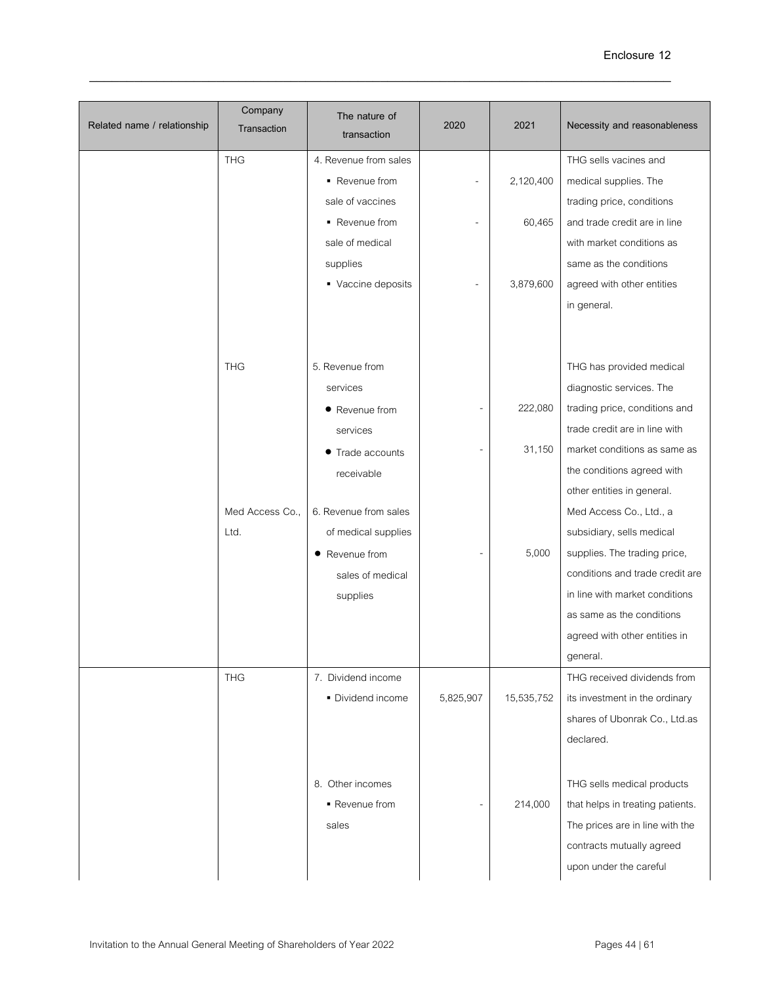|                             | Company         | The nature of         |                          |            |                                  |
|-----------------------------|-----------------|-----------------------|--------------------------|------------|----------------------------------|
| Related name / relationship | Transaction     | transaction           | 2020                     | 2021       | Necessity and reasonableness     |
|                             | <b>THG</b>      | 4. Revenue from sales |                          |            | THG sells vacines and            |
|                             |                 | ■ Revenue from        |                          | 2,120,400  | medical supplies. The            |
|                             |                 | sale of vaccines      |                          |            | trading price, conditions        |
|                             |                 | • Revenue from        | $\overline{a}$           | 60,465     | and trade credit are in line     |
|                             |                 | sale of medical       |                          |            | with market conditions as        |
|                             |                 | supplies              |                          |            | same as the conditions           |
|                             |                 | • Vaccine deposits    |                          | 3,879,600  | agreed with other entities       |
|                             |                 |                       |                          |            | in general.                      |
|                             |                 |                       |                          |            |                                  |
|                             |                 |                       |                          |            |                                  |
|                             | <b>THG</b>      | 5. Revenue from       |                          |            | THG has provided medical         |
|                             |                 | services              |                          |            | diagnostic services. The         |
|                             |                 | • Revenue from        | $\overline{a}$           | 222,080    | trading price, conditions and    |
|                             |                 | services              |                          |            | trade credit are in line with    |
|                             |                 | Trade accounts        |                          | 31,150     | market conditions as same as     |
|                             |                 | receivable            |                          |            | the conditions agreed with       |
|                             |                 |                       |                          |            | other entities in general.       |
|                             | Med Access Co., | 6. Revenue from sales |                          |            | Med Access Co., Ltd., a          |
|                             | Ltd.            | of medical supplies   |                          |            | subsidiary, sells medical        |
|                             |                 | • Revenue from        | $\overline{\phantom{0}}$ | 5,000      | supplies. The trading price,     |
|                             |                 | sales of medical      |                          |            | conditions and trade credit are  |
|                             |                 | supplies              |                          |            | in line with market conditions   |
|                             |                 |                       |                          |            | as same as the conditions        |
|                             |                 |                       |                          |            | agreed with other entities in    |
|                             |                 |                       |                          |            | general.                         |
|                             | <b>THG</b>      | 7. Dividend income    |                          |            | THG received dividends from      |
|                             |                 | • Dividend income     | 5,825,907                | 15,535,752 | its investment in the ordinary   |
|                             |                 |                       |                          |            | shares of Ubonrak Co., Ltd.as    |
|                             |                 |                       |                          |            | declared.                        |
|                             |                 |                       |                          |            |                                  |
|                             |                 | 8. Other incomes      |                          |            | THG sells medical products       |
|                             |                 | ■ Revenue from        | $\overline{a}$           | 214,000    | that helps in treating patients. |
|                             |                 | sales                 |                          |            | The prices are in line with the  |
|                             |                 |                       |                          |            | contracts mutually agreed        |
|                             |                 |                       |                          |            | upon under the careful           |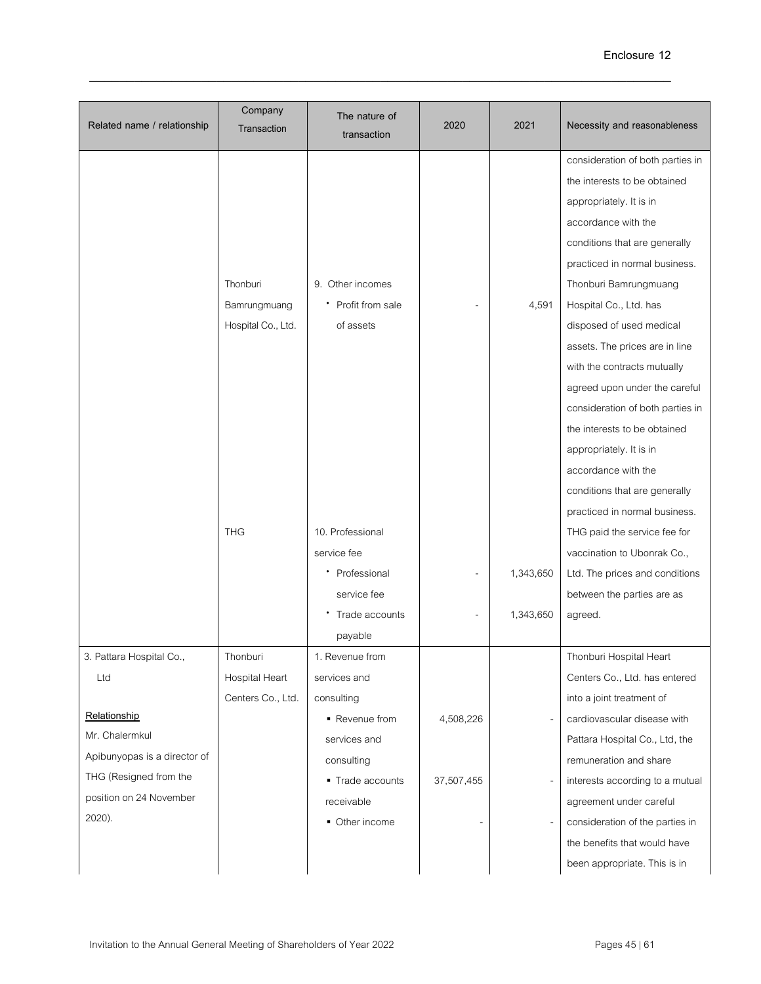| Related name / relationship  | Company<br>Transaction | The nature of<br>transaction | 2020       | 2021      | Necessity and reasonableness     |
|------------------------------|------------------------|------------------------------|------------|-----------|----------------------------------|
|                              |                        |                              |            |           | consideration of both parties in |
|                              |                        |                              |            |           | the interests to be obtained     |
|                              |                        |                              |            |           | appropriately. It is in          |
|                              |                        |                              |            |           | accordance with the              |
|                              |                        |                              |            |           | conditions that are generally    |
|                              |                        |                              |            |           | practiced in normal business.    |
|                              | Thonburi               | 9. Other incomes             |            |           | Thonburi Bamrungmuang            |
|                              | Bamrungmuang           | • Profit from sale           |            | 4,591     | Hospital Co., Ltd. has           |
|                              | Hospital Co., Ltd.     | of assets                    |            |           | disposed of used medical         |
|                              |                        |                              |            |           | assets. The prices are in line   |
|                              |                        |                              |            |           | with the contracts mutually      |
|                              |                        |                              |            |           | agreed upon under the careful    |
|                              |                        |                              |            |           | consideration of both parties in |
|                              |                        |                              |            |           | the interests to be obtained     |
|                              |                        |                              |            |           | appropriately. It is in          |
|                              |                        |                              |            |           | accordance with the              |
|                              |                        |                              |            |           | conditions that are generally    |
|                              |                        |                              |            |           | practiced in normal business.    |
|                              | <b>THG</b>             | 10. Professional             |            |           | THG paid the service fee for     |
|                              |                        | service fee                  |            |           | vaccination to Ubonrak Co.,      |
|                              |                        | Professional                 |            | 1,343,650 | Ltd. The prices and conditions   |
|                              |                        | service fee                  |            |           | between the parties are as       |
|                              |                        | Trade accounts               |            | 1,343,650 | agreed.                          |
|                              |                        | payable                      |            |           |                                  |
| 3. Pattara Hospital Co.,     | Thonburi               | 1. Revenue from              |            |           | Thonburi Hospital Heart          |
| Ltd                          | Hospital Heart         | services and                 |            |           | Centers Co., Ltd. has entered    |
|                              | Centers Co., Ltd.      | consulting                   |            |           | into a joint treatment of        |
| Relationship                 |                        | ■ Revenue from               | 4,508,226  |           | cardiovascular disease with      |
| Mr. Chalermkul               |                        | services and                 |            |           | Pattara Hospital Co., Ltd, the   |
| Apibunyopas is a director of |                        | consulting                   |            |           | remuneration and share           |
| THG (Resigned from the       |                        | ■ Trade accounts             | 37,507,455 |           | interests according to a mutual  |
| position on 24 November      |                        | receivable                   |            |           | agreement under careful          |
| 2020).                       |                        | • Other income               |            |           | consideration of the parties in  |
|                              |                        |                              |            |           | the benefits that would have     |
|                              |                        |                              |            |           | been appropriate. This is in     |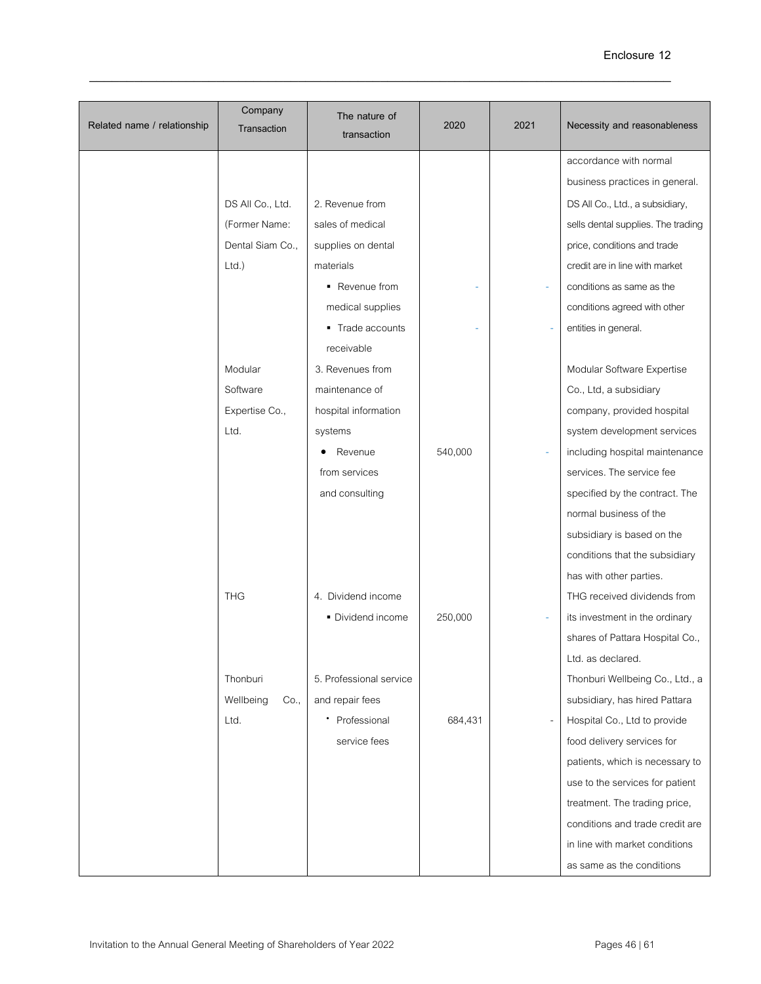| Related name / relationship | Company<br>Transaction | The nature of<br>transaction | 2020    | 2021 | Necessity and reasonableness       |
|-----------------------------|------------------------|------------------------------|---------|------|------------------------------------|
|                             |                        |                              |         |      | accordance with normal             |
|                             |                        |                              |         |      | business practices in general.     |
|                             | DS All Co., Ltd.       | 2. Revenue from              |         |      | DS All Co., Ltd., a subsidiary,    |
|                             | (Former Name:          | sales of medical             |         |      | sells dental supplies. The trading |
|                             | Dental Siam Co.,       | supplies on dental           |         |      | price, conditions and trade        |
|                             | $Ltd.$ )               | materials                    |         |      | credit are in line with market     |
|                             |                        | • Revenue from               |         |      | conditions as same as the          |
|                             |                        | medical supplies             |         |      | conditions agreed with other       |
|                             |                        | • Trade accounts             |         |      | entities in general.               |
|                             |                        | receivable                   |         |      |                                    |
|                             | Modular                | 3. Revenues from             |         |      | Modular Software Expertise         |
|                             | Software               | maintenance of               |         |      | Co., Ltd, a subsidiary             |
|                             | Expertise Co.,         | hospital information         |         |      | company, provided hospital         |
|                             | Ltd.                   | systems                      |         |      | system development services        |
|                             |                        | Revenue                      | 540,000 |      | including hospital maintenance     |
|                             |                        | from services                |         |      | services. The service fee          |
|                             |                        | and consulting               |         |      | specified by the contract. The     |
|                             |                        |                              |         |      | normal business of the             |
|                             |                        |                              |         |      | subsidiary is based on the         |
|                             |                        |                              |         |      | conditions that the subsidiary     |
|                             |                        |                              |         |      | has with other parties.            |
|                             | <b>THG</b>             | 4. Dividend income           |         |      | THG received dividends from        |
|                             |                        | • Dividend income            | 250,000 |      | its investment in the ordinary     |
|                             |                        |                              |         |      | shares of Pattara Hospital Co.,    |
|                             |                        |                              |         |      | Ltd. as declared.                  |
|                             | Thonburi               | 5. Professional service      |         |      | Thonburi Wellbeing Co., Ltd., a    |
|                             | Wellbeing<br>Co.,      | and repair fees              |         |      | subsidiary, has hired Pattara      |
|                             | Ltd.                   | Professional<br>٠            | 684,431 |      | Hospital Co., Ltd to provide       |
|                             |                        | service fees                 |         |      | food delivery services for         |
|                             |                        |                              |         |      | patients, which is necessary to    |
|                             |                        |                              |         |      | use to the services for patient    |
|                             |                        |                              |         |      | treatment. The trading price,      |
|                             |                        |                              |         |      | conditions and trade credit are    |
|                             |                        |                              |         |      | in line with market conditions     |
|                             |                        |                              |         |      | as same as the conditions          |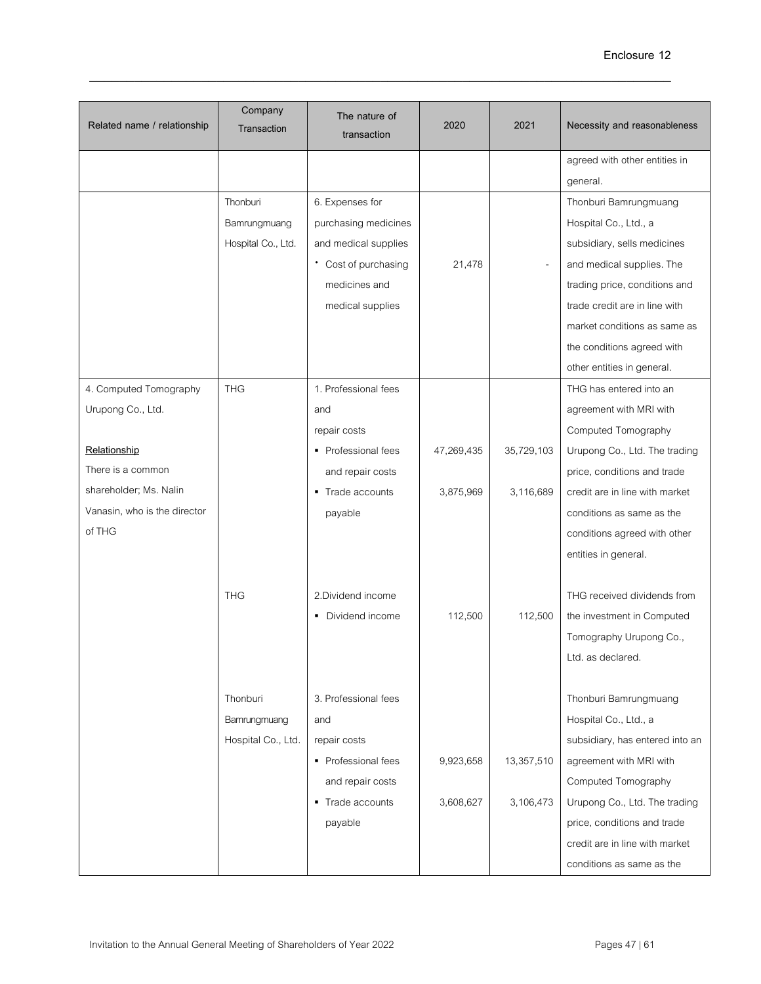| Related name / relationship  | Company<br>Transaction | The nature of<br>transaction | 2020       | 2021       | Necessity and reasonableness    |
|------------------------------|------------------------|------------------------------|------------|------------|---------------------------------|
|                              |                        |                              |            |            | agreed with other entities in   |
|                              |                        |                              |            |            | general.                        |
|                              | Thonburi               | 6. Expenses for              |            |            | Thonburi Bamrungmuang           |
|                              | Bamrungmuang           | purchasing medicines         |            |            | Hospital Co., Ltd., a           |
|                              | Hospital Co., Ltd.     | and medical supplies         |            |            | subsidiary, sells medicines     |
|                              |                        | • Cost of purchasing         | 21,478     |            | and medical supplies. The       |
|                              |                        | medicines and                |            |            | trading price, conditions and   |
|                              |                        | medical supplies             |            |            | trade credit are in line with   |
|                              |                        |                              |            |            | market conditions as same as    |
|                              |                        |                              |            |            | the conditions agreed with      |
|                              |                        |                              |            |            | other entities in general.      |
| 4. Computed Tomography       | <b>THG</b>             | 1. Professional fees         |            |            | THG has entered into an         |
| Urupong Co., Ltd.            |                        | and                          |            |            | agreement with MRI with         |
|                              |                        | repair costs                 |            |            | Computed Tomography             |
| Relationship                 |                        | • Professional fees          | 47,269,435 | 35,729,103 | Urupong Co., Ltd. The trading   |
| There is a common            |                        | and repair costs             |            |            | price, conditions and trade     |
| shareholder; Ms. Nalin       |                        | • Trade accounts             | 3,875,969  | 3,116,689  | credit are in line with market  |
| Vanasin, who is the director |                        | payable                      |            |            | conditions as same as the       |
| of THG                       |                        |                              |            |            | conditions agreed with other    |
|                              |                        |                              |            |            | entities in general.            |
|                              |                        |                              |            |            |                                 |
|                              | <b>THG</b>             | 2.Dividend income            |            |            | THG received dividends from     |
|                              |                        | • Dividend income            | 112,500    | 112,500    | the investment in Computed      |
|                              |                        |                              |            |            | Tomography Urupong Co.,         |
|                              |                        |                              |            |            | Ltd. as declared.               |
|                              |                        |                              |            |            |                                 |
|                              | Thonburi               | 3. Professional fees         |            |            | Thonburi Bamrungmuang           |
|                              | Bamrungmuang           | and                          |            |            | Hospital Co., Ltd., a           |
|                              | Hospital Co., Ltd.     | repair costs                 |            |            | subsidiary, has entered into an |
|                              |                        | • Professional fees          | 9,923,658  | 13,357,510 | agreement with MRI with         |
|                              |                        | and repair costs             |            |            | Computed Tomography             |
|                              |                        | • Trade accounts             | 3,608,627  | 3,106,473  | Urupong Co., Ltd. The trading   |
|                              |                        | payable                      |            |            | price, conditions and trade     |
|                              |                        |                              |            |            | credit are in line with market  |
|                              |                        |                              |            |            | conditions as same as the       |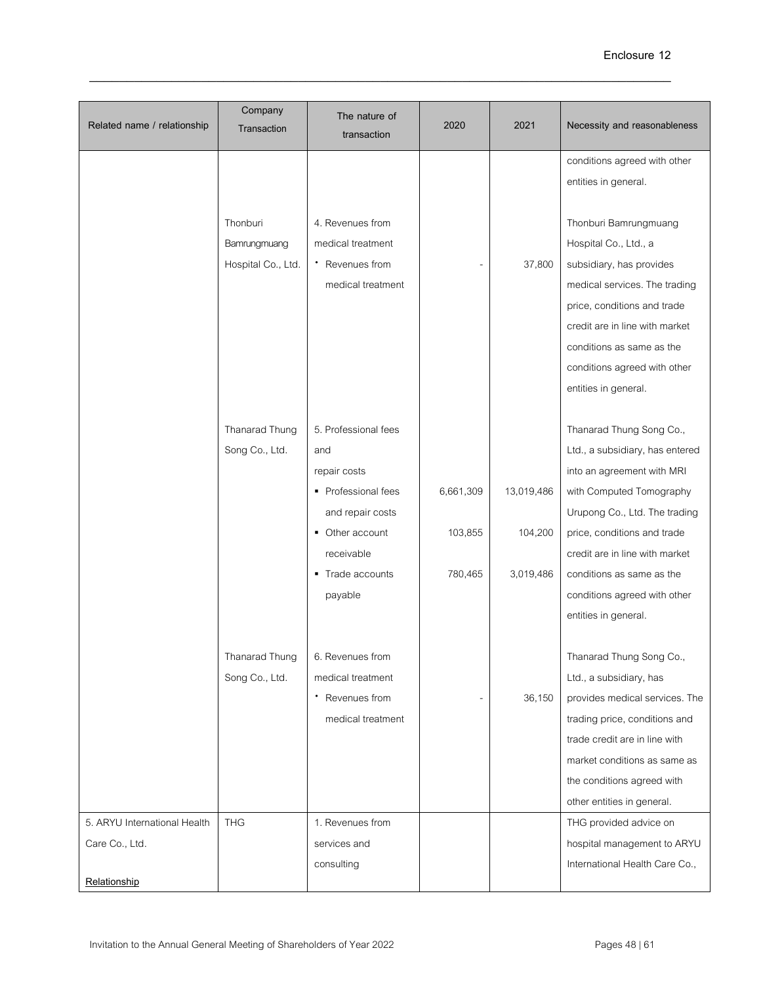| Related name / relationship                                    | Company<br>Transaction                         | The nature of<br>transaction                                                                                                                           | 2020                            | 2021                               | Necessity and reasonableness                                                                                                                                                                                                                                                                                 |
|----------------------------------------------------------------|------------------------------------------------|--------------------------------------------------------------------------------------------------------------------------------------------------------|---------------------------------|------------------------------------|--------------------------------------------------------------------------------------------------------------------------------------------------------------------------------------------------------------------------------------------------------------------------------------------------------------|
|                                                                |                                                |                                                                                                                                                        |                                 |                                    | conditions agreed with other<br>entities in general.                                                                                                                                                                                                                                                         |
|                                                                | Thonburi<br>Bamrungmuang<br>Hospital Co., Ltd. | 4. Revenues from<br>medical treatment<br>* Revenues from<br>medical treatment                                                                          |                                 | 37,800                             | Thonburi Bamrungmuang<br>Hospital Co., Ltd., a<br>subsidiary, has provides<br>medical services. The trading<br>price, conditions and trade<br>credit are in line with market<br>conditions as same as the<br>conditions agreed with other<br>entities in general.                                            |
|                                                                | Thanarad Thung<br>Song Co., Ltd.               | 5. Professional fees<br>and<br>repair costs<br>• Professional fees<br>and repair costs<br>• Other account<br>receivable<br>• Trade accounts<br>payable | 6,661,309<br>103,855<br>780,465 | 13,019,486<br>104,200<br>3,019,486 | Thanarad Thung Song Co.,<br>Ltd., a subsidiary, has entered<br>into an agreement with MRI<br>with Computed Tomography<br>Urupong Co., Ltd. The trading<br>price, conditions and trade<br>credit are in line with market<br>conditions as same as the<br>conditions agreed with other<br>entities in general. |
|                                                                | Thanarad Thung<br>Song Co., Ltd.               | 6. Revenues from<br>medical treatment<br>Revenues from<br>medical treatment                                                                            |                                 | 36,150                             | Thanarad Thung Song Co.,<br>Ltd., a subsidiary, has<br>provides medical services. The<br>trading price, conditions and<br>trade credit are in line with<br>market conditions as same as<br>the conditions agreed with<br>other entities in general.                                                          |
| 5. ARYU International Health<br>Care Co., Ltd.<br>Relationship | <b>THG</b>                                     | 1. Revenues from<br>services and<br>consulting                                                                                                         |                                 |                                    | THG provided advice on<br>hospital management to ARYU<br>International Health Care Co.,                                                                                                                                                                                                                      |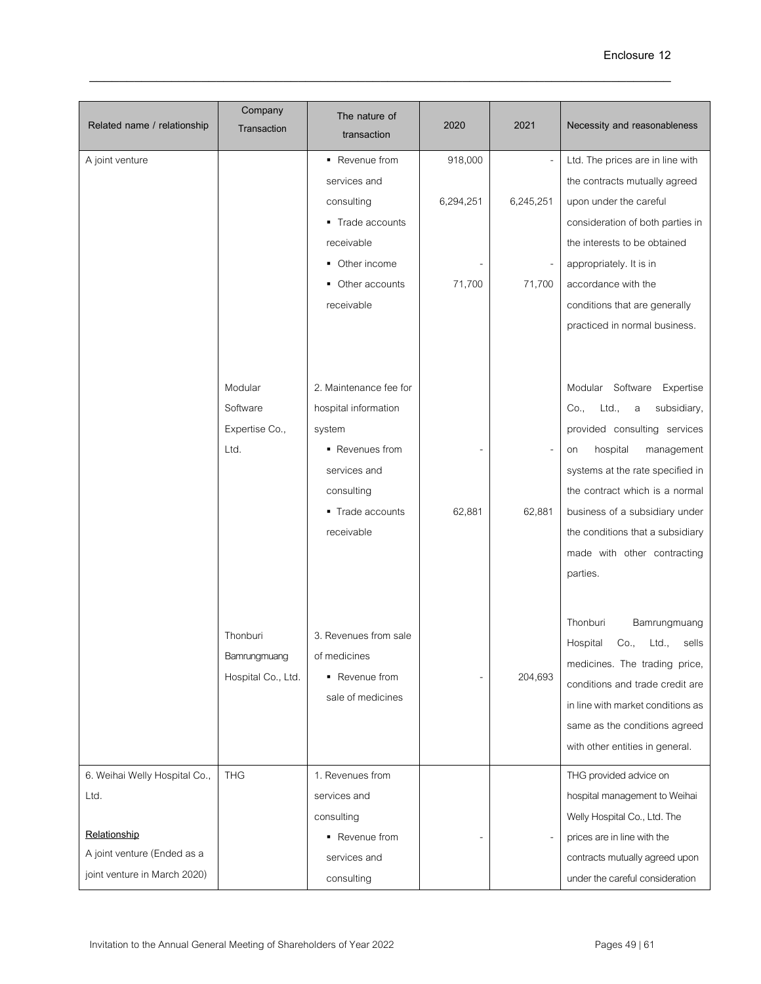| Related name / relationship                                                                                          | Company<br>Transaction                         | The nature of<br>transaction                                                                                                                | 2020                           | 2021                | Necessity and reasonableness                                                                                                                                                                                                                                                                                           |
|----------------------------------------------------------------------------------------------------------------------|------------------------------------------------|---------------------------------------------------------------------------------------------------------------------------------------------|--------------------------------|---------------------|------------------------------------------------------------------------------------------------------------------------------------------------------------------------------------------------------------------------------------------------------------------------------------------------------------------------|
| A joint venture                                                                                                      |                                                | ■ Revenue from<br>services and<br>consulting<br>• Trade accounts<br>receivable<br>Other income<br>٠<br>Other accounts<br>receivable         | 918,000<br>6,294,251<br>71,700 | 6,245,251<br>71,700 | Ltd. The prices are in line with<br>the contracts mutually agreed<br>upon under the careful<br>consideration of both parties in<br>the interests to be obtained<br>appropriately. It is in<br>accordance with the<br>conditions that are generally<br>practiced in normal business.                                    |
|                                                                                                                      | Modular<br>Software<br>Expertise Co.,<br>Ltd.  | 2. Maintenance fee for<br>hospital information<br>system<br>• Revenues from<br>services and<br>consulting<br>• Trade accounts<br>receivable | 62,881                         | 62,881              | Modular Software Expertise<br>Ltd.,<br>Co.,<br>subsidiary,<br>a<br>provided consulting services<br>hospital<br>management<br>on<br>systems at the rate specified in<br>the contract which is a normal<br>business of a subsidiary under<br>the conditions that a subsidiary<br>made with other contracting<br>parties. |
|                                                                                                                      | Thonburi<br>Bamrungmuang<br>Hospital Co., Ltd. | 3. Revenues from sale<br>of medicines<br>• Revenue from<br>sale of medicines                                                                |                                | 204,693             | Thonburi<br>Bamrungmuang<br>Hospital<br>Ltd.,<br>Co.,<br>sells<br>medicines. The trading price,<br>conditions and trade credit are<br>in line with market conditions as<br>same as the conditions agreed<br>with other entities in general.                                                                            |
| 6. Weihai Welly Hospital Co.,<br>Ltd.<br>Relationship<br>A joint venture (Ended as a<br>joint venture in March 2020) | <b>THG</b>                                     | 1. Revenues from<br>services and<br>consulting<br>• Revenue from<br>services and<br>consulting                                              |                                |                     | THG provided advice on<br>hospital management to Weihai<br>Welly Hospital Co., Ltd. The<br>prices are in line with the<br>contracts mutually agreed upon<br>under the careful consideration                                                                                                                            |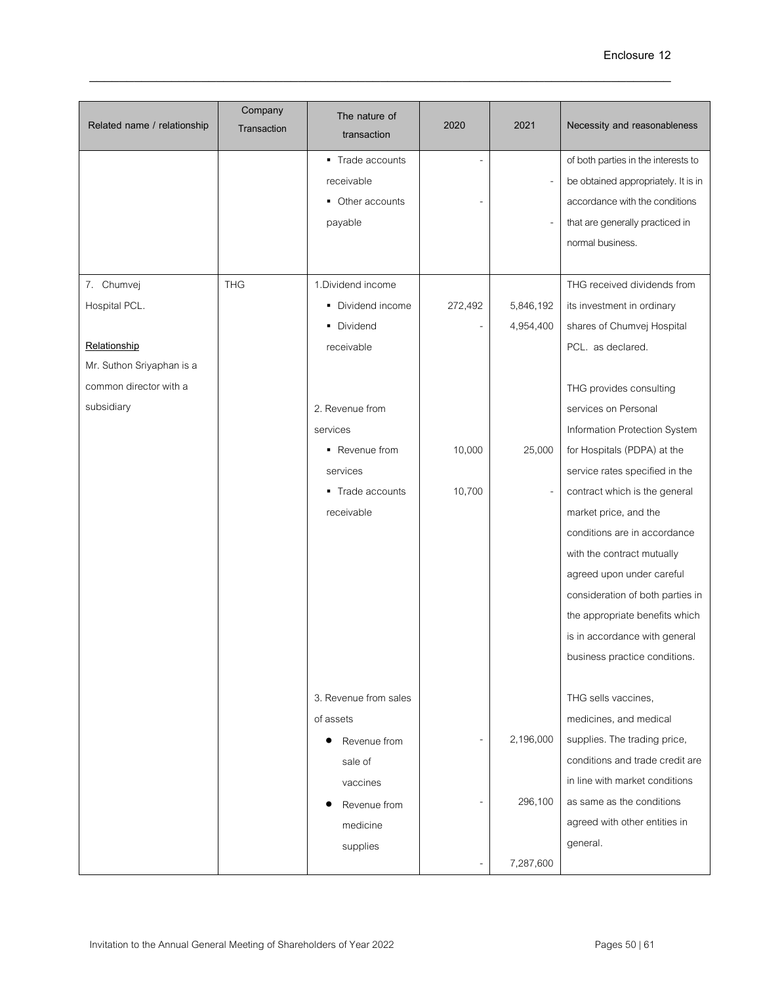| Related name / relationship | Company<br>Transaction | The nature of<br>transaction | 2020    | 2021      | Necessity and reasonableness        |
|-----------------------------|------------------------|------------------------------|---------|-----------|-------------------------------------|
|                             |                        | • Trade accounts             |         |           | of both parties in the interests to |
|                             |                        | receivable                   |         |           | be obtained appropriately. It is in |
|                             |                        | • Other accounts             |         |           | accordance with the conditions      |
|                             |                        | payable                      |         |           | that are generally practiced in     |
|                             |                        |                              |         |           | normal business.                    |
|                             |                        |                              |         |           |                                     |
| 7. Chumvej                  | <b>THG</b>             | 1.Dividend income            |         |           | THG received dividends from         |
| Hospital PCL.               |                        | • Dividend income            | 272,492 | 5,846,192 | its investment in ordinary          |
|                             |                        | • Dividend                   |         | 4,954,400 | shares of Chumvej Hospital          |
| Relationship                |                        | receivable                   |         |           | PCL. as declared.                   |
| Mr. Suthon Sriyaphan is a   |                        |                              |         |           |                                     |
| common director with a      |                        |                              |         |           | THG provides consulting             |
| subsidiary                  |                        | 2. Revenue from              |         |           | services on Personal                |
|                             |                        | services                     |         |           | Information Protection System       |
|                             |                        | • Revenue from               | 10,000  | 25,000    | for Hospitals (PDPA) at the         |
|                             |                        | services                     |         |           | service rates specified in the      |
|                             |                        | • Trade accounts             | 10,700  |           | contract which is the general       |
|                             |                        | receivable                   |         |           | market price, and the               |
|                             |                        |                              |         |           | conditions are in accordance        |
|                             |                        |                              |         |           | with the contract mutually          |
|                             |                        |                              |         |           | agreed upon under careful           |
|                             |                        |                              |         |           | consideration of both parties in    |
|                             |                        |                              |         |           | the appropriate benefits which      |
|                             |                        |                              |         |           | is in accordance with general       |
|                             |                        |                              |         |           | business practice conditions.       |
|                             |                        |                              |         |           |                                     |
|                             |                        | 3. Revenue from sales        |         |           | THG sells vaccines,                 |
|                             |                        | of assets                    |         |           | medicines, and medical              |
|                             |                        | Revenue from                 | ۰       | 2,196,000 | supplies. The trading price,        |
|                             |                        | sale of                      |         |           | conditions and trade credit are     |
|                             |                        | vaccines                     |         |           | in line with market conditions      |
|                             |                        | Revenue from                 |         | 296,100   | as same as the conditions           |
|                             |                        | medicine                     |         |           | agreed with other entities in       |
|                             |                        | supplies                     |         |           | general.                            |
|                             |                        |                              |         | 7,287,600 |                                     |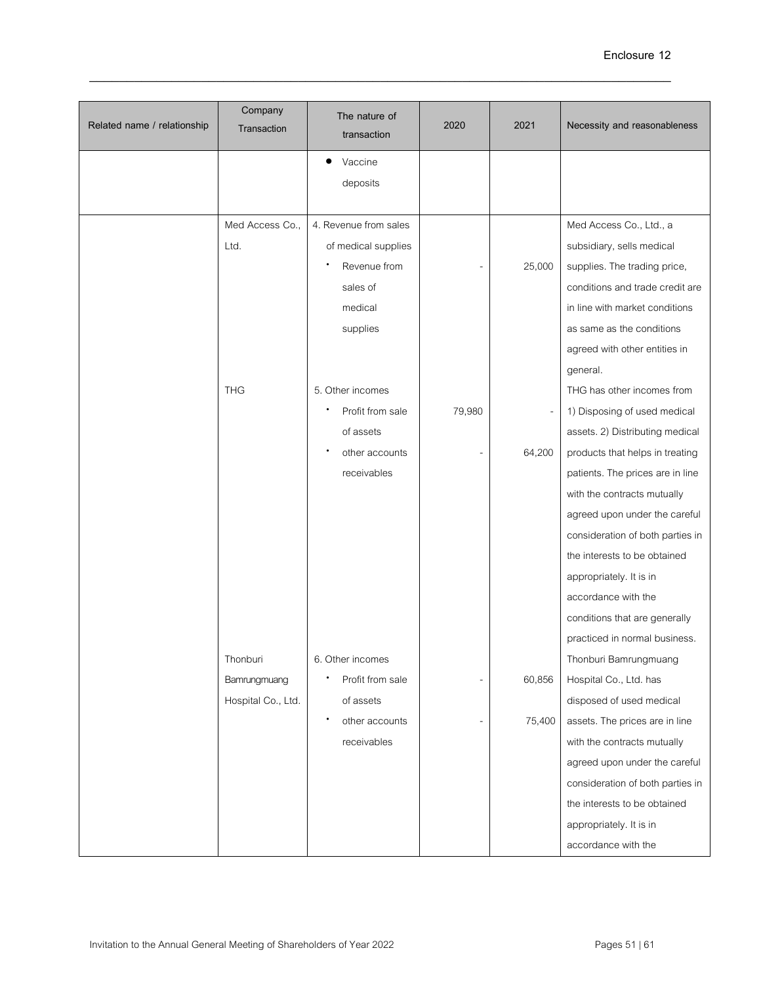| Related name / relationship | Company<br>Transaction | The nature of<br>transaction | 2020   | 2021   | Necessity and reasonableness     |
|-----------------------------|------------------------|------------------------------|--------|--------|----------------------------------|
|                             |                        | Vaccine                      |        |        |                                  |
|                             |                        | deposits                     |        |        |                                  |
|                             | Med Access Co.,        | 4. Revenue from sales        |        |        | Med Access Co., Ltd., a          |
|                             | Ltd.                   | of medical supplies          |        |        | subsidiary, sells medical        |
|                             |                        | Revenue from                 |        | 25,000 | supplies. The trading price,     |
|                             |                        | sales of                     |        |        | conditions and trade credit are  |
|                             |                        | medical                      |        |        | in line with market conditions   |
|                             |                        | supplies                     |        |        | as same as the conditions        |
|                             |                        |                              |        |        | agreed with other entities in    |
|                             |                        |                              |        |        | general.                         |
|                             | <b>THG</b>             | 5. Other incomes             |        |        | THG has other incomes from       |
|                             |                        | Profit from sale             | 79,980 |        | 1) Disposing of used medical     |
|                             |                        | of assets                    |        |        | assets. 2) Distributing medical  |
|                             |                        | other accounts               |        | 64,200 | products that helps in treating  |
|                             |                        | receivables                  |        |        | patients. The prices are in line |
|                             |                        |                              |        |        | with the contracts mutually      |
|                             |                        |                              |        |        | agreed upon under the careful    |
|                             |                        |                              |        |        | consideration of both parties in |
|                             |                        |                              |        |        | the interests to be obtained     |
|                             |                        |                              |        |        | appropriately. It is in          |
|                             |                        |                              |        |        | accordance with the              |
|                             |                        |                              |        |        | conditions that are generally    |
|                             |                        |                              |        |        | practiced in normal business.    |
|                             | Thonburi               | 6. Other incomes             |        |        | Thonburi Bamrungmuang            |
|                             | Bamrungmuang           | Profit from sale             |        | 60,856 | Hospital Co., Ltd. has           |
|                             | Hospital Co., Ltd.     | of assets                    |        |        | disposed of used medical         |
|                             |                        | $\bullet$<br>other accounts  |        | 75,400 | assets. The prices are in line   |
|                             |                        | receivables                  |        |        | with the contracts mutually      |
|                             |                        |                              |        |        | agreed upon under the careful    |
|                             |                        |                              |        |        | consideration of both parties in |
|                             |                        |                              |        |        | the interests to be obtained     |
|                             |                        |                              |        |        | appropriately. It is in          |
|                             |                        |                              |        |        | accordance with the              |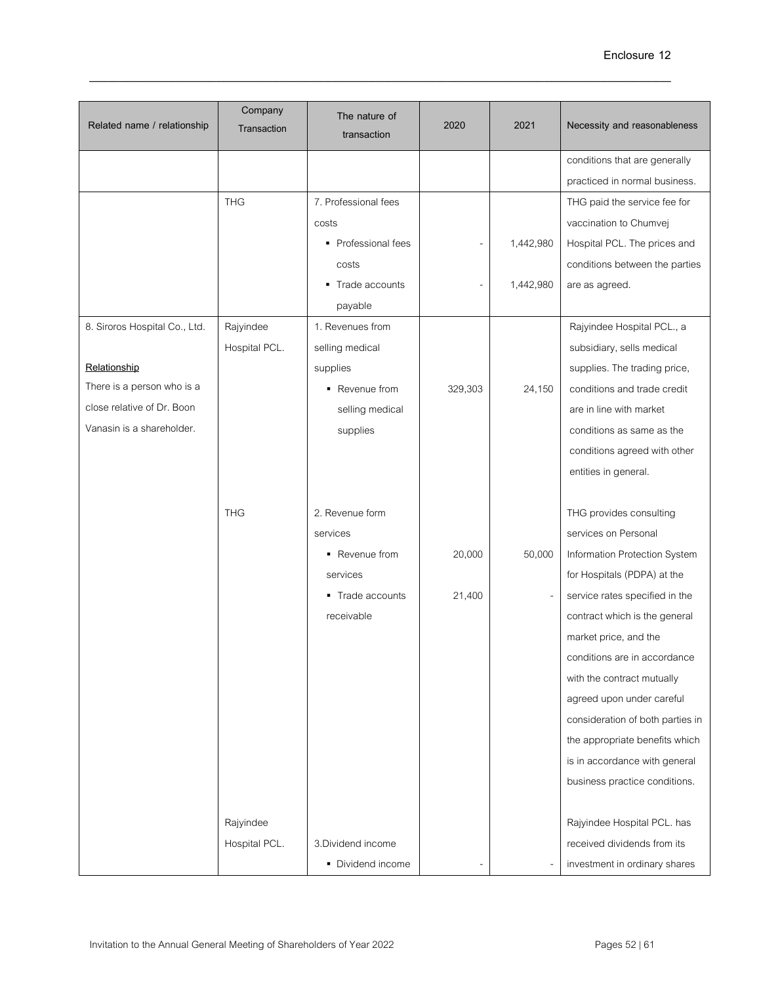| Related name / relationship   | Company<br>Transaction | The nature of<br>transaction | 2020    | 2021      | Necessity and reasonableness     |
|-------------------------------|------------------------|------------------------------|---------|-----------|----------------------------------|
|                               |                        |                              |         |           | conditions that are generally    |
|                               |                        |                              |         |           | practiced in normal business.    |
|                               | <b>THG</b>             | 7. Professional fees         |         |           | THG paid the service fee for     |
|                               |                        | costs                        |         |           | vaccination to Chumvej           |
|                               |                        | • Professional fees          |         | 1,442,980 | Hospital PCL. The prices and     |
|                               |                        | costs                        |         |           | conditions between the parties   |
|                               |                        | Trade accounts               |         | 1,442,980 | are as agreed.                   |
|                               |                        | payable                      |         |           |                                  |
| 8. Siroros Hospital Co., Ltd. | Rajyindee              | 1. Revenues from             |         |           | Rajyindee Hospital PCL., a       |
|                               | Hospital PCL.          | selling medical              |         |           | subsidiary, sells medical        |
| Relationship                  |                        | supplies                     |         |           | supplies. The trading price,     |
| There is a person who is a    |                        | • Revenue from               | 329,303 | 24,150    | conditions and trade credit      |
| close relative of Dr. Boon    |                        | selling medical              |         |           | are in line with market          |
| Vanasin is a shareholder.     |                        | supplies                     |         |           | conditions as same as the        |
|                               |                        |                              |         |           | conditions agreed with other     |
|                               |                        |                              |         |           | entities in general.             |
|                               |                        |                              |         |           |                                  |
|                               | <b>THG</b>             | 2. Revenue form              |         |           | THG provides consulting          |
|                               |                        | services                     |         |           | services on Personal             |
|                               |                        | • Revenue from               | 20,000  | 50,000    | Information Protection System    |
|                               |                        | services                     |         |           | for Hospitals (PDPA) at the      |
|                               |                        | ■ Trade accounts             | 21,400  |           | service rates specified in the   |
|                               |                        | receivable                   |         |           | contract which is the general    |
|                               |                        |                              |         |           | market price, and the            |
|                               |                        |                              |         |           | conditions are in accordance     |
|                               |                        |                              |         |           | with the contract mutually       |
|                               |                        |                              |         |           | agreed upon under careful        |
|                               |                        |                              |         |           | consideration of both parties in |
|                               |                        |                              |         |           | the appropriate benefits which   |
|                               |                        |                              |         |           | is in accordance with general    |
|                               |                        |                              |         |           | business practice conditions.    |
|                               |                        |                              |         |           |                                  |
|                               | Rajyindee              |                              |         |           | Rajyindee Hospital PCL. has      |
|                               | Hospital PCL.          | 3. Dividend income           |         |           | received dividends from its      |
|                               |                        | • Dividend income            |         |           | investment in ordinary shares    |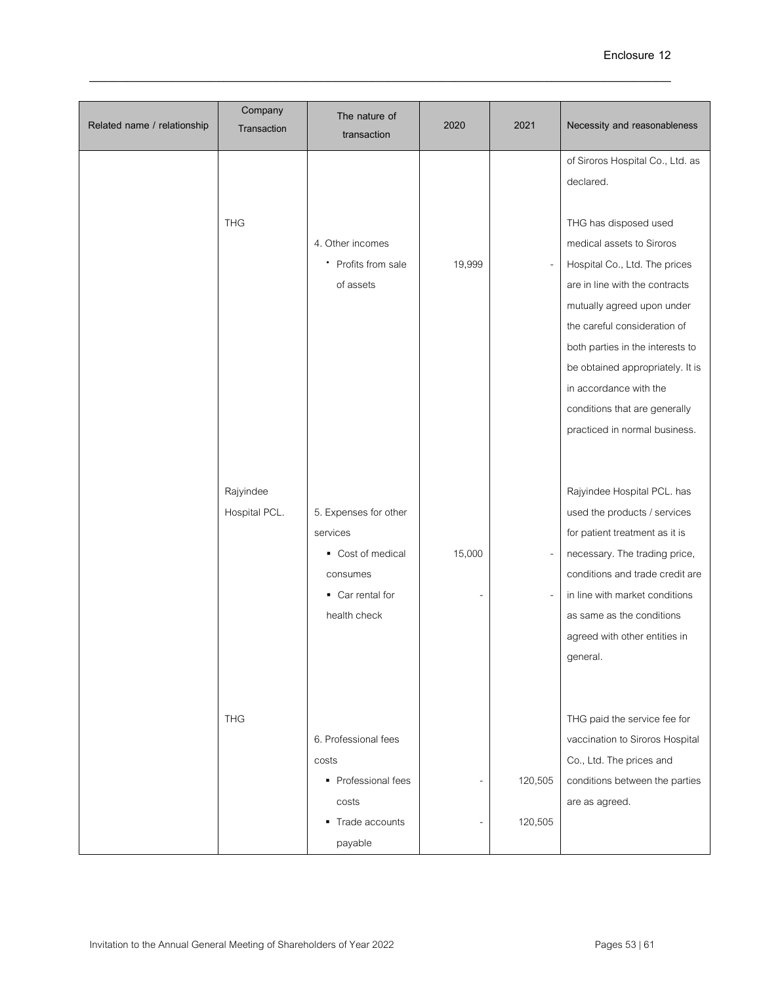| Related name / relationship | Company<br>Transaction     | The nature of<br>transaction                                                                           | 2020   | 2021               | Necessity and reasonableness                                                                                                                                                                                                                                                                                                                            |
|-----------------------------|----------------------------|--------------------------------------------------------------------------------------------------------|--------|--------------------|---------------------------------------------------------------------------------------------------------------------------------------------------------------------------------------------------------------------------------------------------------------------------------------------------------------------------------------------------------|
|                             |                            |                                                                                                        |        |                    | of Siroros Hospital Co., Ltd. as<br>declared.                                                                                                                                                                                                                                                                                                           |
|                             | <b>THG</b>                 | 4. Other incomes<br>• Profits from sale<br>of assets                                                   | 19,999 |                    | THG has disposed used<br>medical assets to Siroros<br>Hospital Co., Ltd. The prices<br>are in line with the contracts<br>mutually agreed upon under<br>the careful consideration of<br>both parties in the interests to<br>be obtained appropriately. It is<br>in accordance with the<br>conditions that are generally<br>practiced in normal business. |
|                             | Rajyindee<br>Hospital PCL. | 5. Expenses for other<br>services<br>• Cost of medical<br>consumes<br>• Car rental for<br>health check | 15,000 |                    | Rajyindee Hospital PCL. has<br>used the products / services<br>for patient treatment as it is<br>necessary. The trading price,<br>conditions and trade credit are<br>in line with market conditions<br>as same as the conditions<br>agreed with other entities in<br>general.                                                                           |
|                             | <b>THG</b>                 | 6. Professional fees<br>costs<br>• Professional fees<br>costs<br>Trade accounts<br>٠<br>payable        |        | 120,505<br>120,505 | THG paid the service fee for<br>vaccination to Siroros Hospital<br>Co., Ltd. The prices and<br>conditions between the parties<br>are as agreed.                                                                                                                                                                                                         |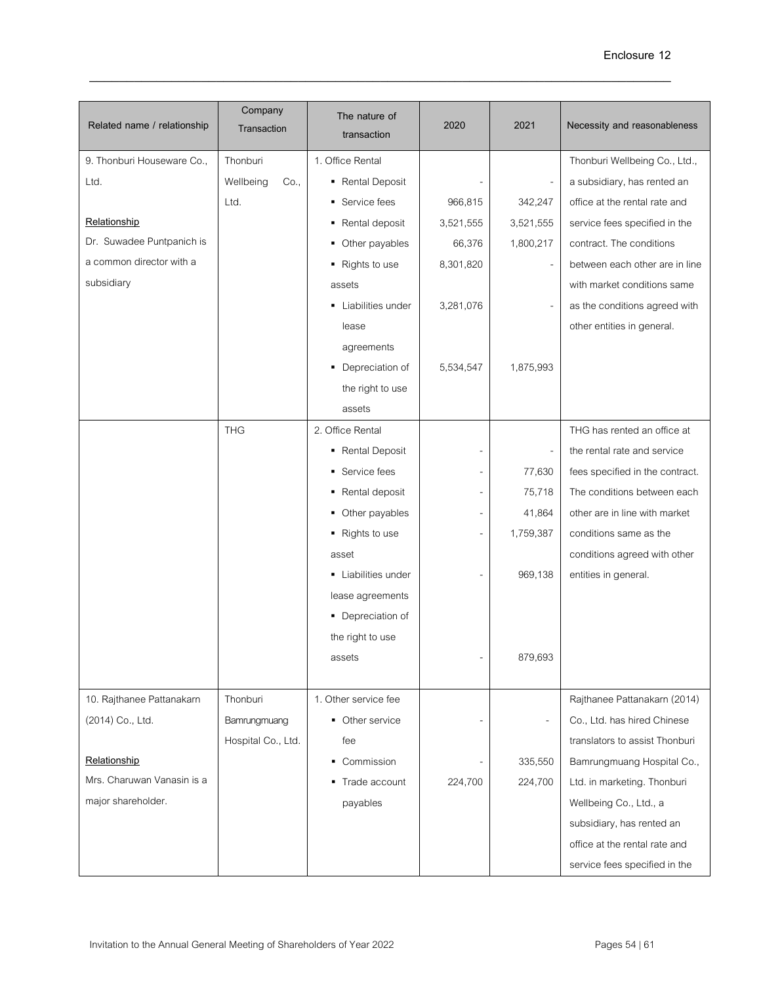| Related name / relationship | Company<br>Transaction | The nature of<br>transaction | 2020      | 2021                     | Necessity and reasonableness    |
|-----------------------------|------------------------|------------------------------|-----------|--------------------------|---------------------------------|
| 9. Thonburi Houseware Co.,  | Thonburi               | 1. Office Rental             |           |                          | Thonburi Wellbeing Co., Ltd.,   |
| Ltd.                        | Wellbeing<br>Co.,      | • Rental Deposit             |           |                          | a subsidiary, has rented an     |
|                             | Ltd.                   | ■ Service fees               | 966,815   | 342,247                  | office at the rental rate and   |
| Relationship                |                        | • Rental deposit             | 3,521,555 | 3,521,555                | service fees specified in the   |
| Dr. Suwadee Puntpanich is   |                        | • Other payables             | 66,376    | 1,800,217                | contract. The conditions        |
| a common director with a    |                        | • Rights to use              | 8,301,820 |                          | between each other are in line  |
| subsidiary                  |                        | assets                       |           |                          | with market conditions same     |
|                             |                        | • Liabilities under          | 3,281,076 |                          | as the conditions agreed with   |
|                             |                        | lease                        |           |                          | other entities in general.      |
|                             |                        | agreements                   |           |                          |                                 |
|                             |                        | • Depreciation of            | 5,534,547 | 1,875,993                |                                 |
|                             |                        | the right to use             |           |                          |                                 |
|                             |                        | assets                       |           |                          |                                 |
|                             | <b>THG</b>             | 2. Office Rental             |           |                          | THG has rented an office at     |
|                             |                        | - Rental Deposit             |           |                          | the rental rate and service     |
|                             |                        | • Service fees               |           | 77,630                   | fees specified in the contract. |
|                             |                        | - Rental deposit             |           | 75,718                   | The conditions between each     |
|                             |                        | • Other payables             |           | 41,864                   | other are in line with market   |
|                             |                        | • Rights to use              |           | 1,759,387                | conditions same as the          |
|                             |                        | asset                        |           |                          | conditions agreed with other    |
|                             |                        | • Liabilities under          |           | 969,138                  | entities in general.            |
|                             |                        | lease agreements             |           |                          |                                 |
|                             |                        | • Depreciation of            |           |                          |                                 |
|                             |                        | the right to use             |           |                          |                                 |
|                             |                        | assets                       |           | 879,693                  |                                 |
|                             |                        |                              |           |                          |                                 |
| 10. Rajthanee Pattanakarn   | Thonburi               | 1. Other service fee         |           |                          | Rajthanee Pattanakarn (2014)    |
| (2014) Co., Ltd.            | Bamrungmuang           | • Other service              |           | $\overline{\phantom{a}}$ | Co., Ltd. has hired Chinese     |
|                             | Hospital Co., Ltd.     | fee                          |           |                          | translators to assist Thonburi  |
| Relationship                |                        | • Commission                 |           | 335,550                  | Bamrungmuang Hospital Co.,      |
| Mrs. Charuwan Vanasin is a  |                        | • Trade account              | 224,700   | 224,700                  | Ltd. in marketing. Thonburi     |
| major shareholder.          |                        | payables                     |           |                          | Wellbeing Co., Ltd., a          |
|                             |                        |                              |           |                          | subsidiary, has rented an       |
|                             |                        |                              |           |                          | office at the rental rate and   |
|                             |                        |                              |           |                          | service fees specified in the   |
|                             |                        |                              |           |                          |                                 |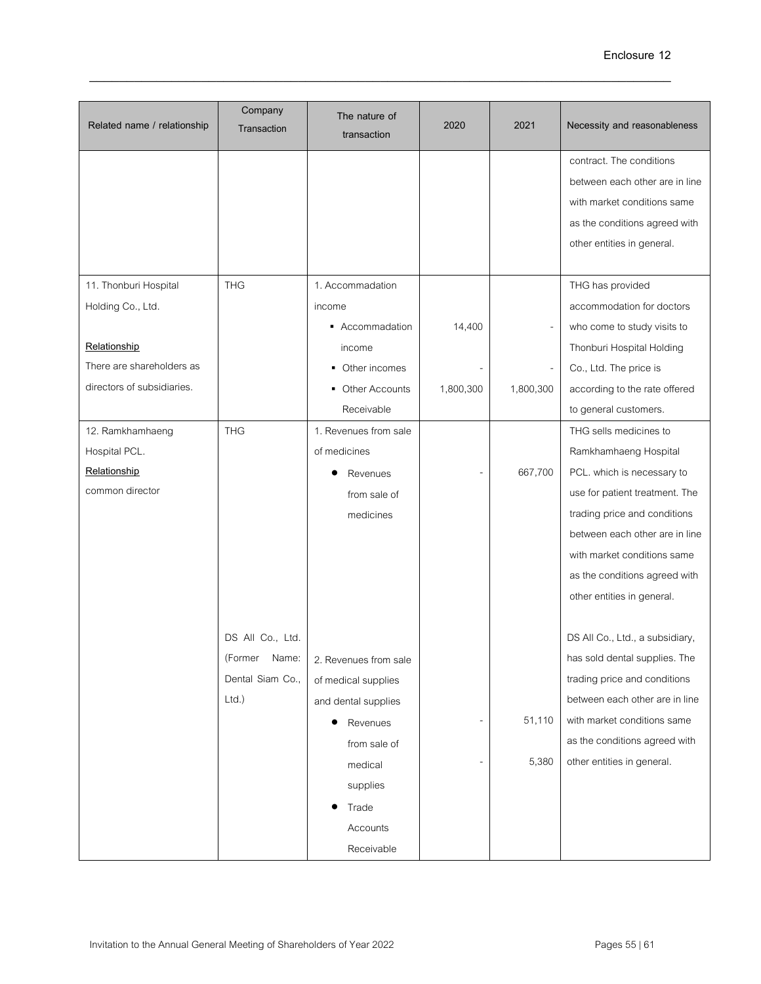| Related name / relationship | Company<br>Transaction | The nature of<br>transaction | 2020      | 2021      | Necessity and reasonableness    |
|-----------------------------|------------------------|------------------------------|-----------|-----------|---------------------------------|
|                             |                        |                              |           |           | contract. The conditions        |
|                             |                        |                              |           |           | between each other are in line  |
|                             |                        |                              |           |           | with market conditions same     |
|                             |                        |                              |           |           | as the conditions agreed with   |
|                             |                        |                              |           |           | other entities in general.      |
|                             |                        |                              |           |           |                                 |
| 11. Thonburi Hospital       | <b>THG</b>             | 1. Accommadation             |           |           | THG has provided                |
| Holding Co., Ltd.           |                        | income                       |           |           | accommodation for doctors       |
|                             |                        | ■ Accommadation              | 14,400    |           | who come to study visits to     |
| Relationship                |                        | income                       |           |           | Thonburi Hospital Holding       |
| There are shareholders as   |                        | • Other incomes              |           |           | Co., Ltd. The price is          |
| directors of subsidiaries.  |                        | • Other Accounts             | 1,800,300 | 1,800,300 | according to the rate offered   |
|                             |                        | Receivable                   |           |           | to general customers.           |
| 12. Ramkhamhaeng            | <b>THG</b>             | 1. Revenues from sale        |           |           | THG sells medicines to          |
| Hospital PCL.               |                        | of medicines                 |           |           | Ramkhamhaeng Hospital           |
| Relationship                |                        | Revenues                     |           | 667,700   | PCL. which is necessary to      |
| common director             |                        | from sale of                 |           |           | use for patient treatment. The  |
|                             |                        | medicines                    |           |           | trading price and conditions    |
|                             |                        |                              |           |           | between each other are in line  |
|                             |                        |                              |           |           | with market conditions same     |
|                             |                        |                              |           |           | as the conditions agreed with   |
|                             |                        |                              |           |           | other entities in general.      |
|                             |                        |                              |           |           |                                 |
|                             | DS All Co., Ltd.       |                              |           |           | DS All Co., Ltd., a subsidiary, |
|                             | (Former<br>Name:       | 2. Revenues from sale        |           |           | has sold dental supplies. The   |
|                             | Dental Siam Co.,       | of medical supplies          |           |           | trading price and conditions    |
|                             | $Ltd.$ )               | and dental supplies          |           |           | between each other are in line  |
|                             |                        | Revenues                     |           | 51,110    | with market conditions same     |
|                             |                        | from sale of                 |           |           | as the conditions agreed with   |
|                             |                        | medical                      |           | 5,380     | other entities in general.      |
|                             |                        | supplies                     |           |           |                                 |
|                             |                        | Trade                        |           |           |                                 |
|                             |                        | Accounts                     |           |           |                                 |
|                             |                        | Receivable                   |           |           |                                 |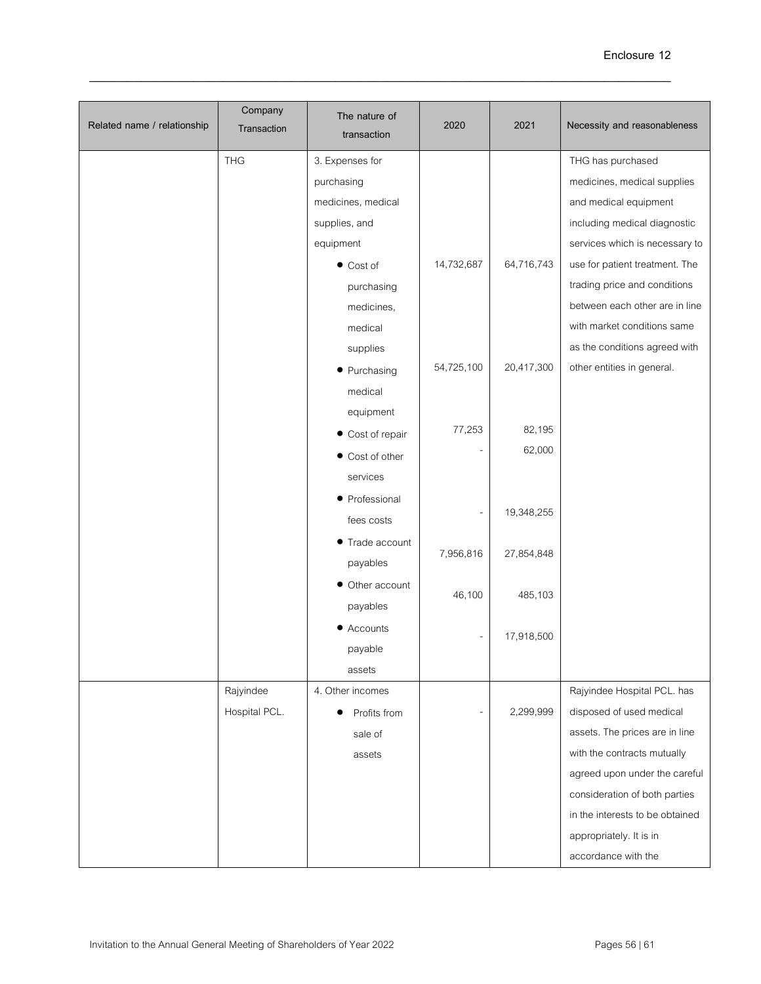| Related name / relationship | Company<br>Transaction | The nature of<br>transaction | 2020       | 2021       | Necessity and reasonableness    |
|-----------------------------|------------------------|------------------------------|------------|------------|---------------------------------|
|                             | <b>THG</b>             | 3. Expenses for              |            |            | THG has purchased               |
|                             |                        | purchasing                   |            |            | medicines, medical supplies     |
|                             |                        | medicines, medical           |            |            | and medical equipment           |
|                             |                        | supplies, and                |            |            | including medical diagnostic    |
|                             |                        | equipment                    |            |            | services which is necessary to  |
|                             |                        | $\bullet$ Cost of            | 14,732,687 | 64,716,743 | use for patient treatment. The  |
|                             |                        | purchasing                   |            |            | trading price and conditions    |
|                             |                        | medicines,                   |            |            | between each other are in line  |
|                             |                        | medical                      |            |            | with market conditions same     |
|                             |                        | supplies                     |            |            | as the conditions agreed with   |
|                             |                        | • Purchasing                 | 54,725,100 | 20,417,300 | other entities in general.      |
|                             |                        | medical                      |            |            |                                 |
|                             |                        | equipment                    |            |            |                                 |
|                             |                        | • Cost of repair             | 77,253     | 82,195     |                                 |
|                             |                        | • Cost of other              |            | 62,000     |                                 |
|                             |                        | services                     |            |            |                                 |
|                             |                        | • Professional               |            |            |                                 |
|                             |                        | fees costs                   |            | 19,348,255 |                                 |
|                             |                        | ● Trade account              |            |            |                                 |
|                             |                        | payables                     | 7,956,816  | 27,854,848 |                                 |
|                             |                        | • Other account              |            |            |                                 |
|                             |                        | payables                     | 46,100     | 485,103    |                                 |
|                             |                        | • Accounts                   |            |            |                                 |
|                             |                        | payable                      |            | 17,918,500 |                                 |
|                             |                        | assets                       |            |            |                                 |
|                             | Rajyindee              | 4. Other incomes             |            |            | Rajyindee Hospital PCL. has     |
|                             | Hospital PCL.          | Profits from                 |            | 2,299,999  | disposed of used medical        |
|                             |                        | sale of                      |            |            | assets. The prices are in line  |
|                             |                        | assets                       |            |            | with the contracts mutually     |
|                             |                        |                              |            |            | agreed upon under the careful   |
|                             |                        |                              |            |            | consideration of both parties   |
|                             |                        |                              |            |            | in the interests to be obtained |
|                             |                        |                              |            |            | appropriately. It is in         |
|                             |                        |                              |            |            | accordance with the             |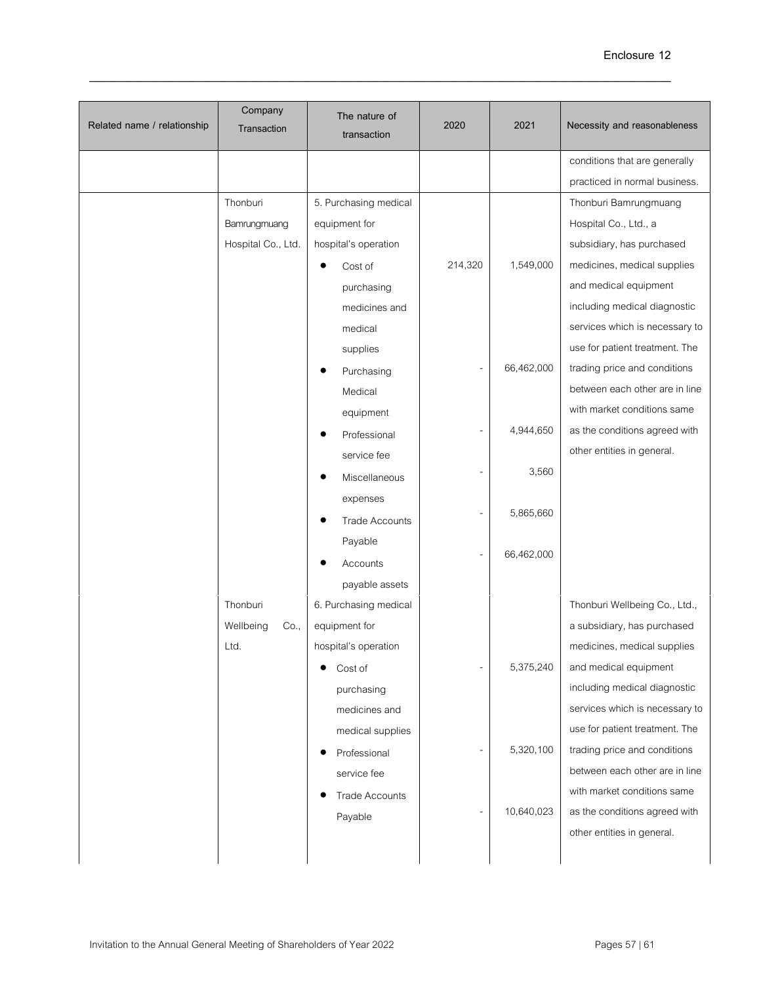| Related name / relationship | Company<br>Transaction | The nature of<br>transaction | 2020    | 2021       | Necessity and reasonableness   |
|-----------------------------|------------------------|------------------------------|---------|------------|--------------------------------|
|                             |                        |                              |         |            | conditions that are generally  |
|                             |                        |                              |         |            | practiced in normal business.  |
|                             | Thonburi               | 5. Purchasing medical        |         |            | Thonburi Bamrungmuang          |
|                             | Bamrungmuang           | equipment for                |         |            | Hospital Co., Ltd., a          |
|                             | Hospital Co., Ltd.     | hospital's operation         |         |            | subsidiary, has purchased      |
|                             |                        | Cost of                      | 214,320 | 1,549,000  | medicines, medical supplies    |
|                             |                        | purchasing                   |         |            | and medical equipment          |
|                             |                        | medicines and                |         |            | including medical diagnostic   |
|                             |                        | medical                      |         |            | services which is necessary to |
|                             |                        | supplies                     |         |            | use for patient treatment. The |
|                             |                        | Purchasing                   |         | 66,462,000 | trading price and conditions   |
|                             |                        | Medical                      |         |            | between each other are in line |
|                             |                        | equipment                    |         |            | with market conditions same    |
|                             |                        | Professional                 |         | 4,944,650  | as the conditions agreed with  |
|                             |                        | service fee                  |         |            | other entities in general.     |
|                             |                        | Miscellaneous                |         | 3,560      |                                |
|                             |                        | expenses                     |         |            |                                |
|                             |                        | <b>Trade Accounts</b>        |         | 5,865,660  |                                |
|                             |                        | Payable                      |         |            |                                |
|                             |                        | Accounts                     |         | 66,462,000 |                                |
|                             |                        | payable assets               |         |            |                                |
|                             | Thonburi               | 6. Purchasing medical        |         |            | Thonburi Wellbeing Co., Ltd.,  |
|                             | Wellbeing<br>Co.,      | equipment for                |         |            | a subsidiary, has purchased    |
|                             | Ltd.                   | hospital's operation         |         |            | medicines, medical supplies    |
|                             |                        | Cost of                      |         | 5,375,240  | and medical equipment          |
|                             |                        | purchasing                   |         |            | including medical diagnostic   |
|                             |                        | medicines and                |         |            | services which is necessary to |
|                             |                        | medical supplies             |         |            | use for patient treatment. The |
|                             |                        | Professional                 |         | 5,320,100  | trading price and conditions   |
|                             |                        | service fee                  |         |            | between each other are in line |
|                             |                        | <b>Trade Accounts</b>        |         |            | with market conditions same    |
|                             |                        | Payable                      |         | 10,640,023 | as the conditions agreed with  |
|                             |                        |                              |         |            | other entities in general.     |
|                             |                        |                              |         |            |                                |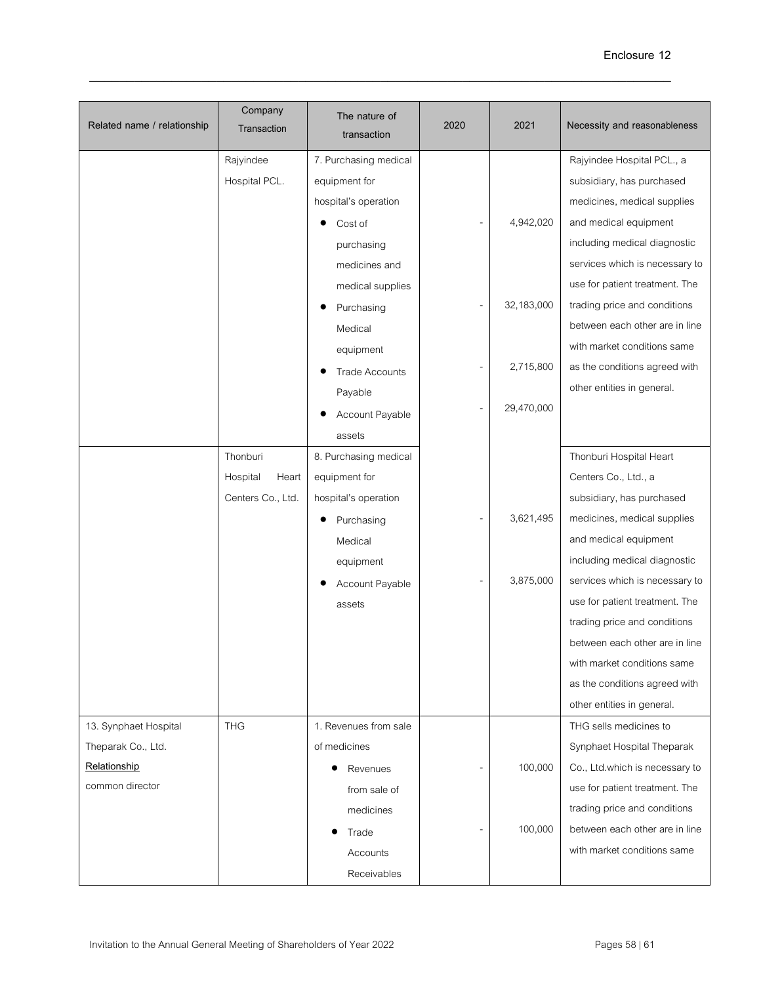| Related name / relationship | Company<br>Transaction | The nature of<br>transaction | 2020 | 2021       | Necessity and reasonableness   |
|-----------------------------|------------------------|------------------------------|------|------------|--------------------------------|
|                             | Rajyindee              | 7. Purchasing medical        |      |            | Rajyindee Hospital PCL., a     |
|                             | Hospital PCL.          | equipment for                |      |            | subsidiary, has purchased      |
|                             |                        | hospital's operation         |      |            | medicines, medical supplies    |
|                             |                        | Cost of                      |      | 4,942,020  | and medical equipment          |
|                             |                        | purchasing                   |      |            | including medical diagnostic   |
|                             |                        | medicines and                |      |            | services which is necessary to |
|                             |                        | medical supplies             |      |            | use for patient treatment. The |
|                             |                        | Purchasing                   |      | 32,183,000 | trading price and conditions   |
|                             |                        | Medical                      |      |            | between each other are in line |
|                             |                        | equipment                    |      |            | with market conditions same    |
|                             |                        | <b>Trade Accounts</b>        |      | 2,715,800  | as the conditions agreed with  |
|                             |                        | Payable                      |      |            | other entities in general.     |
|                             |                        | Account Payable              |      | 29,470,000 |                                |
|                             |                        | assets                       |      |            |                                |
|                             | Thonburi               | 8. Purchasing medical        |      |            | Thonburi Hospital Heart        |
|                             | Hospital<br>Heart      | equipment for                |      |            | Centers Co., Ltd., a           |
|                             | Centers Co., Ltd.      | hospital's operation         |      |            | subsidiary, has purchased      |
|                             |                        | Purchasing                   |      | 3,621,495  | medicines, medical supplies    |
|                             |                        | Medical                      |      |            | and medical equipment          |
|                             |                        | equipment                    |      |            | including medical diagnostic   |
|                             |                        | Account Payable              |      | 3,875,000  | services which is necessary to |
|                             |                        | assets                       |      |            | use for patient treatment. The |
|                             |                        |                              |      |            | trading price and conditions   |
|                             |                        |                              |      |            | between each other are in line |
|                             |                        |                              |      |            | with market conditions same    |
|                             |                        |                              |      |            | as the conditions agreed with  |
|                             |                        |                              |      |            | other entities in general.     |
| 13. Synphaet Hospital       | <b>THG</b>             | 1. Revenues from sale        |      |            | THG sells medicines to         |
| Theparak Co., Ltd.          |                        | of medicines                 |      |            | Synphaet Hospital Theparak     |
| Relationship                |                        | Revenues                     | -    | 100,000    | Co., Ltd.which is necessary to |
| common director             |                        | from sale of                 |      |            | use for patient treatment. The |
|                             |                        | medicines                    |      |            | trading price and conditions   |
|                             |                        | Trade                        |      | 100,000    | between each other are in line |
|                             |                        | Accounts                     |      |            | with market conditions same    |
|                             |                        | Receivables                  |      |            |                                |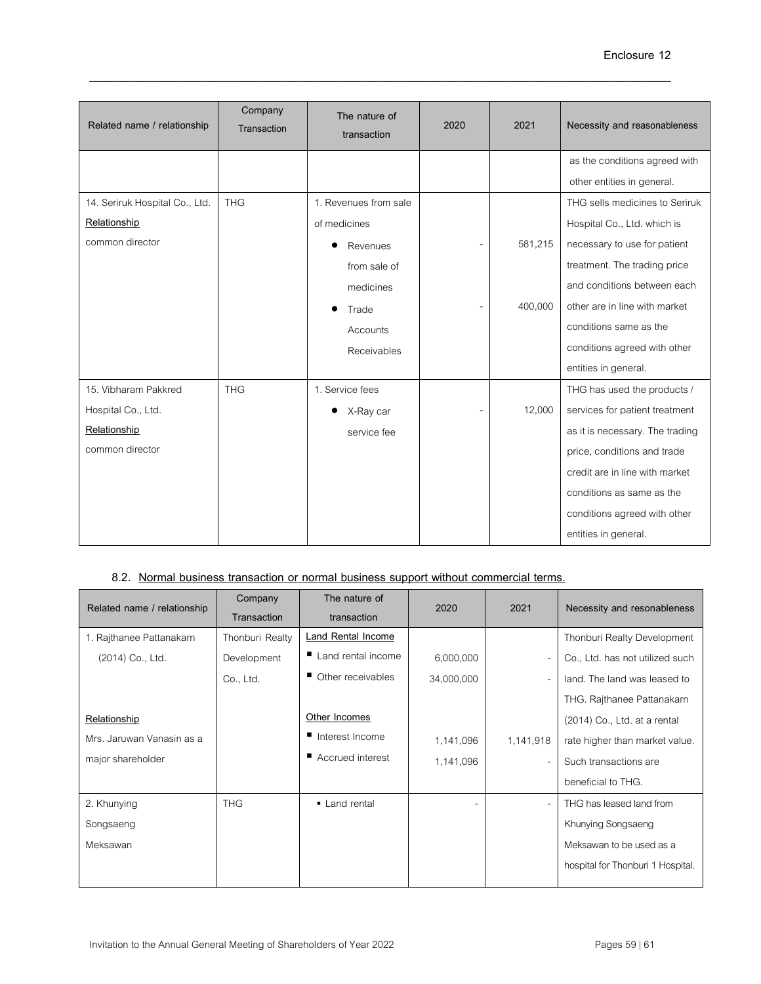| Related name / relationship    | Company<br>Transaction | The nature of<br>transaction | 2020 | 2021    | Necessity and reasonableness    |
|--------------------------------|------------------------|------------------------------|------|---------|---------------------------------|
|                                |                        |                              |      |         | as the conditions agreed with   |
|                                |                        |                              |      |         | other entities in general.      |
| 14. Seriruk Hospital Co., Ltd. | <b>THG</b>             | 1. Revenues from sale        |      |         | THG sells medicines to Seriruk  |
| Relationship                   |                        | of medicines                 |      |         | Hospital Co., Ltd. which is     |
| common director                |                        | Revenues                     |      | 581,215 | necessary to use for patient    |
|                                |                        | from sale of                 |      |         | treatment. The trading price    |
|                                |                        | medicines                    |      |         | and conditions between each     |
|                                |                        | Trade                        |      | 400,000 | other are in line with market   |
|                                |                        | Accounts                     |      |         | conditions same as the          |
|                                |                        | Receivables                  |      |         | conditions agreed with other    |
|                                |                        |                              |      |         | entities in general.            |
| 15. Vibharam Pakkred           | <b>THG</b>             | 1. Service fees              |      |         | THG has used the products /     |
| Hospital Co., Ltd.             |                        | X-Ray car                    |      | 12,000  | services for patient treatment  |
| Relationship                   |                        | service fee                  |      |         | as it is necessary. The trading |
| common director                |                        |                              |      |         | price, conditions and trade     |
|                                |                        |                              |      |         | credit are in line with market  |
|                                |                        |                              |      |         | conditions as same as the       |
|                                |                        |                              |      |         | conditions agreed with other    |
|                                |                        |                              |      |         | entities in general.            |

# **8.2. Normal business transaction or normal business support without commercial terms.**

| Related name / relationship | Company<br>Transaction | The nature of<br>transaction | 2020       | 2021                     | Necessity and resonableness       |
|-----------------------------|------------------------|------------------------------|------------|--------------------------|-----------------------------------|
| 1. Rajthanee Pattanakarn    | Thonburi Realty        | <b>Land Rental Income</b>    |            |                          | Thonburi Realty Development       |
| (2014) Co., Ltd.            | Development            | ■ Land rental income         | 6,000,000  | $\overline{a}$           | Co., Ltd. has not utilized such   |
|                             | Co., Ltd.              | Other receivables            | 34,000,000 | $\overline{\phantom{0}}$ | land. The land was leased to      |
|                             |                        |                              |            |                          | THG. Rajthanee Pattanakarn        |
| Relationship                |                        | Other Incomes                |            |                          | (2014) Co., Ltd. at a rental      |
| Mrs. Jaruwan Vanasin as a   |                        | Interest Income              | 1,141,096  | 1,141,918                | rate higher than market value.    |
| major shareholder           |                        | ■ Accrued interest           | 1,141,096  | $\overline{\phantom{0}}$ | Such transactions are             |
|                             |                        |                              |            |                          | beneficial to THG.                |
| 2. Khunying                 | <b>THG</b>             | • Land rental                |            | $\overline{\phantom{0}}$ | THG has leased land from          |
| Songsaeng                   |                        |                              |            |                          | Khunying Songsaeng                |
| Meksawan                    |                        |                              |            |                          | Meksawan to be used as a          |
|                             |                        |                              |            |                          | hospital for Thonburi 1 Hospital. |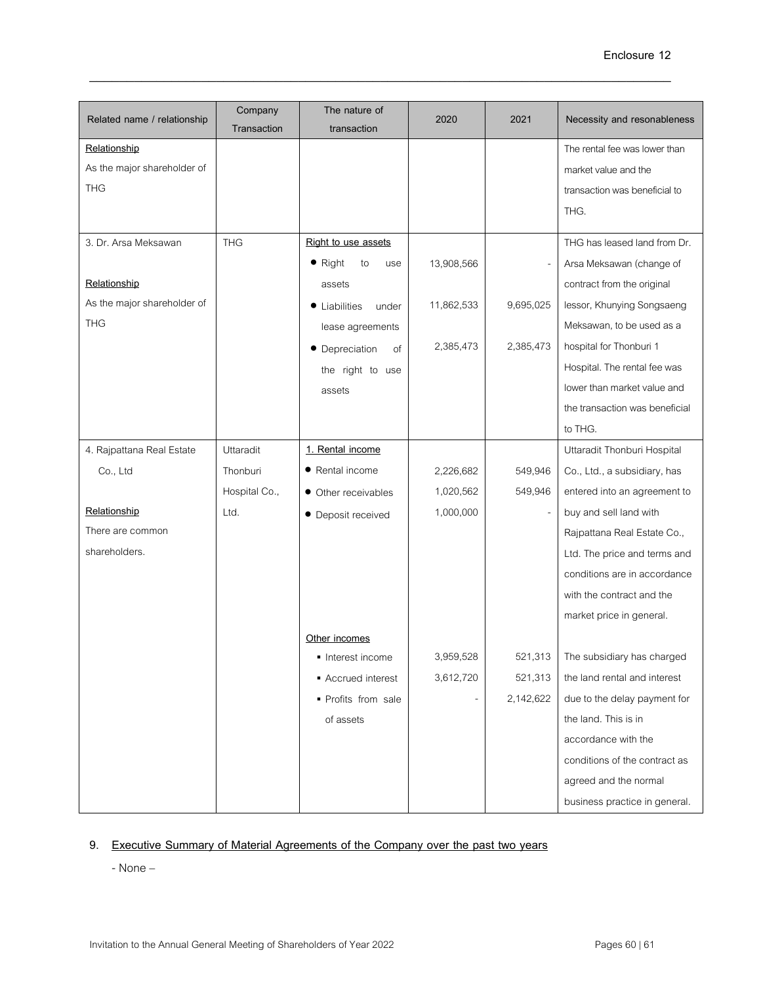| Related name / relationship | Company<br>Transaction | The nature of<br>transaction | 2020       | 2021      | Necessity and resonableness    |
|-----------------------------|------------------------|------------------------------|------------|-----------|--------------------------------|
| Relationship                |                        |                              |            |           | The rental fee was lower than  |
| As the major shareholder of |                        |                              |            |           | market value and the           |
| <b>THG</b>                  |                        |                              |            |           | transaction was beneficial to  |
|                             |                        |                              |            |           | THG.                           |
|                             |                        |                              |            |           |                                |
| 3. Dr. Arsa Meksawan        | <b>THG</b>             | Right to use assets          |            |           | THG has leased land from Dr.   |
|                             |                        | $\bullet$ Right<br>to<br>use | 13,908,566 |           | Arsa Meksawan (change of       |
| Relationship                |                        | assets                       |            |           | contract from the original     |
| As the major shareholder of |                        | • Liabilities<br>under       | 11,862,533 | 9,695,025 | lessor, Khunying Songsaeng     |
| <b>THG</b>                  |                        | lease agreements             |            |           | Meksawan, to be used as a      |
|                             |                        | • Depreciation<br>of         | 2,385,473  | 2,385,473 | hospital for Thonburi 1        |
|                             |                        | the right to use             |            |           | Hospital. The rental fee was   |
|                             |                        | assets                       |            |           | lower than market value and    |
|                             |                        |                              |            |           | the transaction was beneficial |
|                             |                        |                              |            |           | to THG.                        |
| 4. Rajpattana Real Estate   | Uttaradit              | 1. Rental income             |            |           | Uttaradit Thonburi Hospital    |
| Co., Ltd                    | Thonburi               | • Rental income              | 2,226,682  | 549,946   | Co., Ltd., a subsidiary, has   |
|                             | Hospital Co.,          | • Other receivables          | 1,020,562  | 549,946   | entered into an agreement to   |
| Relationship                | Ltd.                   | • Deposit received           | 1,000,000  |           | buy and sell land with         |
| There are common            |                        |                              |            |           | Rajpattana Real Estate Co.,    |
| shareholders.               |                        |                              |            |           | Ltd. The price and terms and   |
|                             |                        |                              |            |           | conditions are in accordance   |
|                             |                        |                              |            |           | with the contract and the      |
|                             |                        |                              |            |           | market price in general.       |
|                             |                        | Other incomes                |            |           |                                |
|                             |                        | Interest income              | 3,959,528  | 521,313   | The subsidiary has charged     |
|                             |                        | ■ Accrued interest           | 3,612,720  | 521,313   | the land rental and interest   |
|                             |                        | · Profits from sale          |            | 2,142,622 | due to the delay payment for   |
|                             |                        | of assets                    |            |           | the land. This is in           |
|                             |                        |                              |            |           | accordance with the            |
|                             |                        |                              |            |           | conditions of the contract as  |
|                             |                        |                              |            |           | agreed and the normal          |
|                             |                        |                              |            |           | business practice in general.  |
|                             |                        |                              |            |           |                                |

# **9. Executive Summary of Material Agreements of the Company over the past two years**

- None –